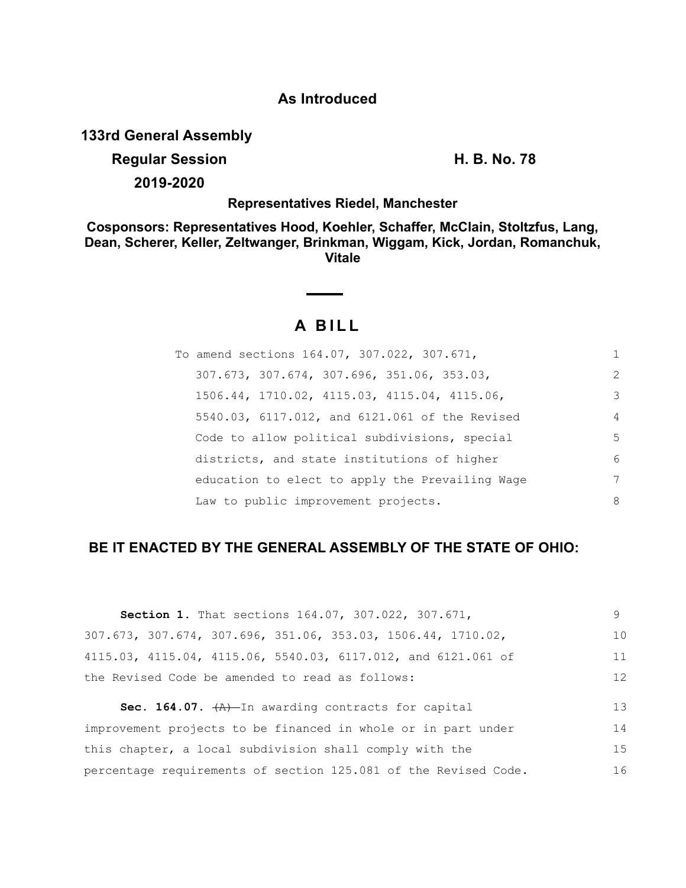## **As Introduced**

**133rd General Assembly**

**Regular Session H. B. No. 78**

**2019-2020**

## **Representatives Riedel, Manchester**

**Cosponsors: Representatives Hood, Koehler, Schaffer, McClain, Stoltzfus, Lang, Dean, Scherer, Keller, Zeltwanger, Brinkman, Wiggam, Kick, Jordan, Romanchuk, Vitale**

# **A B I L L**

| To amend sections 164.07, 307.022, 307.671,     | 1              |
|-------------------------------------------------|----------------|
| 307.673, 307.674, 307.696, 351.06, 353.03,      | 2              |
| 1506.44, 1710.02, 4115.03, 4115.04, 4115.06,    | 3              |
| 5540.03, 6117.012, and 6121.061 of the Revised  | $\overline{4}$ |
| Code to allow political subdivisions, special   | .5             |
| districts, and state institutions of higher     | 6              |
| education to elect to apply the Prevailing Wage | 7              |
| Law to public improvement projects.             | 8              |

## **BE IT ENACTED BY THE GENERAL ASSEMBLY OF THE STATE OF OHIO:**

| <b>Section 1.</b> That sections 164.07, 307.022, 307.671,                         | 9  |
|-----------------------------------------------------------------------------------|----|
| $307.673$ , $307.674$ , $307.696$ , $351.06$ , $353.03$ , $1506.44$ , $1710.02$ , | 10 |
| 4115.03, 4115.04, 4115.06, 5540.03, 6117.012, and 6121.061 of                     | 11 |
| the Revised Code be amended to read as follows:                                   | 12 |
| <b>Sec. 164.07.</b> $\left(\frac{A}{A}\right)$ In awarding contracts for capital  | 13 |
|                                                                                   |    |
| improvement projects to be financed in whole or in part under                     | 14 |
| this chapter, a local subdivision shall comply with the                           | 15 |
| percentage requirements of section 125.081 of the Revised Code.                   | 16 |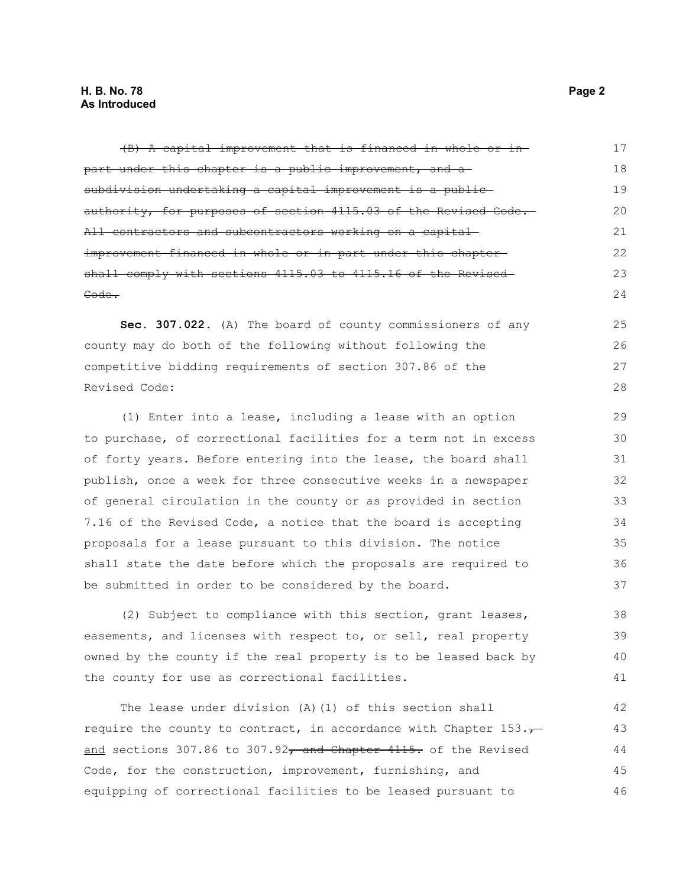(B) A capital improvement that is financed in whole or in part under this chapter is a public improvement, and a subdivision undertaking a capital improvement is a public authority, for purposes of section 4115.03 of the Revised Code. All contractors and subcontractors working on a capital improvement financed in whole or in part under this chapter shall comply with sections 4115.03 to 4115.16 of the Revised Code. **Sec. 307.022.** (A) The board of county commissioners of any county may do both of the following without following the competitive bidding requirements of section 307.86 of the Revised Code: (1) Enter into a lease, including a lease with an option to purchase, of correctional facilities for a term not in excess of forty years. Before entering into the lease, the board shall publish, once a week for three consecutive weeks in a newspaper of general circulation in the county or as provided in section 7.16 of the Revised Code, a notice that the board is accepting proposals for a lease pursuant to this division. The notice shall state the date before which the proposals are required to be submitted in order to be considered by the board. 17 18 19 20 21 22 23 24 25 26 27 28 29 30 31 32 33 34 35 36 37

(2) Subject to compliance with this section, grant leases, easements, and licenses with respect to, or sell, real property owned by the county if the real property is to be leased back by the county for use as correctional facilities. 38 39 40 41

The lease under division (A)(1) of this section shall require the county to contract, in accordance with Chapter  $153.\tau$ and sections 307.86 to 307.92 $\tau$  and Chapter 4115. of the Revised Code, for the construction, improvement, furnishing, and equipping of correctional facilities to be leased pursuant to 42 43 44 45 46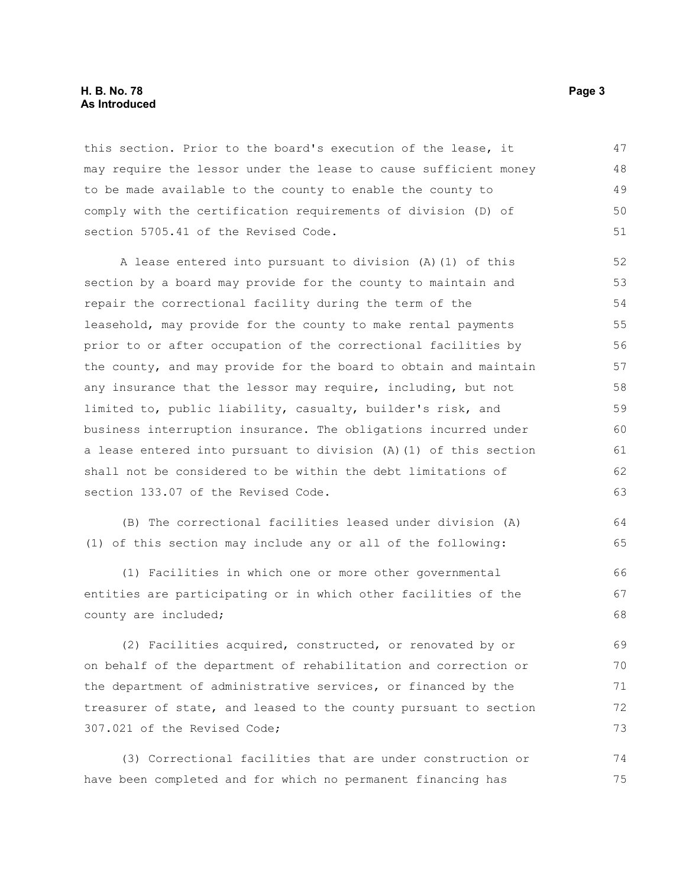#### **H. B. No. 78 Page 3 As Introduced**

this section. Prior to the board's execution of the lease, it may require the lessor under the lease to cause sufficient money to be made available to the county to enable the county to comply with the certification requirements of division (D) of section 5705.41 of the Revised Code. 47 48 49 50 51

A lease entered into pursuant to division (A)(1) of this section by a board may provide for the county to maintain and repair the correctional facility during the term of the leasehold, may provide for the county to make rental payments prior to or after occupation of the correctional facilities by the county, and may provide for the board to obtain and maintain any insurance that the lessor may require, including, but not limited to, public liability, casualty, builder's risk, and business interruption insurance. The obligations incurred under a lease entered into pursuant to division (A)(1) of this section shall not be considered to be within the debt limitations of section 133.07 of the Revised Code. 52 53 54 55 56 57 58 59 60 61 62 63

(B) The correctional facilities leased under division (A) (1) of this section may include any or all of the following: 64 65

(1) Facilities in which one or more other governmental entities are participating or in which other facilities of the county are included; 66 67 68

(2) Facilities acquired, constructed, or renovated by or on behalf of the department of rehabilitation and correction or the department of administrative services, or financed by the treasurer of state, and leased to the county pursuant to section 307.021 of the Revised Code; 69 70 71 72 73

(3) Correctional facilities that are under construction or have been completed and for which no permanent financing has 74 75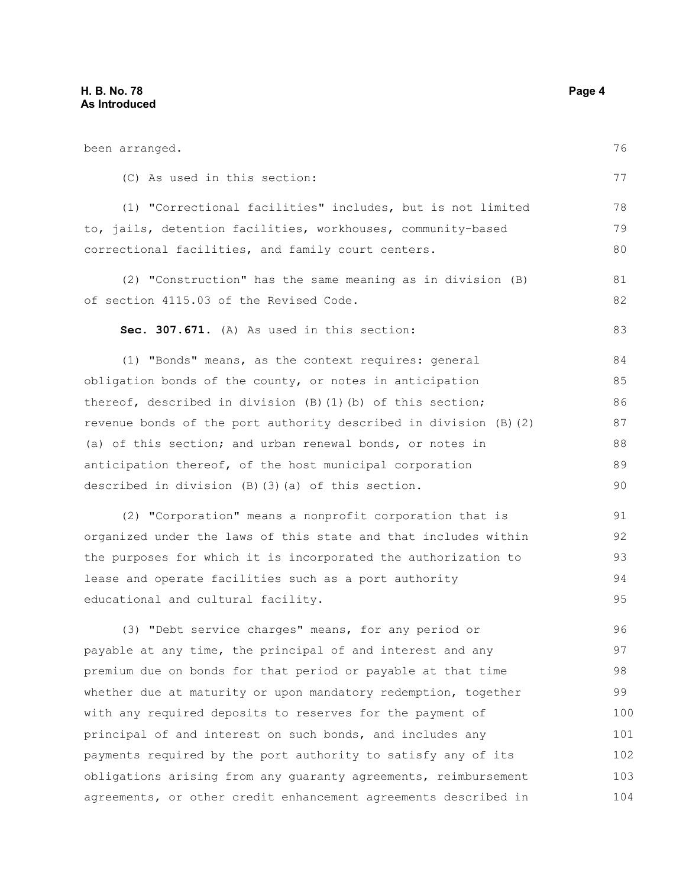been arranged.

(C) As used in this section: (1) "Correctional facilities" includes, but is not limited to, jails, detention facilities, workhouses, community-based correctional facilities, and family court centers. (2) "Construction" has the same meaning as in division (B) of section 4115.03 of the Revised Code. **Sec. 307.671.** (A) As used in this section: (1) "Bonds" means, as the context requires: general obligation bonds of the county, or notes in anticipation thereof, described in division (B)(1)(b) of this section; revenue bonds of the port authority described in division (B)(2) (a) of this section; and urban renewal bonds, or notes in anticipation thereof, of the host municipal corporation described in division (B)(3)(a) of this section. (2) "Corporation" means a nonprofit corporation that is organized under the laws of this state and that includes within the purposes for which it is incorporated the authorization to lease and operate facilities such as a port authority educational and cultural facility. (3) "Debt service charges" means, for any period or payable at any time, the principal of and interest and any premium due on bonds for that period or payable at that time whether due at maturity or upon mandatory redemption, together with any required deposits to reserves for the payment of principal of and interest on such bonds, and includes any payments required by the port authority to satisfy any of its obligations arising from any guaranty agreements, reimbursement agreements, or other credit enhancement agreements described in 77 78 79 80 81 82 83 84 85 86 87 88 89 90 91 92 93 94 95 96 97 98 99 100 101 102 103 104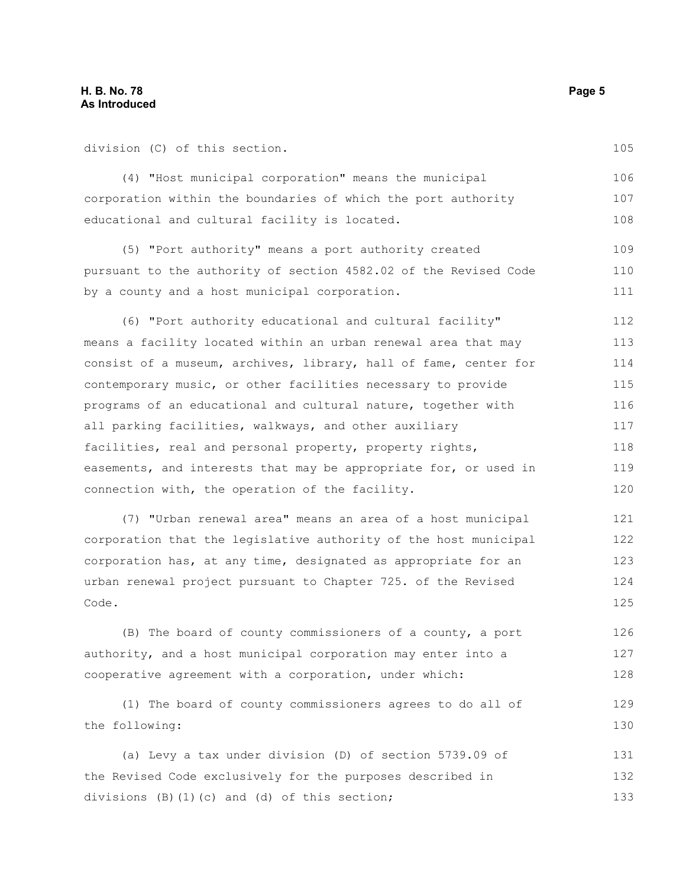division (C) of this section.

by a county and a host municipal corporation.

105

111

(4) "Host municipal corporation" means the municipal corporation within the boundaries of which the port authority educational and cultural facility is located. (5) "Port authority" means a port authority created pursuant to the authority of section 4582.02 of the Revised Code 106 107 108 109 110

(6) "Port authority educational and cultural facility" means a facility located within an urban renewal area that may consist of a museum, archives, library, hall of fame, center for contemporary music, or other facilities necessary to provide programs of an educational and cultural nature, together with all parking facilities, walkways, and other auxiliary facilities, real and personal property, property rights, easements, and interests that may be appropriate for, or used in connection with, the operation of the facility. 112 113 114 115 116 117 118 119 120

(7) "Urban renewal area" means an area of a host municipal corporation that the legislative authority of the host municipal corporation has, at any time, designated as appropriate for an urban renewal project pursuant to Chapter 725. of the Revised Code. 121 122 123 124 125

(B) The board of county commissioners of a county, a port authority, and a host municipal corporation may enter into a cooperative agreement with a corporation, under which: 126 127 128

(1) The board of county commissioners agrees to do all of the following: 129 130

(a) Levy a tax under division (D) of section 5739.09 of the Revised Code exclusively for the purposes described in divisions (B)(1)(c) and (d) of this section; 131 132 133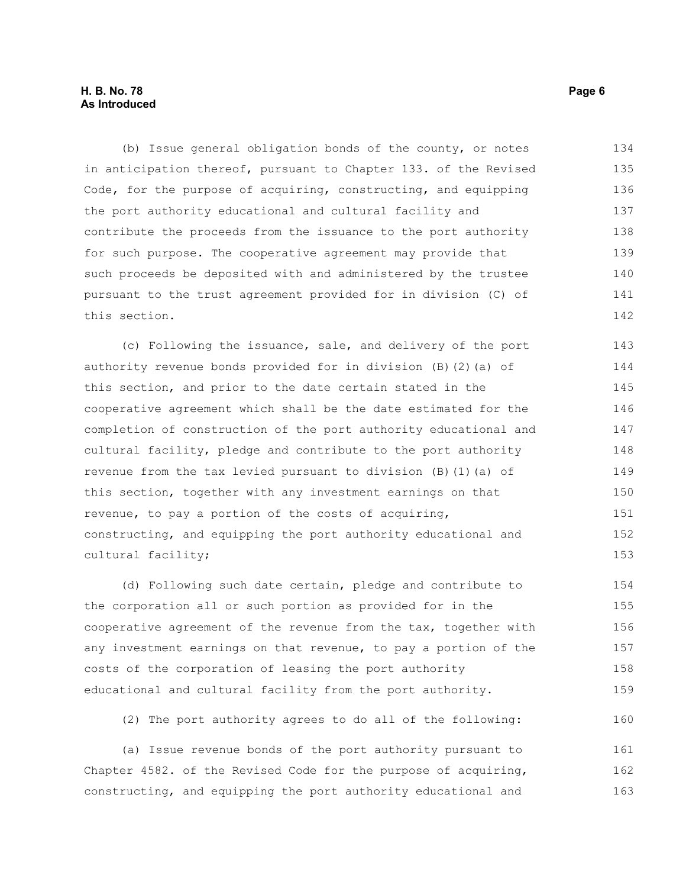#### **H. B. No. 78 Page 6 As Introduced**

(b) Issue general obligation bonds of the county, or notes in anticipation thereof, pursuant to Chapter 133. of the Revised Code, for the purpose of acquiring, constructing, and equipping the port authority educational and cultural facility and contribute the proceeds from the issuance to the port authority for such purpose. The cooperative agreement may provide that such proceeds be deposited with and administered by the trustee pursuant to the trust agreement provided for in division (C) of this section. 134 135 136 137 138 139 140 141 142

(c) Following the issuance, sale, and delivery of the port authority revenue bonds provided for in division (B)(2)(a) of this section, and prior to the date certain stated in the cooperative agreement which shall be the date estimated for the completion of construction of the port authority educational and cultural facility, pledge and contribute to the port authority revenue from the tax levied pursuant to division (B)(1)(a) of this section, together with any investment earnings on that revenue, to pay a portion of the costs of acquiring, constructing, and equipping the port authority educational and cultural facility; 143 144 145 146 147 148 149 150 151 152 153

(d) Following such date certain, pledge and contribute to the corporation all or such portion as provided for in the cooperative agreement of the revenue from the tax, together with any investment earnings on that revenue, to pay a portion of the costs of the corporation of leasing the port authority educational and cultural facility from the port authority. 154 155 156 157 158 159

(2) The port authority agrees to do all of the following:

(a) Issue revenue bonds of the port authority pursuant to Chapter 4582. of the Revised Code for the purpose of acquiring, constructing, and equipping the port authority educational and 161 162 163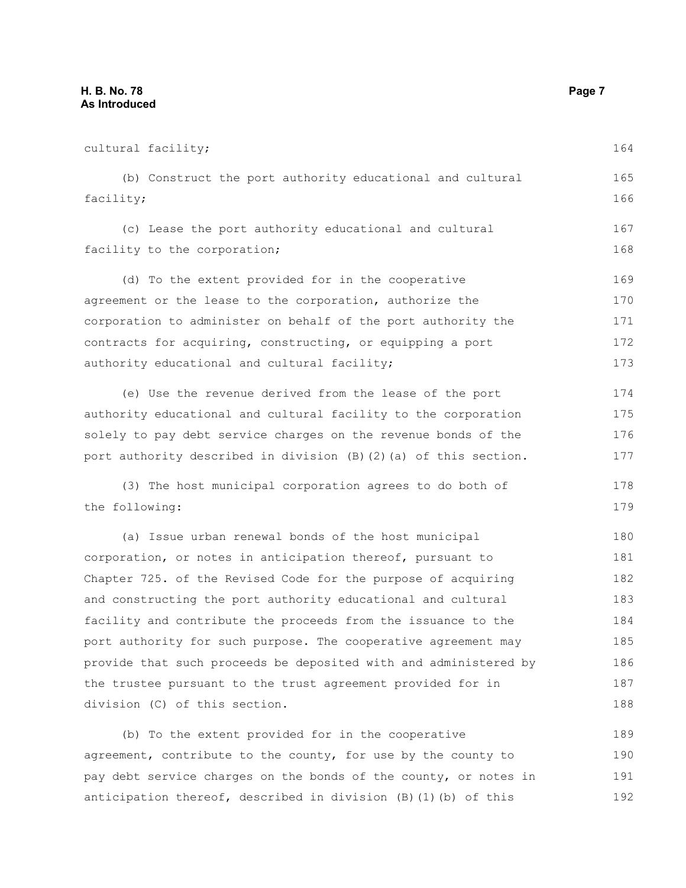cultural facility; (b) Construct the port authority educational and cultural facility; (c) Lease the port authority educational and cultural facility to the corporation; (d) To the extent provided for in the cooperative agreement or the lease to the corporation, authorize the corporation to administer on behalf of the port authority the contracts for acquiring, constructing, or equipping a port authority educational and cultural facility; (e) Use the revenue derived from the lease of the port authority educational and cultural facility to the corporation solely to pay debt service charges on the revenue bonds of the port authority described in division (B)(2)(a) of this section. (3) The host municipal corporation agrees to do both of the following: (a) Issue urban renewal bonds of the host municipal corporation, or notes in anticipation thereof, pursuant to Chapter 725. of the Revised Code for the purpose of acquiring and constructing the port authority educational and cultural facility and contribute the proceeds from the issuance to the port authority for such purpose. The cooperative agreement may provide that such proceeds be deposited with and administered by the trustee pursuant to the trust agreement provided for in division (C) of this section. (b) To the extent provided for in the cooperative agreement, contribute to the county, for use by the county to pay debt service charges on the bonds of the county, or notes in 164 165 166 167 168 169 170 171 172 173 174 175 176 177 178 179 180 181 182 183 184 185 186 187 188 189 190 191

anticipation thereof, described in division  $(B)$  (1)(b) of this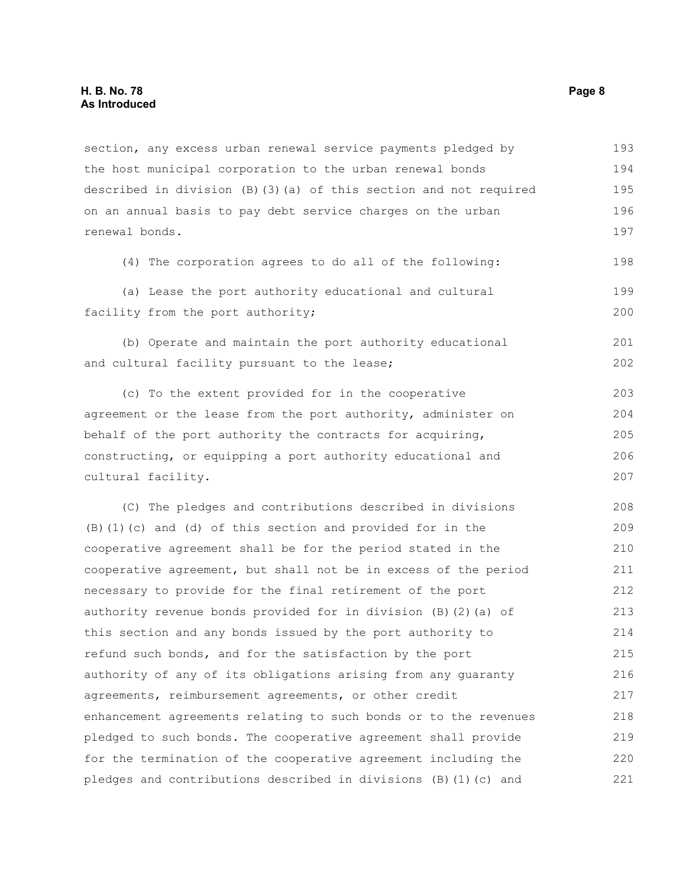section, any excess urban renewal service payments pledged by the host municipal corporation to the urban renewal bonds described in division (B)(3)(a) of this section and not required on an annual basis to pay debt service charges on the urban renewal bonds. 193 194 195 196 197

(4) The corporation agrees to do all of the following: 198

(a) Lease the port authority educational and cultural facility from the port authority; 199 200

(b) Operate and maintain the port authority educational and cultural facility pursuant to the lease; 201 202

(c) To the extent provided for in the cooperative agreement or the lease from the port authority, administer on behalf of the port authority the contracts for acquiring, constructing, or equipping a port authority educational and cultural facility. 203 204 205 206 207

(C) The pledges and contributions described in divisions (B)(1)(c) and (d) of this section and provided for in the cooperative agreement shall be for the period stated in the cooperative agreement, but shall not be in excess of the period necessary to provide for the final retirement of the port authority revenue bonds provided for in division (B)(2)(a) of this section and any bonds issued by the port authority to refund such bonds, and for the satisfaction by the port authority of any of its obligations arising from any guaranty agreements, reimbursement agreements, or other credit enhancement agreements relating to such bonds or to the revenues pledged to such bonds. The cooperative agreement shall provide for the termination of the cooperative agreement including the pledges and contributions described in divisions (B)(1)(c) and 208 209 210 211 212 213 214 215 216 217 218 219 220 221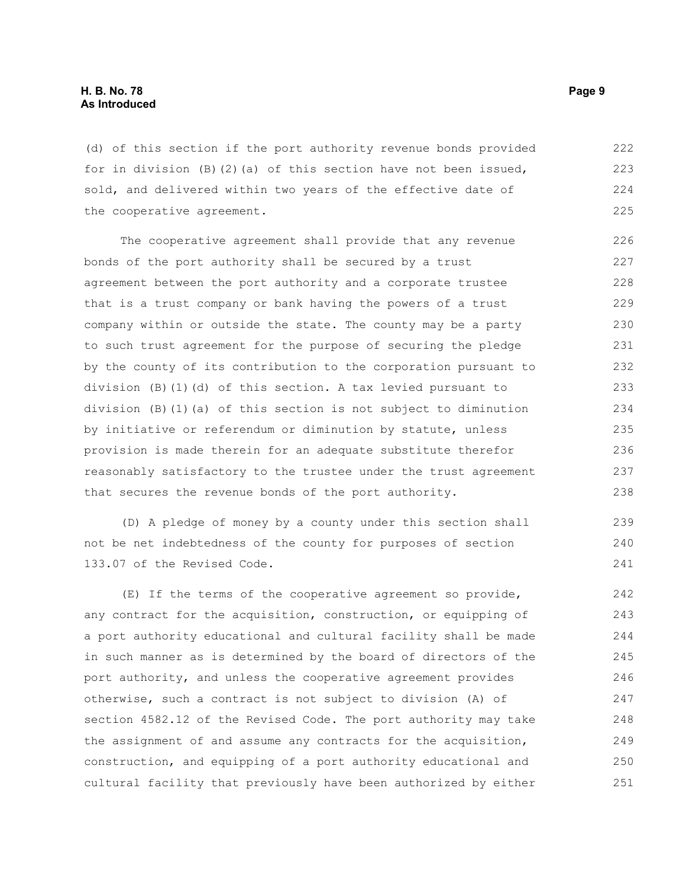(d) of this section if the port authority revenue bonds provided for in division  $(B)(2)$  (a) of this section have not been issued, sold, and delivered within two years of the effective date of the cooperative agreement. 222 223 224 225

The cooperative agreement shall provide that any revenue bonds of the port authority shall be secured by a trust agreement between the port authority and a corporate trustee that is a trust company or bank having the powers of a trust company within or outside the state. The county may be a party to such trust agreement for the purpose of securing the pledge by the county of its contribution to the corporation pursuant to division (B)(1)(d) of this section. A tax levied pursuant to division (B)(1)(a) of this section is not subject to diminution by initiative or referendum or diminution by statute, unless provision is made therein for an adequate substitute therefor reasonably satisfactory to the trustee under the trust agreement that secures the revenue bonds of the port authority. 226 227 228 229 230 231 232 233 234 235 236 237 238

(D) A pledge of money by a county under this section shall not be net indebtedness of the county for purposes of section 133.07 of the Revised Code.

(E) If the terms of the cooperative agreement so provide, any contract for the acquisition, construction, or equipping of a port authority educational and cultural facility shall be made in such manner as is determined by the board of directors of the port authority, and unless the cooperative agreement provides otherwise, such a contract is not subject to division (A) of section 4582.12 of the Revised Code. The port authority may take the assignment of and assume any contracts for the acquisition, construction, and equipping of a port authority educational and cultural facility that previously have been authorized by either 242 243 244 245 246 247 248 249 250 251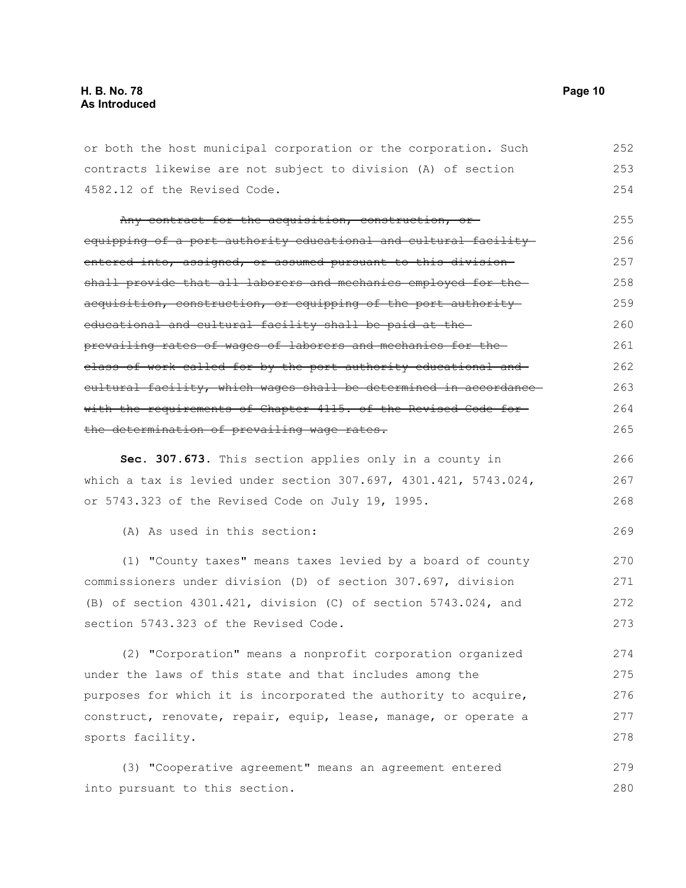or both the host municipal corporation or the corporation. Such contracts likewise are not subject to division (A) of section 4582.12 of the Revised Code. Any contract for the acquisition, construction, or equipping of a port authority educational and cultural facility entered into, assigned, or assumed pursuant to this division shall provide that all laborers and mechanics employed for theacquisition, construction, or equipping of the port authority educational and cultural facility shall be paid at the prevailing rates of wages of laborers and mechanics for the class of work called for by the port authority educational and cultural facility, which wages shall be determined in accordance with the requirements of Chapter 4115. of the Revised Code forthe determination of prevailing wage rates. **Sec. 307.673.** This section applies only in a county in which a tax is levied under section 307.697, 4301.421, 5743.024, or 5743.323 of the Revised Code on July 19, 1995. (A) As used in this section: (1) "County taxes" means taxes levied by a board of county commissioners under division (D) of section 307.697, division (B) of section 4301.421, division (C) of section 5743.024, and section 5743.323 of the Revised Code. (2) "Corporation" means a nonprofit corporation organized under the laws of this state and that includes among the purposes for which it is incorporated the authority to acquire, construct, renovate, repair, equip, lease, manage, or operate a sports facility. 252 253 254 255 256 257 258 259 260 261 262 263 264 265 266 267 268 269 270 271 272 273 274 275 276 277 278

(3) "Cooperative agreement" means an agreement entered into pursuant to this section. 279 280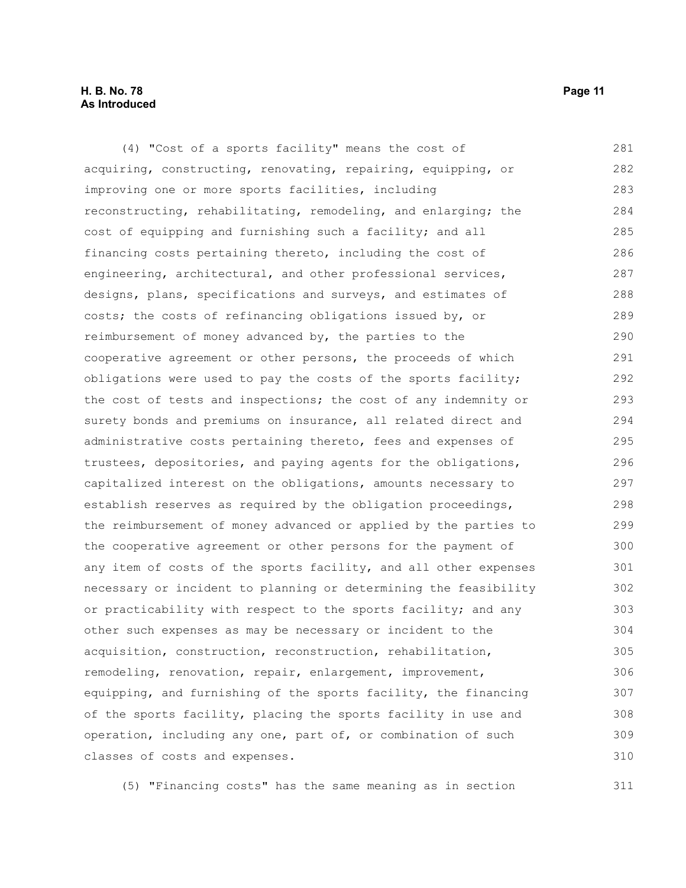#### **H. B. No. 78 Page 11 As Introduced**

(4) "Cost of a sports facility" means the cost of acquiring, constructing, renovating, repairing, equipping, or improving one or more sports facilities, including reconstructing, rehabilitating, remodeling, and enlarging; the cost of equipping and furnishing such a facility; and all financing costs pertaining thereto, including the cost of engineering, architectural, and other professional services, designs, plans, specifications and surveys, and estimates of costs; the costs of refinancing obligations issued by, or reimbursement of money advanced by, the parties to the cooperative agreement or other persons, the proceeds of which obligations were used to pay the costs of the sports facility; the cost of tests and inspections; the cost of any indemnity or surety bonds and premiums on insurance, all related direct and administrative costs pertaining thereto, fees and expenses of trustees, depositories, and paying agents for the obligations, capitalized interest on the obligations, amounts necessary to establish reserves as required by the obligation proceedings, the reimbursement of money advanced or applied by the parties to the cooperative agreement or other persons for the payment of any item of costs of the sports facility, and all other expenses necessary or incident to planning or determining the feasibility or practicability with respect to the sports facility; and any other such expenses as may be necessary or incident to the acquisition, construction, reconstruction, rehabilitation, remodeling, renovation, repair, enlargement, improvement, equipping, and furnishing of the sports facility, the financing of the sports facility, placing the sports facility in use and operation, including any one, part of, or combination of such classes of costs and expenses. 281 282 283 284 285 286 287 288 289 290 291 292 293 294 295 296 297 298 299 300 301 302 303 304 305 306 307 308 309 310

(5) "Financing costs" has the same meaning as in section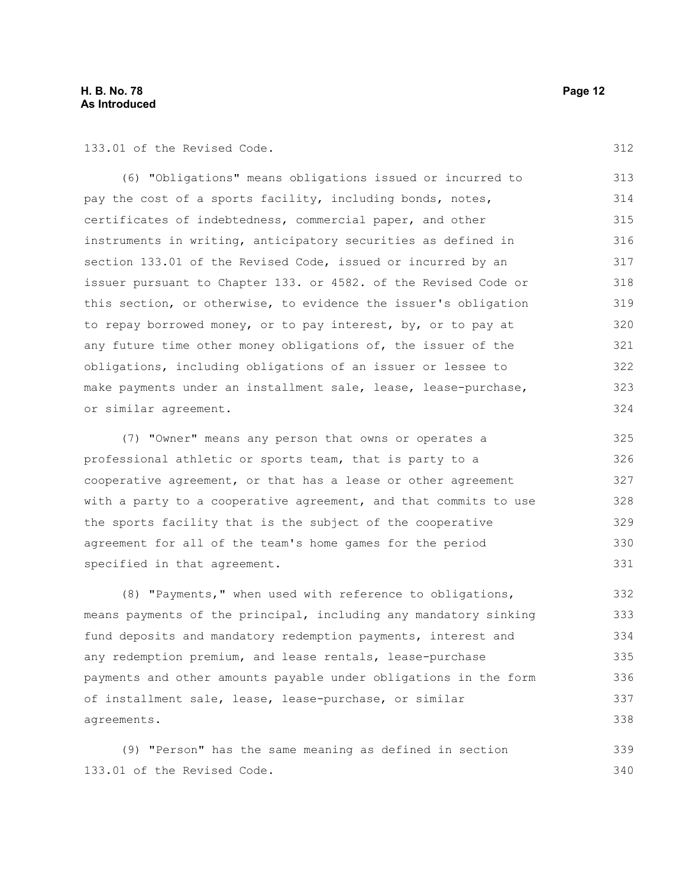133.01 of the Revised Code.

(6) "Obligations" means obligations issued or incurred to pay the cost of a sports facility, including bonds, notes, certificates of indebtedness, commercial paper, and other instruments in writing, anticipatory securities as defined in section 133.01 of the Revised Code, issued or incurred by an issuer pursuant to Chapter 133. or 4582. of the Revised Code or this section, or otherwise, to evidence the issuer's obligation to repay borrowed money, or to pay interest, by, or to pay at any future time other money obligations of, the issuer of the obligations, including obligations of an issuer or lessee to make payments under an installment sale, lease, lease-purchase, or similar agreement. 313 314 315 316 317 318 319 320 321 322 323 324

(7) "Owner" means any person that owns or operates a professional athletic or sports team, that is party to a cooperative agreement, or that has a lease or other agreement with a party to a cooperative agreement, and that commits to use the sports facility that is the subject of the cooperative agreement for all of the team's home games for the period specified in that agreement.

(8) "Payments," when used with reference to obligations, means payments of the principal, including any mandatory sinking fund deposits and mandatory redemption payments, interest and any redemption premium, and lease rentals, lease-purchase payments and other amounts payable under obligations in the form of installment sale, lease, lease-purchase, or similar agreements. 332 333 334 335 336 337 338

(9) "Person" has the same meaning as defined in section 133.01 of the Revised Code. 339 340

312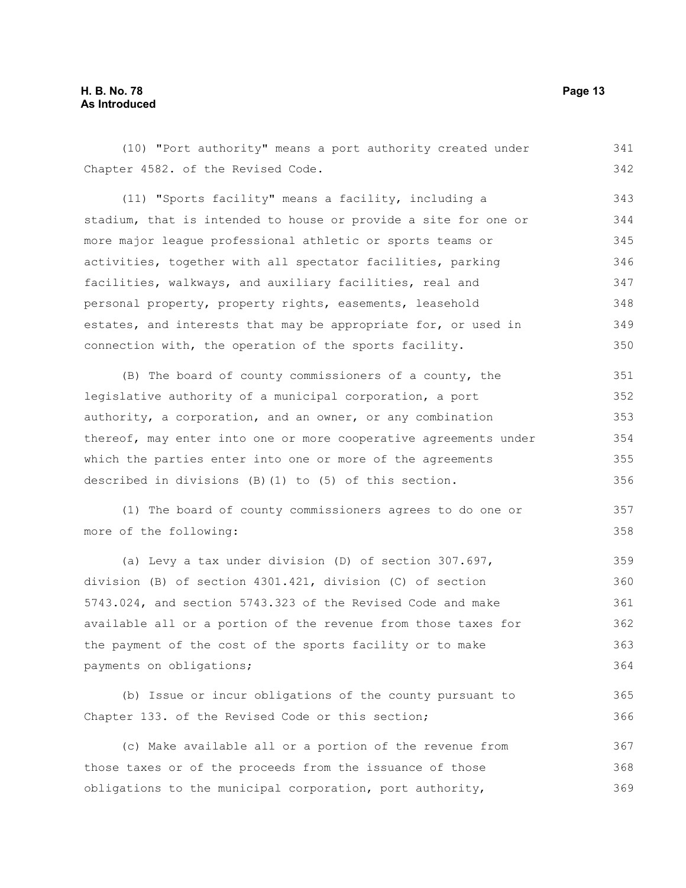#### **H. B. No. 78 Page 13 As Introduced**

(10) "Port authority" means a port authority created under Chapter 4582. of the Revised Code. (11) "Sports facility" means a facility, including a stadium, that is intended to house or provide a site for one or more major league professional athletic or sports teams or activities, together with all spectator facilities, parking facilities, walkways, and auxiliary facilities, real and personal property, property rights, easements, leasehold estates, and interests that may be appropriate for, or used in connection with, the operation of the sports facility. (B) The board of county commissioners of a county, the legislative authority of a municipal corporation, a port authority, a corporation, and an owner, or any combination thereof, may enter into one or more cooperative agreements under which the parties enter into one or more of the agreements described in divisions (B)(1) to (5) of this section. (1) The board of county commissioners agrees to do one or more of the following: (a) Levy a tax under division (D) of section 307.697, division (B) of section 4301.421, division (C) of section 5743.024, and section 5743.323 of the Revised Code and make available all or a portion of the revenue from those taxes for the payment of the cost of the sports facility or to make payments on obligations; (b) Issue or incur obligations of the county pursuant to Chapter 133. of the Revised Code or this section; (c) Make available all or a portion of the revenue from those taxes or of the proceeds from the issuance of those obligations to the municipal corporation, port authority, 341 342 343 344 345 346 347 348 349 350 351 352 353 354 355 356 357 358 359 360 361 362 363 364 365 366 367 368 369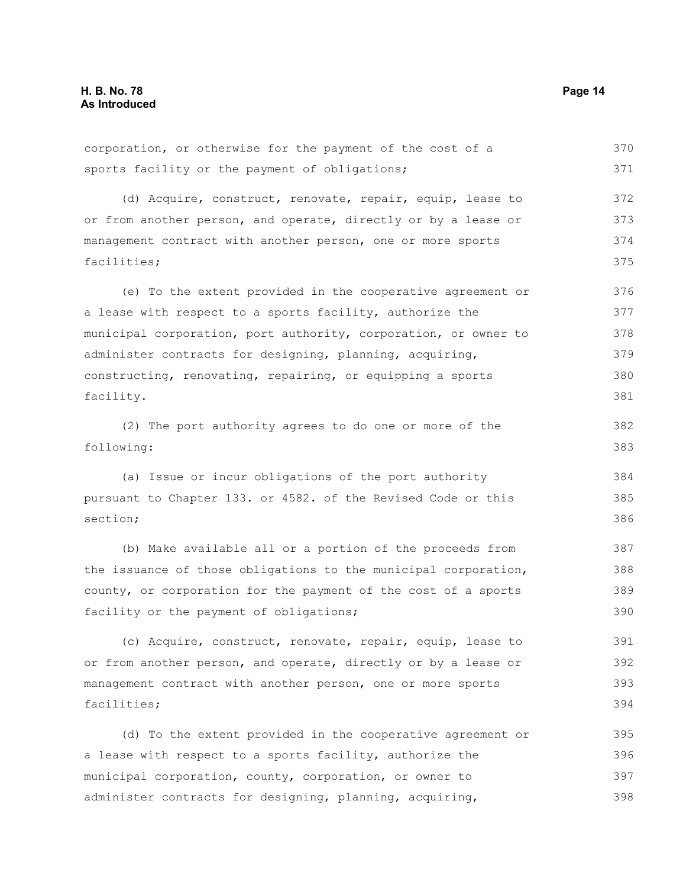corporation, or otherwise for the payment of the cost of a sports facility or the payment of obligations; (d) Acquire, construct, renovate, repair, equip, lease to or from another person, and operate, directly or by a lease or management contract with another person, one or more sports facilities; (e) To the extent provided in the cooperative agreement or a lease with respect to a sports facility, authorize the municipal corporation, port authority, corporation, or owner to administer contracts for designing, planning, acquiring, constructing, renovating, repairing, or equipping a sports facility. (2) The port authority agrees to do one or more of the following: (a) Issue or incur obligations of the port authority pursuant to Chapter 133. or 4582. of the Revised Code or this section; (b) Make available all or a portion of the proceeds from the issuance of those obligations to the municipal corporation, county, or corporation for the payment of the cost of a sports facility or the payment of obligations; (c) Acquire, construct, renovate, repair, equip, lease to or from another person, and operate, directly or by a lease or management contract with another person, one or more sports facilities; (d) To the extent provided in the cooperative agreement or a lease with respect to a sports facility, authorize the municipal corporation, county, corporation, or owner to 370 371 372 373 374 375 376 377 378 379 380 381 382 383 384 385 386 387 388 389 390 391 392 393 394 395 396 397

administer contracts for designing, planning, acquiring,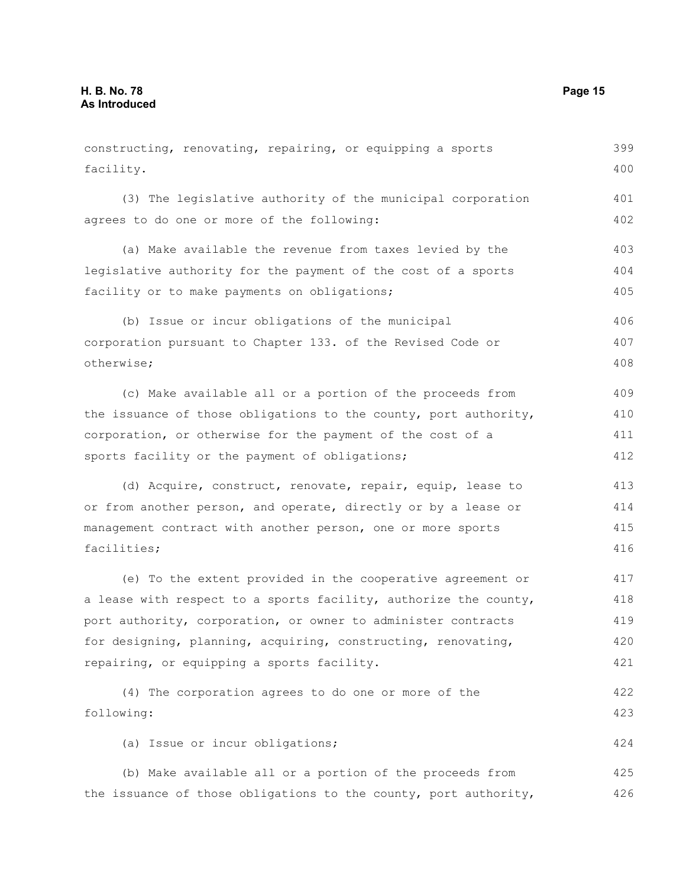constructing, renovating, repairing, or equipping a sports facility. (3) The legislative authority of the municipal corporation agrees to do one or more of the following: (a) Make available the revenue from taxes levied by the legislative authority for the payment of the cost of a sports facility or to make payments on obligations; (b) Issue or incur obligations of the municipal corporation pursuant to Chapter 133. of the Revised Code or otherwise; (c) Make available all or a portion of the proceeds from the issuance of those obligations to the county, port authority, corporation, or otherwise for the payment of the cost of a sports facility or the payment of obligations; (d) Acquire, construct, renovate, repair, equip, lease to or from another person, and operate, directly or by a lease or management contract with another person, one or more sports facilities; (e) To the extent provided in the cooperative agreement or a lease with respect to a sports facility, authorize the county, port authority, corporation, or owner to administer contracts for designing, planning, acquiring, constructing, renovating, repairing, or equipping a sports facility. (4) The corporation agrees to do one or more of the following: (a) Issue or incur obligations; (b) Make available all or a portion of the proceeds from the issuance of those obligations to the county, port authority, 399 400 401 402 403 404 405 406 407 408 409 410 411 412 413 414 415 416 417 418 419 420 421 422 423 424 425 426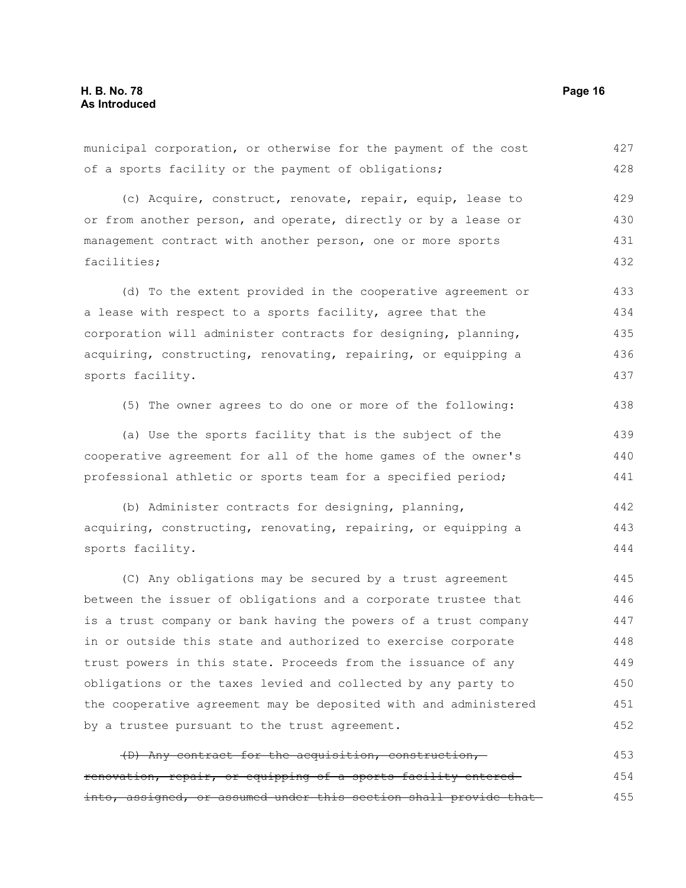(c) Acquire, construct, renovate, repair, equip, lease to or from another person, and operate, directly or by a lease or management contract with another person, one or more sports facilities; (d) To the extent provided in the cooperative agreement or a lease with respect to a sports facility, agree that the corporation will administer contracts for designing, planning, acquiring, constructing, renovating, repairing, or equipping a sports facility. (5) The owner agrees to do one or more of the following: (a) Use the sports facility that is the subject of the cooperative agreement for all of the home games of the owner's professional athletic or sports team for a specified period; (b) Administer contracts for designing, planning, acquiring, constructing, renovating, repairing, or equipping a sports facility. (C) Any obligations may be secured by a trust agreement between the issuer of obligations and a corporate trustee that is a trust company or bank having the powers of a trust company in or outside this state and authorized to exercise corporate trust powers in this state. Proceeds from the issuance of any obligations or the taxes levied and collected by any party to the cooperative agreement may be deposited with and administered by a trustee pursuant to the trust agreement. (D) Any contract for the acquisition, construction, renovation, repair, or equipping of a sports facility entered into, assigned, or assumed under this section shall provide that 429 430 431 432 433 434 435 436 437 438 439 440 441 442 443 444 445 446 447 448 449 450 451 452 453 454 455

municipal corporation, or otherwise for the payment of the cost

of a sports facility or the payment of obligations;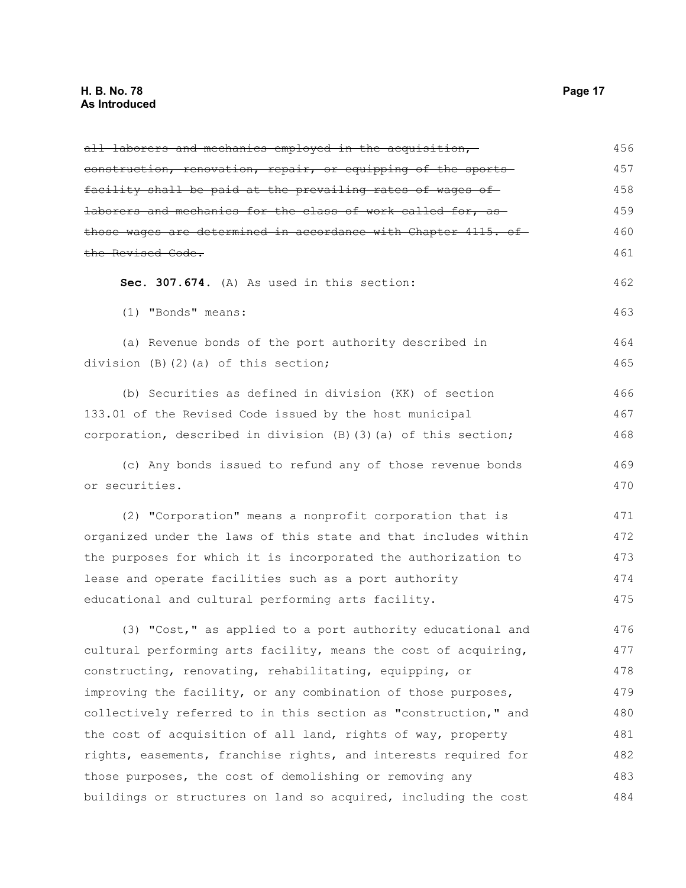## **H. B. No. 78 Page 17 As Introduced**

| all laborers and mechanics employed in the acquisition,                | 456 |
|------------------------------------------------------------------------|-----|
| construction, renovation, repair, or equipping of the sports           | 457 |
| facility shall be paid at the prevailing rates of wages of             | 458 |
| laborers and mechanics for the class of work called for, as            | 459 |
| <u>those wages are determined in accordance with Chapter 4115. of </u> | 460 |
| the Revised Code.                                                      | 461 |
| Sec. 307.674. (A) As used in this section:                             | 462 |
| (1) "Bonds" means:                                                     | 463 |
| (a) Revenue bonds of the port authority described in                   | 464 |
| division (B)(2)(a) of this section;                                    | 465 |
| (b) Securities as defined in division (KK) of section                  | 466 |
| 133.01 of the Revised Code issued by the host municipal                | 467 |
| corporation, described in division (B) (3) (a) of this section;        | 468 |
| (c) Any bonds issued to refund any of those revenue bonds              | 469 |
| or securities.                                                         | 470 |
| (2) "Corporation" means a nonprofit corporation that is                | 471 |
| organized under the laws of this state and that includes within        | 472 |
| the purposes for which it is incorporated the authorization to         | 473 |
| lease and operate facilities such as a port authority                  | 474 |
| educational and cultural performing arts facility.                     | 475 |
| (3) "Cost," as applied to a port authority educational and             | 476 |
| cultural performing arts facility, means the cost of acquiring,        | 477 |
| constructing, renovating, rehabilitating, equipping, or                | 478 |
| improving the facility, or any combination of those purposes,          | 479 |
| collectively referred to in this section as "construction," and        | 480 |
| the cost of acquisition of all land, rights of way, property           | 481 |
| rights, easements, franchise rights, and interests required for        | 482 |
| those purposes, the cost of demolishing or removing any                | 483 |
| buildings or structures on land so acquired, including the cost        | 484 |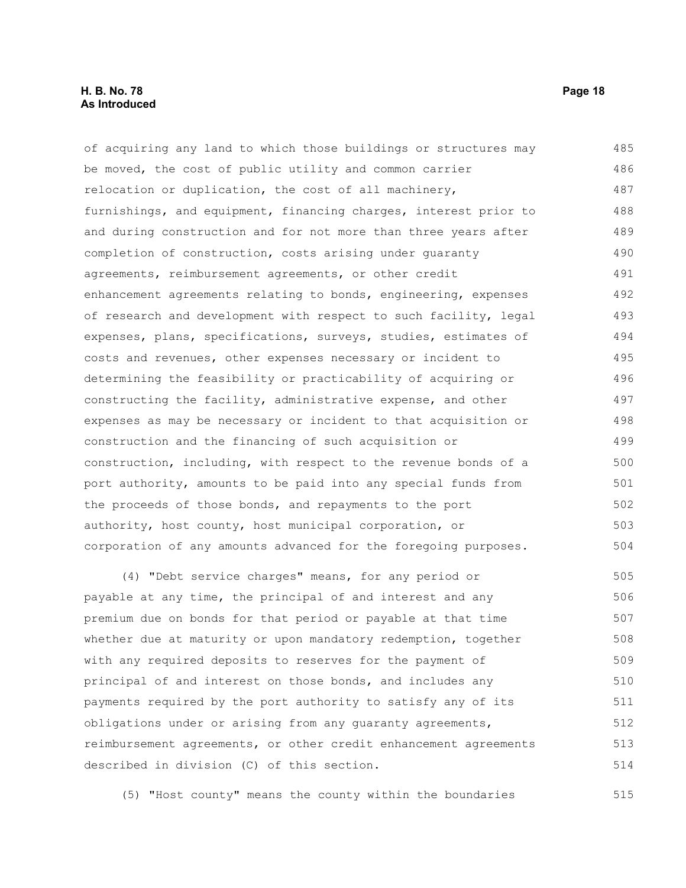#### **H. B. No. 78 Page 18 As Introduced**

of acquiring any land to which those buildings or structures may be moved, the cost of public utility and common carrier relocation or duplication, the cost of all machinery, furnishings, and equipment, financing charges, interest prior to and during construction and for not more than three years after completion of construction, costs arising under guaranty agreements, reimbursement agreements, or other credit enhancement agreements relating to bonds, engineering, expenses of research and development with respect to such facility, legal expenses, plans, specifications, surveys, studies, estimates of costs and revenues, other expenses necessary or incident to determining the feasibility or practicability of acquiring or constructing the facility, administrative expense, and other expenses as may be necessary or incident to that acquisition or construction and the financing of such acquisition or construction, including, with respect to the revenue bonds of a port authority, amounts to be paid into any special funds from the proceeds of those bonds, and repayments to the port authority, host county, host municipal corporation, or corporation of any amounts advanced for the foregoing purposes. (4) "Debt service charges" means, for any period or 485 486 487 488 489 490 491 492 493 494 495 496 497 498 499 500 501 502 503 504 505

payable at any time, the principal of and interest and any premium due on bonds for that period or payable at that time whether due at maturity or upon mandatory redemption, together with any required deposits to reserves for the payment of principal of and interest on those bonds, and includes any payments required by the port authority to satisfy any of its obligations under or arising from any guaranty agreements, reimbursement agreements, or other credit enhancement agreements described in division (C) of this section. 506 507 508 509 510 511 512 513 514

(5) "Host county" means the county within the boundaries 515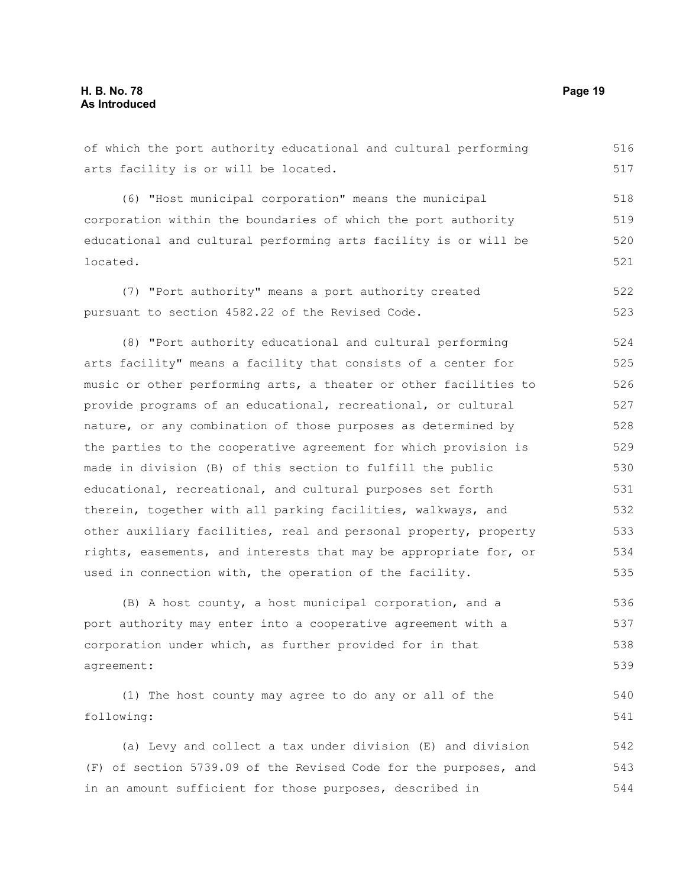of which the port authority educational and cultural performing arts facility is or will be located. 516 517

(6) "Host municipal corporation" means the municipal corporation within the boundaries of which the port authority educational and cultural performing arts facility is or will be located. 518 519 520 521

(7) "Port authority" means a port authority created pursuant to section 4582.22 of the Revised Code. 522 523

(8) "Port authority educational and cultural performing arts facility" means a facility that consists of a center for music or other performing arts, a theater or other facilities to provide programs of an educational, recreational, or cultural nature, or any combination of those purposes as determined by the parties to the cooperative agreement for which provision is made in division (B) of this section to fulfill the public educational, recreational, and cultural purposes set forth therein, together with all parking facilities, walkways, and other auxiliary facilities, real and personal property, property rights, easements, and interests that may be appropriate for, or used in connection with, the operation of the facility. 524 525 526 527 528 529 530 531 532 533 534 535

(B) A host county, a host municipal corporation, and a port authority may enter into a cooperative agreement with a corporation under which, as further provided for in that agreement: 536 537 538 539

(1) The host county may agree to do any or all of the following: 540 541

(a) Levy and collect a tax under division (E) and division (F) of section 5739.09 of the Revised Code for the purposes, and in an amount sufficient for those purposes, described in 542 543 544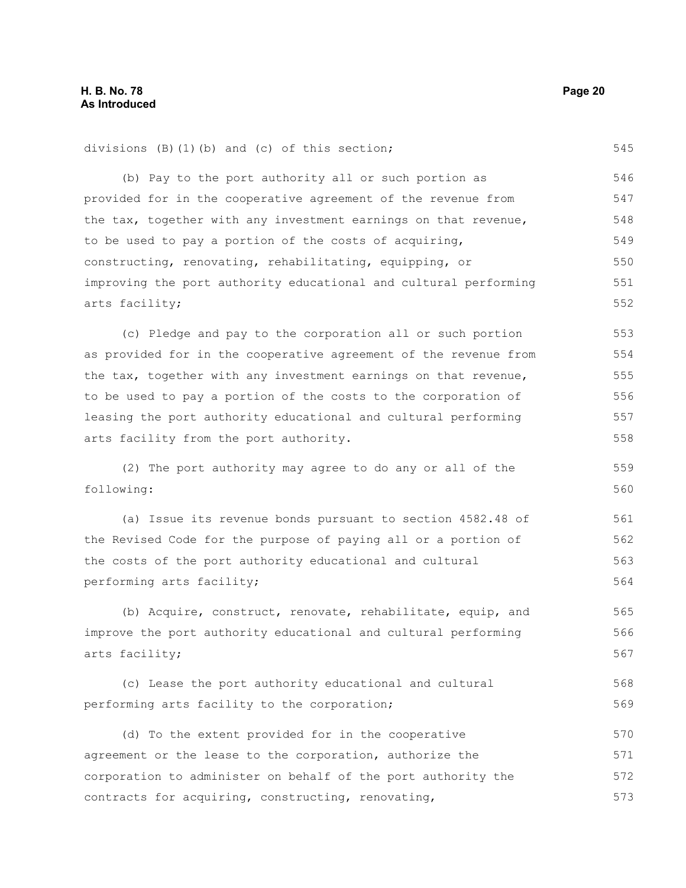545

559 560

divisions (B)(1)(b) and (c) of this section;

(b) Pay to the port authority all or such portion as provided for in the cooperative agreement of the revenue from the tax, together with any investment earnings on that revenue, to be used to pay a portion of the costs of acquiring, constructing, renovating, rehabilitating, equipping, or improving the port authority educational and cultural performing arts facility; 546 547 548 549 550 551 552

(c) Pledge and pay to the corporation all or such portion as provided for in the cooperative agreement of the revenue from the tax, together with any investment earnings on that revenue, to be used to pay a portion of the costs to the corporation of leasing the port authority educational and cultural performing arts facility from the port authority. 553 554 555 556 557 558

(2) The port authority may agree to do any or all of the following:

(a) Issue its revenue bonds pursuant to section 4582.48 of the Revised Code for the purpose of paying all or a portion of the costs of the port authority educational and cultural performing arts facility; 561 562 563 564

(b) Acquire, construct, renovate, rehabilitate, equip, and improve the port authority educational and cultural performing arts facility; 565 566 567

(c) Lease the port authority educational and cultural performing arts facility to the corporation; 568 569

(d) To the extent provided for in the cooperative agreement or the lease to the corporation, authorize the corporation to administer on behalf of the port authority the contracts for acquiring, constructing, renovating, 570 571 572 573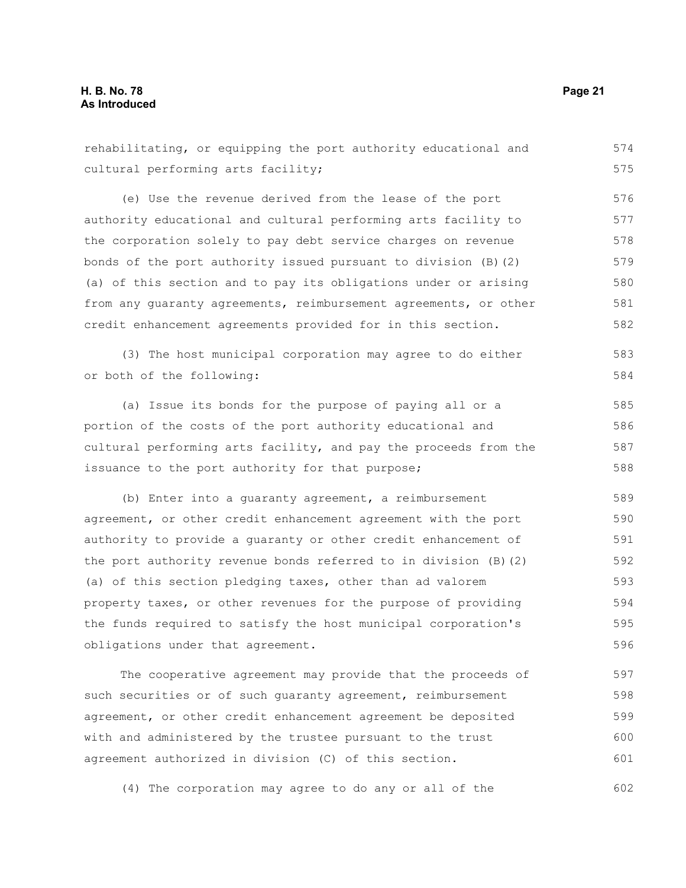rehabilitating, or equipping the port authority educational and cultural performing arts facility; (e) Use the revenue derived from the lease of the port authority educational and cultural performing arts facility to the corporation solely to pay debt service charges on revenue bonds of the port authority issued pursuant to division (B)(2) (a) of this section and to pay its obligations under or arising from any guaranty agreements, reimbursement agreements, or other credit enhancement agreements provided for in this section. (3) The host municipal corporation may agree to do either or both of the following: (a) Issue its bonds for the purpose of paying all or a portion of the costs of the port authority educational and cultural performing arts facility, and pay the proceeds from the issuance to the port authority for that purpose; (b) Enter into a guaranty agreement, a reimbursement agreement, or other credit enhancement agreement with the port authority to provide a guaranty or other credit enhancement of the port authority revenue bonds referred to in division (B)(2) (a) of this section pledging taxes, other than ad valorem property taxes, or other revenues for the purpose of providing the funds required to satisfy the host municipal corporation's obligations under that agreement. 575 576 577 578 579 580 581 582 583 584 585 586 587 588 589 590 591 592 593 594 595 596

The cooperative agreement may provide that the proceeds of such securities or of such guaranty agreement, reimbursement agreement, or other credit enhancement agreement be deposited with and administered by the trustee pursuant to the trust agreement authorized in division (C) of this section. 597 598 599 600 601

(4) The corporation may agree to do any or all of the 602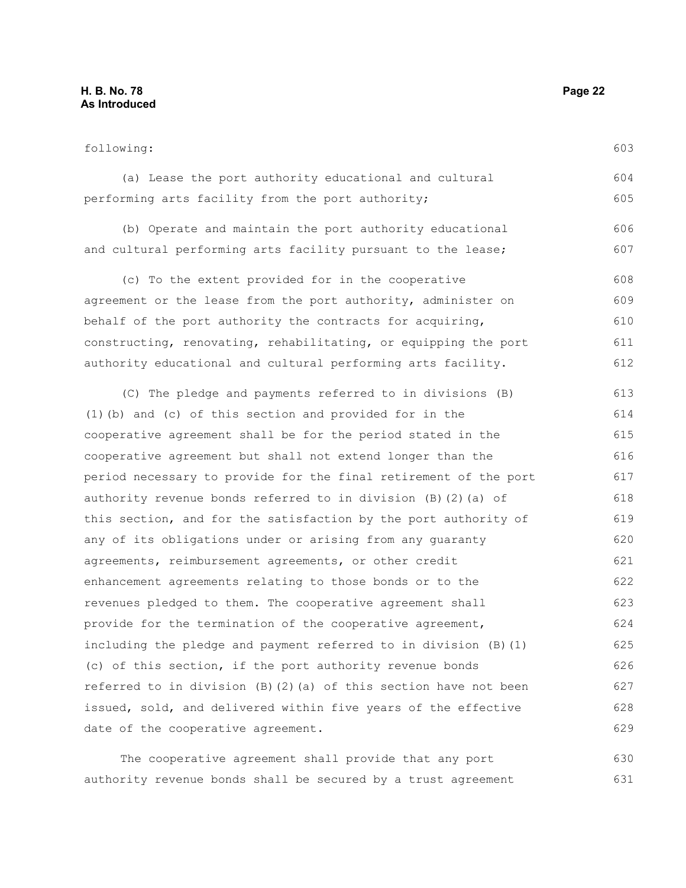#### **H. B. No. 78 Page 22 As Introduced**

#### following:

(a) Lease the port authority educational and cultural performing arts facility from the port authority; 604 605

(b) Operate and maintain the port authority educational and cultural performing arts facility pursuant to the lease; 606 607

(c) To the extent provided for in the cooperative agreement or the lease from the port authority, administer on behalf of the port authority the contracts for acquiring, constructing, renovating, rehabilitating, or equipping the port authority educational and cultural performing arts facility. 608 609 610 611 612

(C) The pledge and payments referred to in divisions (B) (1)(b) and (c) of this section and provided for in the cooperative agreement shall be for the period stated in the cooperative agreement but shall not extend longer than the period necessary to provide for the final retirement of the port authority revenue bonds referred to in division (B)(2)(a) of this section, and for the satisfaction by the port authority of any of its obligations under or arising from any guaranty agreements, reimbursement agreements, or other credit enhancement agreements relating to those bonds or to the revenues pledged to them. The cooperative agreement shall provide for the termination of the cooperative agreement, including the pledge and payment referred to in division (B)(1) (c) of this section, if the port authority revenue bonds referred to in division (B)(2)(a) of this section have not been issued, sold, and delivered within five years of the effective date of the cooperative agreement. 613 614 615 616 617 618 619 620 621 622 623 624 625 626 627 628 629

The cooperative agreement shall provide that any port authority revenue bonds shall be secured by a trust agreement 630 631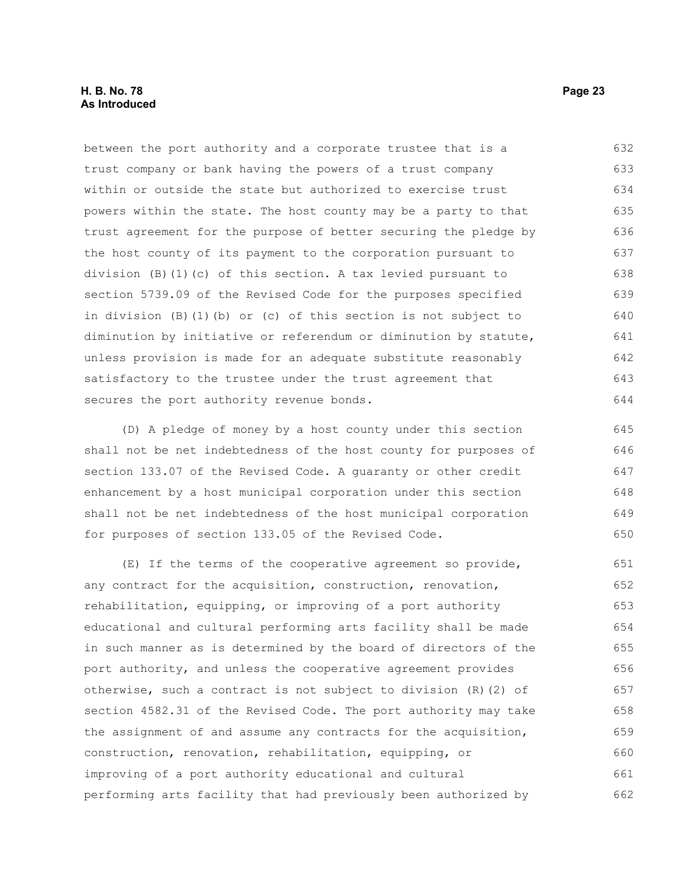#### **H. B. No. 78 Page 23 As Introduced**

between the port authority and a corporate trustee that is a trust company or bank having the powers of a trust company within or outside the state but authorized to exercise trust powers within the state. The host county may be a party to that trust agreement for the purpose of better securing the pledge by the host county of its payment to the corporation pursuant to division (B)(1)(c) of this section. A tax levied pursuant to section 5739.09 of the Revised Code for the purposes specified in division (B)(1)(b) or (c) of this section is not subject to diminution by initiative or referendum or diminution by statute, unless provision is made for an adequate substitute reasonably satisfactory to the trustee under the trust agreement that secures the port authority revenue bonds. 632 633 634 635 636 637 638 639 640 641 642 643 644

(D) A pledge of money by a host county under this section shall not be net indebtedness of the host county for purposes of section 133.07 of the Revised Code. A guaranty or other credit enhancement by a host municipal corporation under this section shall not be net indebtedness of the host municipal corporation for purposes of section 133.05 of the Revised Code.

(E) If the terms of the cooperative agreement so provide, any contract for the acquisition, construction, renovation, rehabilitation, equipping, or improving of a port authority educational and cultural performing arts facility shall be made in such manner as is determined by the board of directors of the port authority, and unless the cooperative agreement provides otherwise, such a contract is not subject to division (R)(2) of section 4582.31 of the Revised Code. The port authority may take the assignment of and assume any contracts for the acquisition, construction, renovation, rehabilitation, equipping, or improving of a port authority educational and cultural performing arts facility that had previously been authorized by 651 652 653 654 655 656 657 658 659 660 661 662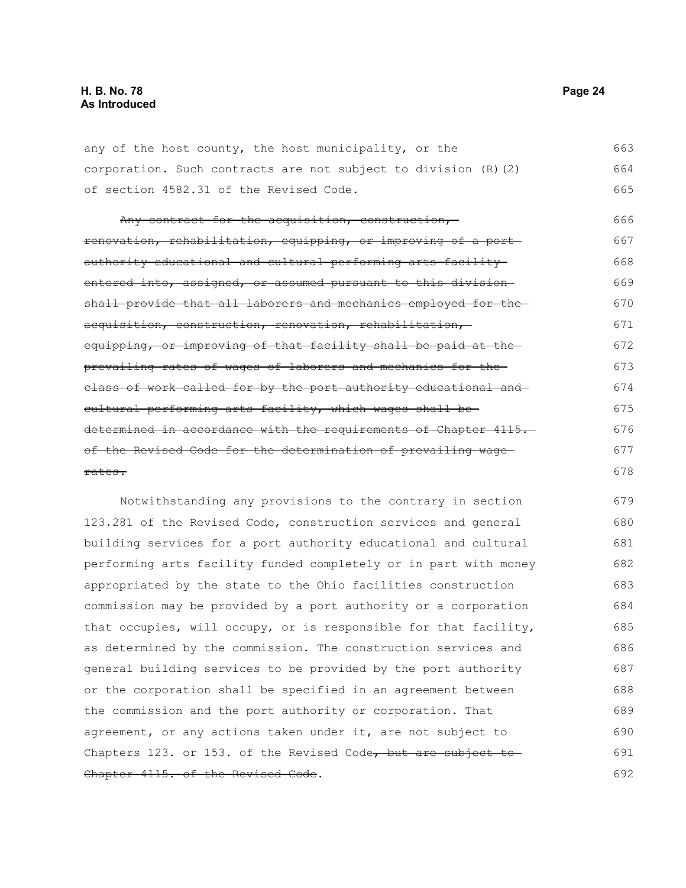any of the host county, the host municipality, or the corporation. Such contracts are not subject to division (R)(2) of section 4582.31 of the Revised Code. 663 664 665

Any contract for the acquisition, construction, renovation, rehabilitation, equipping, or improving of a port authority educational and cultural performing arts facility entered into, assigned, or assumed pursuant to this division shall provide that all laborers and mechanics employed for the acquisition, construction, renovation, rehabilitation, equipping, or improving of that facility shall be paid at the prevailing rates of wages of laborers and mechanics for the class of work called for by the port authority educational and cultural performing arts facility, which wages shall be determined in accordance with the requirements of Chapter 4115. of the Revised Code for the determination of prevailing wage rates. 666 667 668 669 670 671 672 673 674 675 676 677 678

Notwithstanding any provisions to the contrary in section 123.281 of the Revised Code, construction services and general building services for a port authority educational and cultural performing arts facility funded completely or in part with money appropriated by the state to the Ohio facilities construction commission may be provided by a port authority or a corporation that occupies, will occupy, or is responsible for that facility, as determined by the commission. The construction services and general building services to be provided by the port authority or the corporation shall be specified in an agreement between the commission and the port authority or corporation. That agreement, or any actions taken under it, are not subject to Chapters 123. or 153. of the Revised Code, but are subject to-Chapter 4115. of the Revised Code. 679 680 681 682 683 684 685 686 687 688 689 690 691 692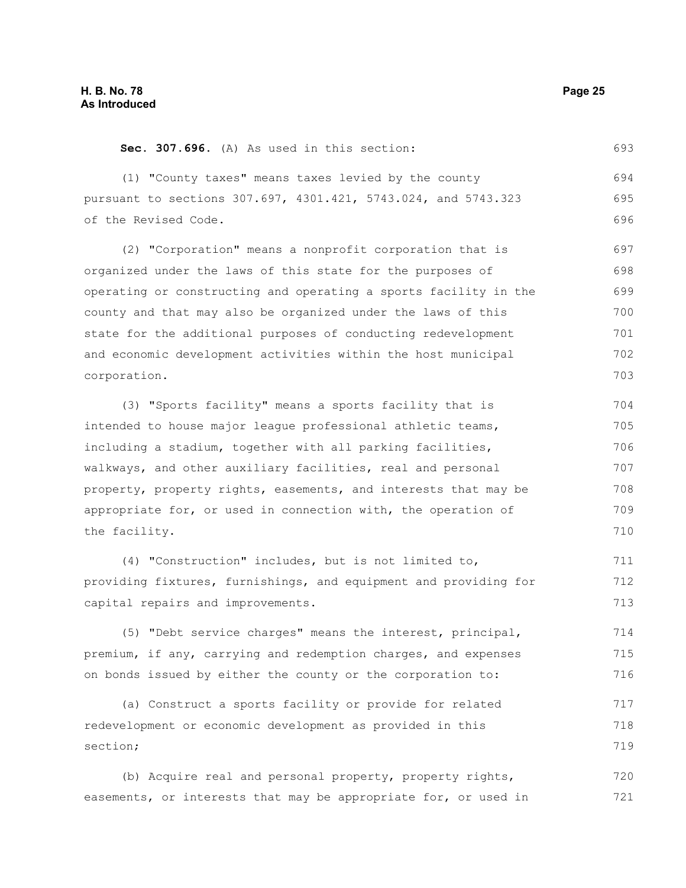section;

**Sec. 307.696.** (A) As used in this section: (1) "County taxes" means taxes levied by the county pursuant to sections 307.697, 4301.421, 5743.024, and 5743.323 of the Revised Code. (2) "Corporation" means a nonprofit corporation that is organized under the laws of this state for the purposes of operating or constructing and operating a sports facility in the county and that may also be organized under the laws of this state for the additional purposes of conducting redevelopment and economic development activities within the host municipal corporation. (3) "Sports facility" means a sports facility that is intended to house major league professional athletic teams, including a stadium, together with all parking facilities, walkways, and other auxiliary facilities, real and personal property, property rights, easements, and interests that may be appropriate for, or used in connection with, the operation of the facility. (4) "Construction" includes, but is not limited to, providing fixtures, furnishings, and equipment and providing for capital repairs and improvements. (5) "Debt service charges" means the interest, principal, premium, if any, carrying and redemption charges, and expenses on bonds issued by either the county or the corporation to: (a) Construct a sports facility or provide for related redevelopment or economic development as provided in this 693 694 695 696 697 698 699 700 701 702 703 704 705 706 707 708 709 710 711 712 713 714 715 716 717 718

(b) Acquire real and personal property, property rights, easements, or interests that may be appropriate for, or used in 720 721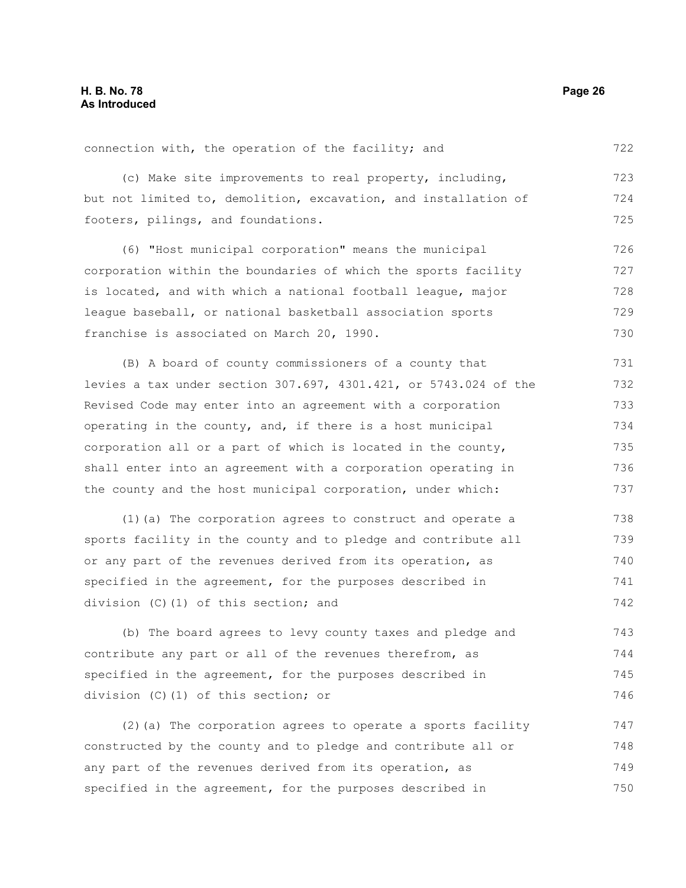connection with, the operation of the facility; and 722

(c) Make site improvements to real property, including, but not limited to, demolition, excavation, and installation of footers, pilings, and foundations.

(6) "Host municipal corporation" means the municipal corporation within the boundaries of which the sports facility is located, and with which a national football league, major league baseball, or national basketball association sports franchise is associated on March 20, 1990. 726 727 728 729 730

(B) A board of county commissioners of a county that levies a tax under section 307.697, 4301.421, or 5743.024 of the Revised Code may enter into an agreement with a corporation operating in the county, and, if there is a host municipal corporation all or a part of which is located in the county, shall enter into an agreement with a corporation operating in the county and the host municipal corporation, under which: 731 732 733 734 735 736 737

(1)(a) The corporation agrees to construct and operate a sports facility in the county and to pledge and contribute all or any part of the revenues derived from its operation, as specified in the agreement, for the purposes described in division (C)(1) of this section; and 738 739 740 741 742

(b) The board agrees to levy county taxes and pledge and contribute any part or all of the revenues therefrom, as specified in the agreement, for the purposes described in division (C)(1) of this section; or 743 744 745 746

(2)(a) The corporation agrees to operate a sports facility constructed by the county and to pledge and contribute all or any part of the revenues derived from its operation, as specified in the agreement, for the purposes described in 747 748 749 750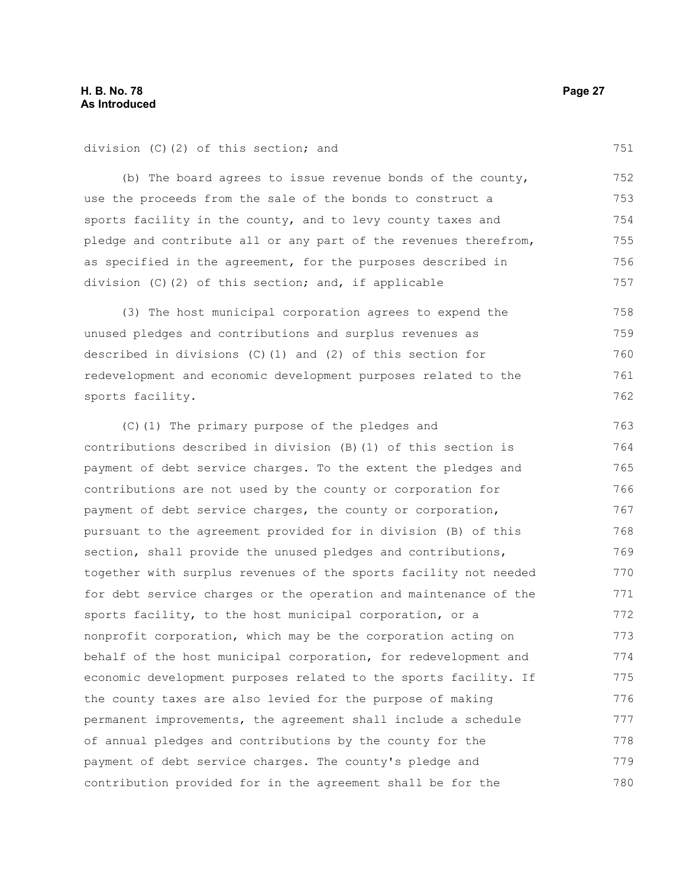division (C)(2) of this section; and

(b) The board agrees to issue revenue bonds of the county, use the proceeds from the sale of the bonds to construct a sports facility in the county, and to levy county taxes and pledge and contribute all or any part of the revenues therefrom, as specified in the agreement, for the purposes described in division (C)(2) of this section; and, if applicable 752 753 754 755 756 757

(3) The host municipal corporation agrees to expend the unused pledges and contributions and surplus revenues as described in divisions (C)(1) and (2) of this section for redevelopment and economic development purposes related to the sports facility. 758 759 760 761 762

(C)(1) The primary purpose of the pledges and contributions described in division (B)(1) of this section is payment of debt service charges. To the extent the pledges and contributions are not used by the county or corporation for payment of debt service charges, the county or corporation, pursuant to the agreement provided for in division (B) of this section, shall provide the unused pledges and contributions, together with surplus revenues of the sports facility not needed for debt service charges or the operation and maintenance of the sports facility, to the host municipal corporation, or a nonprofit corporation, which may be the corporation acting on behalf of the host municipal corporation, for redevelopment and economic development purposes related to the sports facility. If the county taxes are also levied for the purpose of making permanent improvements, the agreement shall include a schedule of annual pledges and contributions by the county for the payment of debt service charges. The county's pledge and contribution provided for in the agreement shall be for the 763 764 765 766 767 768 769 770 771 772 773 774 775 776 777 778 779 780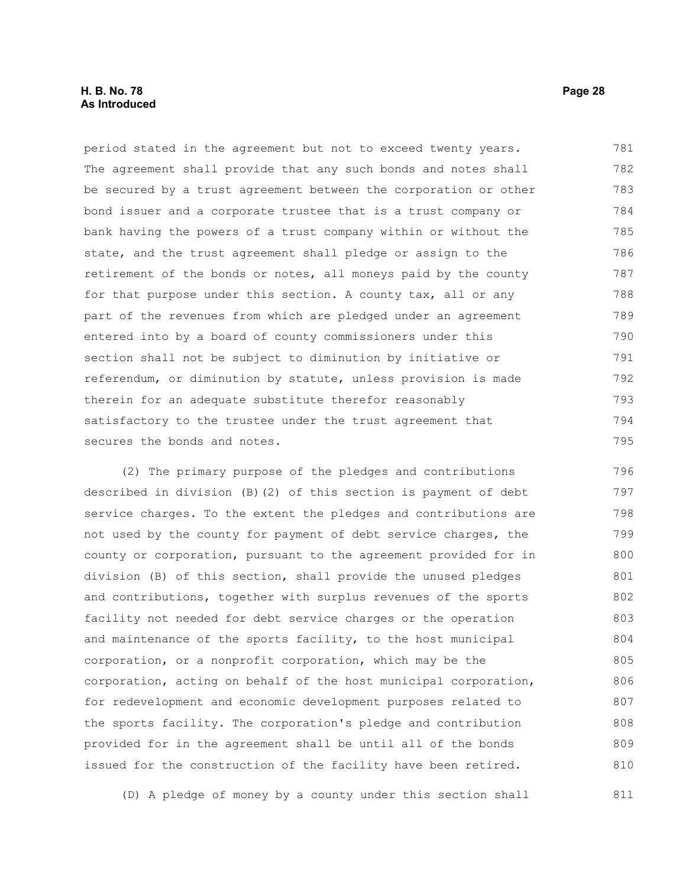#### **H. B. No. 78 Page 28 As Introduced**

period stated in the agreement but not to exceed twenty years. The agreement shall provide that any such bonds and notes shall be secured by a trust agreement between the corporation or other bond issuer and a corporate trustee that is a trust company or bank having the powers of a trust company within or without the state, and the trust agreement shall pledge or assign to the retirement of the bonds or notes, all moneys paid by the county for that purpose under this section. A county tax, all or any part of the revenues from which are pledged under an agreement entered into by a board of county commissioners under this section shall not be subject to diminution by initiative or referendum, or diminution by statute, unless provision is made therein for an adequate substitute therefor reasonably satisfactory to the trustee under the trust agreement that secures the bonds and notes. 781 782 783 784 785 786 787 788 789 790 791 792 793 794 795

(2) The primary purpose of the pledges and contributions described in division (B)(2) of this section is payment of debt service charges. To the extent the pledges and contributions are not used by the county for payment of debt service charges, the county or corporation, pursuant to the agreement provided for in division (B) of this section, shall provide the unused pledges and contributions, together with surplus revenues of the sports facility not needed for debt service charges or the operation and maintenance of the sports facility, to the host municipal corporation, or a nonprofit corporation, which may be the corporation, acting on behalf of the host municipal corporation, for redevelopment and economic development purposes related to the sports facility. The corporation's pledge and contribution provided for in the agreement shall be until all of the bonds issued for the construction of the facility have been retired. 796 797 798 799 800 801 802 803 804 805 806 807 808 809 810

(D) A pledge of money by a county under this section shall 811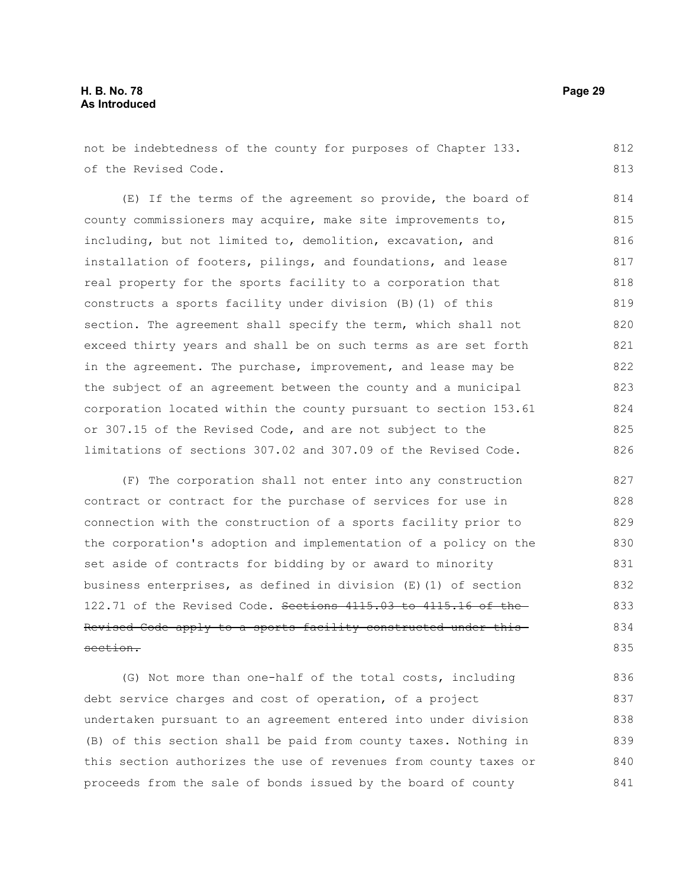not be indebtedness of the county for purposes of Chapter 133. of the Revised Code. 812 813

(E) If the terms of the agreement so provide, the board of county commissioners may acquire, make site improvements to, including, but not limited to, demolition, excavation, and installation of footers, pilings, and foundations, and lease real property for the sports facility to a corporation that constructs a sports facility under division (B)(1) of this section. The agreement shall specify the term, which shall not exceed thirty years and shall be on such terms as are set forth in the agreement. The purchase, improvement, and lease may be the subject of an agreement between the county and a municipal corporation located within the county pursuant to section 153.61 or 307.15 of the Revised Code, and are not subject to the limitations of sections 307.02 and 307.09 of the Revised Code. 814 815 816 817 818 819 820 821 822 823 824 825 826

(F) The corporation shall not enter into any construction contract or contract for the purchase of services for use in connection with the construction of a sports facility prior to the corporation's adoption and implementation of a policy on the set aside of contracts for bidding by or award to minority business enterprises, as defined in division (E)(1) of section 122.71 of the Revised Code. Sections 4115.03 to 4115.16 of the-Revised Code apply to a sports facility constructed under this section. 827 828 829 830 831 832 833 834 835

(G) Not more than one-half of the total costs, including debt service charges and cost of operation, of a project undertaken pursuant to an agreement entered into under division (B) of this section shall be paid from county taxes. Nothing in this section authorizes the use of revenues from county taxes or proceeds from the sale of bonds issued by the board of county 836 837 838 839 840 841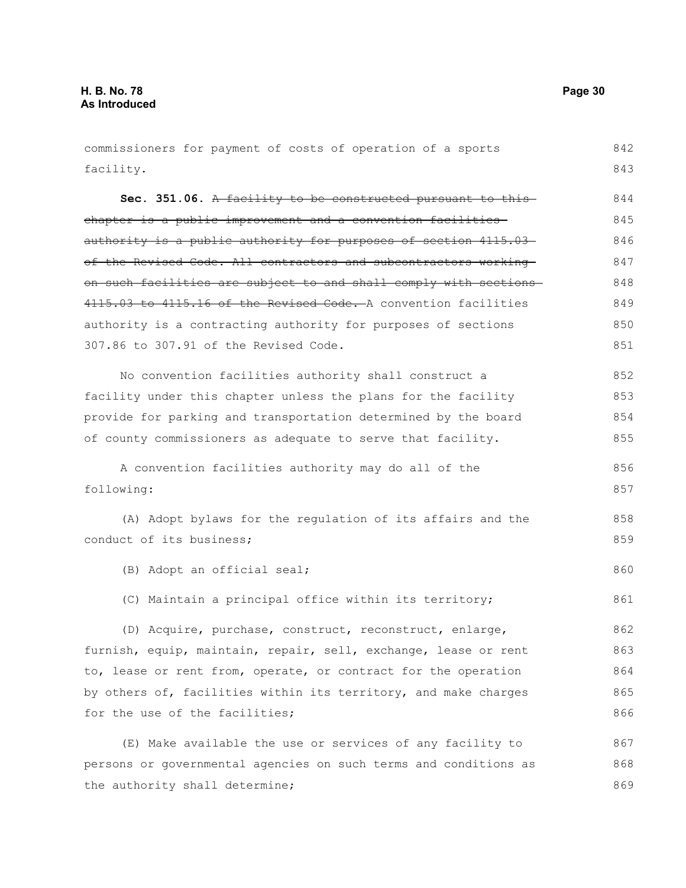the authority shall determine;

commissioners for payment of costs of operation of a sports facility. **Sec. 351.06.** A facility to be constructed pursuant to this chapter is a public improvement and a convention facilities authority is a public authority for purposes of section 4115.03of the Revised Code. All contractors and subcontractors working on such facilities are subject to and shall comply with sections 4115.03 to 4115.16 of the Revised Code. A convention facilities authority is a contracting authority for purposes of sections 307.86 to 307.91 of the Revised Code. No convention facilities authority shall construct a facility under this chapter unless the plans for the facility provide for parking and transportation determined by the board of county commissioners as adequate to serve that facility. A convention facilities authority may do all of the following: (A) Adopt bylaws for the regulation of its affairs and the conduct of its business; (B) Adopt an official seal; (C) Maintain a principal office within its territory; (D) Acquire, purchase, construct, reconstruct, enlarge, furnish, equip, maintain, repair, sell, exchange, lease or rent to, lease or rent from, operate, or contract for the operation by others of, facilities within its territory, and make charges for the use of the facilities: (E) Make available the use or services of any facility to persons or governmental agencies on such terms and conditions as 842 843 844 845 846 847 848 849 850 851 852 853 854 855 856 857 858 859 860 861 862 863 864 865 866 867 868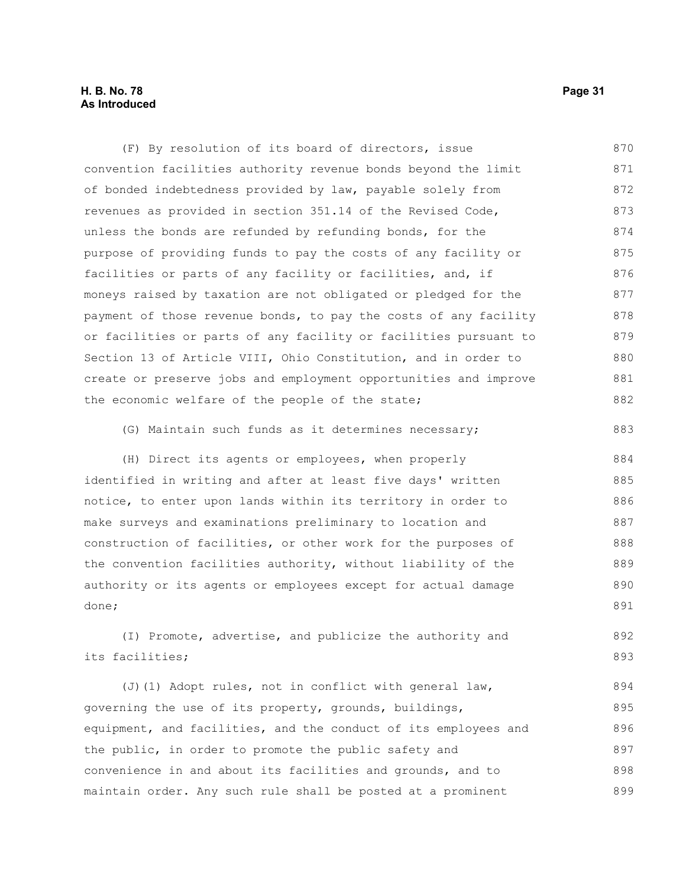#### **H. B. No. 78 Page 31 As Introduced**

convention facilities authority revenue bonds beyond the limit of bonded indebtedness provided by law, payable solely from revenues as provided in section 351.14 of the Revised Code, unless the bonds are refunded by refunding bonds, for the purpose of providing funds to pay the costs of any facility or facilities or parts of any facility or facilities, and, if moneys raised by taxation are not obligated or pledged for the payment of those revenue bonds, to pay the costs of any facility or facilities or parts of any facility or facilities pursuant to Section 13 of Article VIII, Ohio Constitution, and in order to create or preserve jobs and employment opportunities and improve the economic welfare of the people of the state; (G) Maintain such funds as it determines necessary; (H) Direct its agents or employees, when properly identified in writing and after at least five days' written notice, to enter upon lands within its territory in order to make surveys and examinations preliminary to location and construction of facilities, or other work for the purposes of the convention facilities authority, without liability of the authority or its agents or employees except for actual damage done; (I) Promote, advertise, and publicize the authority and its facilities; (J)(1) Adopt rules, not in conflict with general law, governing the use of its property, grounds, buildings, equipment, and facilities, and the conduct of its employees and the public, in order to promote the public safety and convenience in and about its facilities and grounds, and to 871 872 873 874 875 876 877 878 879 880 881 882 883 884 885 886 887 888 889 890 891 892 893 894 895 896 897 898

(F) By resolution of its board of directors, issue

maintain order. Any such rule shall be posted at a prominent 899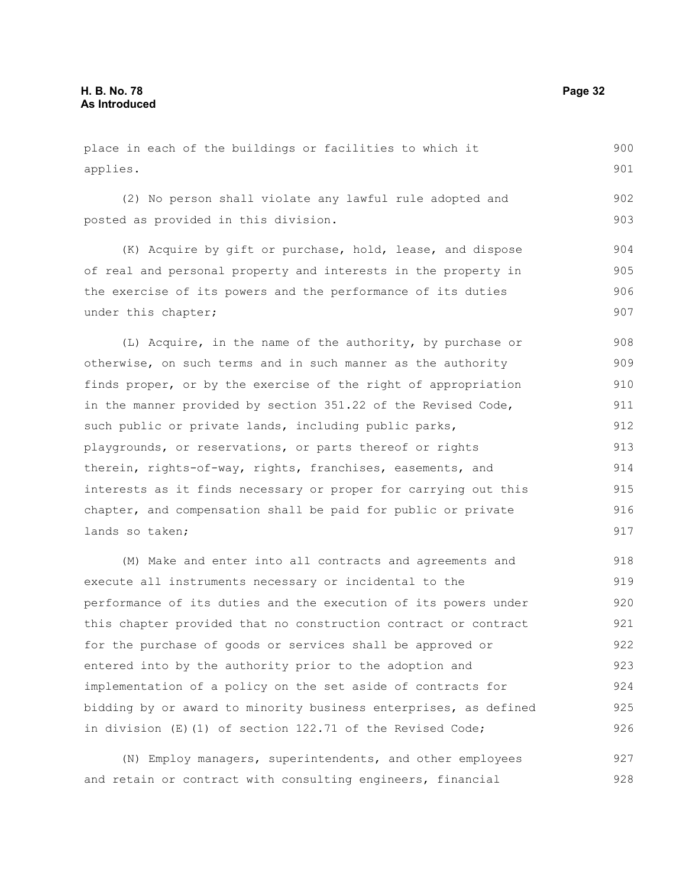place in each of the buildings or facilities to which it applies. (2) No person shall violate any lawful rule adopted and posted as provided in this division. 900 901 902 903

(K) Acquire by gift or purchase, hold, lease, and dispose of real and personal property and interests in the property in the exercise of its powers and the performance of its duties under this chapter; 904 905 906 907

(L) Acquire, in the name of the authority, by purchase or otherwise, on such terms and in such manner as the authority finds proper, or by the exercise of the right of appropriation in the manner provided by section 351.22 of the Revised Code, such public or private lands, including public parks, playgrounds, or reservations, or parts thereof or rights therein, rights-of-way, rights, franchises, easements, and interests as it finds necessary or proper for carrying out this chapter, and compensation shall be paid for public or private lands so taken; 908 909 910 911 912 913 914 915 916 917

(M) Make and enter into all contracts and agreements and execute all instruments necessary or incidental to the performance of its duties and the execution of its powers under this chapter provided that no construction contract or contract for the purchase of goods or services shall be approved or entered into by the authority prior to the adoption and implementation of a policy on the set aside of contracts for bidding by or award to minority business enterprises, as defined in division (E)(1) of section 122.71 of the Revised Code; 918 919 920 921 922 923 924 925 926

(N) Employ managers, superintendents, and other employees and retain or contract with consulting engineers, financial 927 928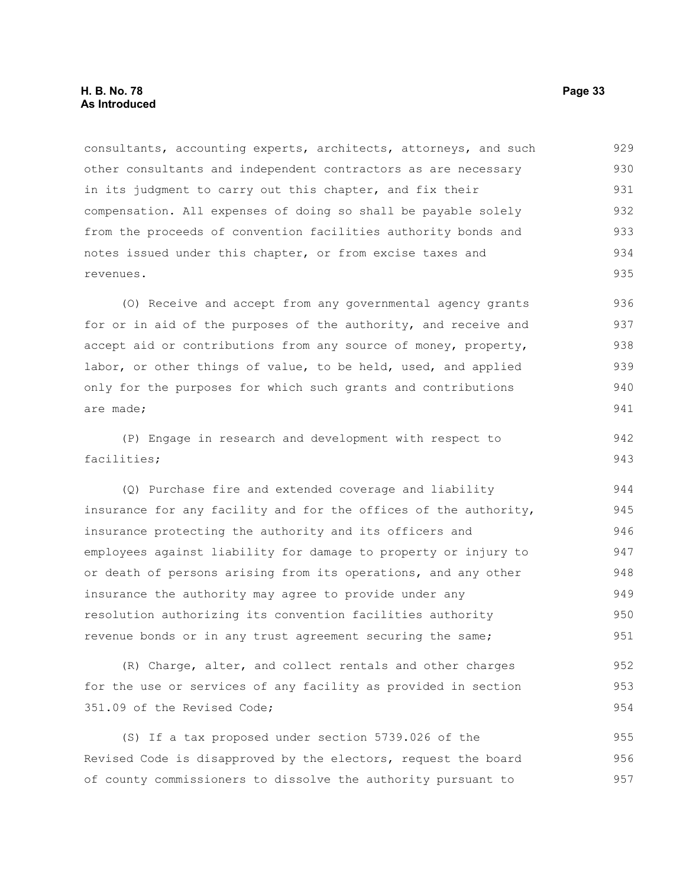consultants, accounting experts, architects, attorneys, and such other consultants and independent contractors as are necessary in its judgment to carry out this chapter, and fix their compensation. All expenses of doing so shall be payable solely from the proceeds of convention facilities authority bonds and notes issued under this chapter, or from excise taxes and revenues. 929 930 931 932 933 934 935

(O) Receive and accept from any governmental agency grants for or in aid of the purposes of the authority, and receive and accept aid or contributions from any source of money, property, labor, or other things of value, to be held, used, and applied only for the purposes for which such grants and contributions are made; 936 937 938 939 940 941

(P) Engage in research and development with respect to facilities; 942 943

(Q) Purchase fire and extended coverage and liability insurance for any facility and for the offices of the authority, insurance protecting the authority and its officers and employees against liability for damage to property or injury to or death of persons arising from its operations, and any other insurance the authority may agree to provide under any resolution authorizing its convention facilities authority revenue bonds or in any trust agreement securing the same; 944 945 946 947 948 949 950 951

(R) Charge, alter, and collect rentals and other charges for the use or services of any facility as provided in section 351.09 of the Revised Code; 952 953 954

(S) If a tax proposed under section 5739.026 of the Revised Code is disapproved by the electors, request the board of county commissioners to dissolve the authority pursuant to 955 956 957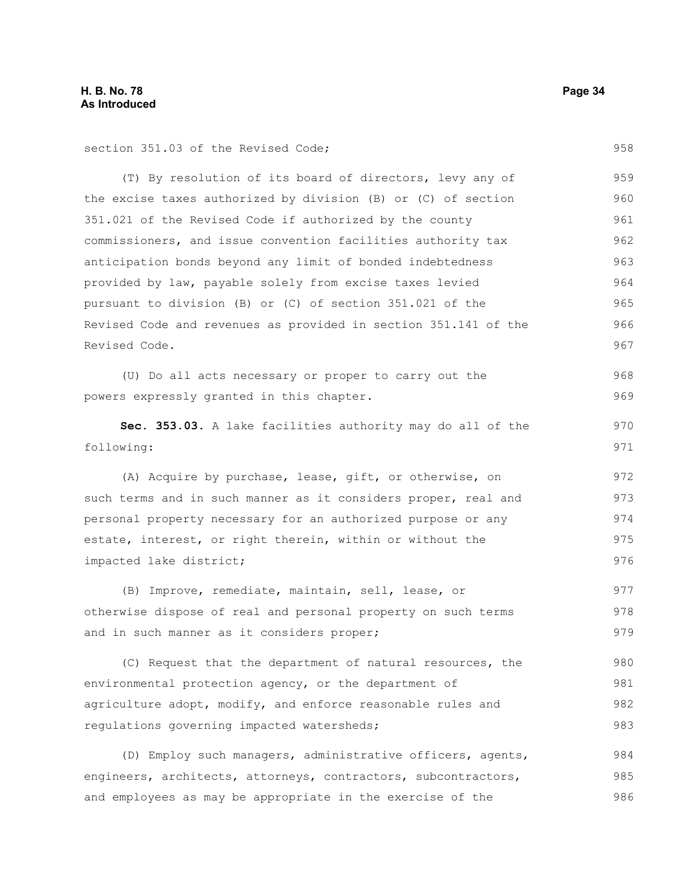section 351.03 of the Revised Code;

(T) By resolution of its board of directors, levy any of the excise taxes authorized by division (B) or (C) of section 351.021 of the Revised Code if authorized by the county commissioners, and issue convention facilities authority tax anticipation bonds beyond any limit of bonded indebtedness provided by law, payable solely from excise taxes levied pursuant to division (B) or (C) of section 351.021 of the Revised Code and revenues as provided in section 351.141 of the Revised Code. 959 960 961 962 963 964 965 966 967

(U) Do all acts necessary or proper to carry out the powers expressly granted in this chapter. 968 969

**Sec. 353.03.** A lake facilities authority may do all of the following:

(A) Acquire by purchase, lease, gift, or otherwise, on such terms and in such manner as it considers proper, real and personal property necessary for an authorized purpose or any estate, interest, or right therein, within or without the impacted lake district;

(B) Improve, remediate, maintain, sell, lease, or otherwise dispose of real and personal property on such terms and in such manner as it considers proper; 977 978 979

(C) Request that the department of natural resources, the environmental protection agency, or the department of agriculture adopt, modify, and enforce reasonable rules and regulations governing impacted watersheds; 980 981 982 983

(D) Employ such managers, administrative officers, agents, engineers, architects, attorneys, contractors, subcontractors, and employees as may be appropriate in the exercise of the 984 985 986

958

970 971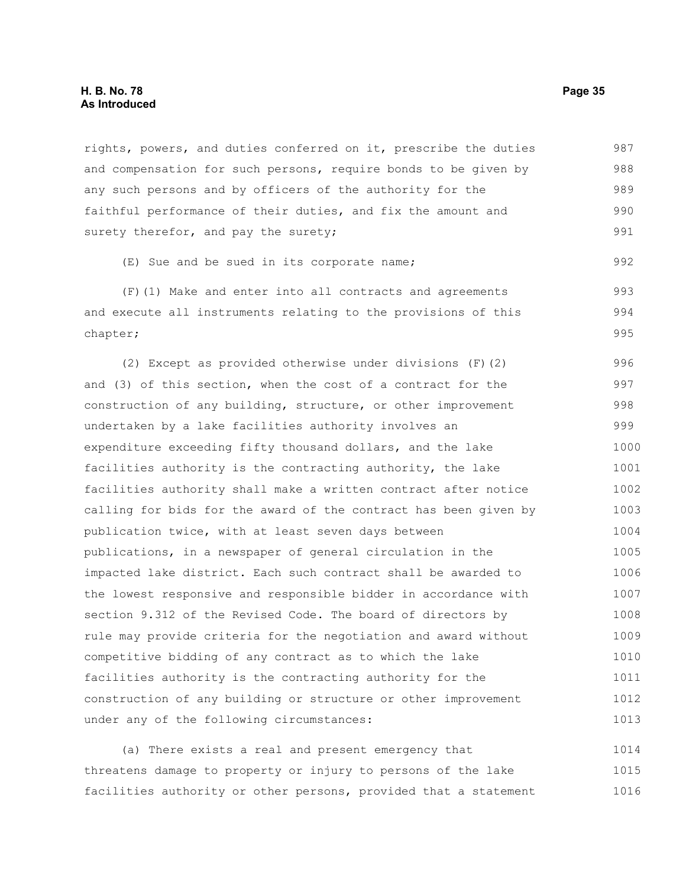rights, powers, and duties conferred on it, prescribe the duties and compensation for such persons, require bonds to be given by any such persons and by officers of the authority for the faithful performance of their duties, and fix the amount and surety therefor, and pay the surety; 987 988 989 990 991

(E) Sue and be sued in its corporate name;

(F)(1) Make and enter into all contracts and agreements and execute all instruments relating to the provisions of this chapter; 993 994 995

(2) Except as provided otherwise under divisions (F)(2) and (3) of this section, when the cost of a contract for the construction of any building, structure, or other improvement undertaken by a lake facilities authority involves an expenditure exceeding fifty thousand dollars, and the lake facilities authority is the contracting authority, the lake facilities authority shall make a written contract after notice calling for bids for the award of the contract has been given by publication twice, with at least seven days between publications, in a newspaper of general circulation in the impacted lake district. Each such contract shall be awarded to the lowest responsive and responsible bidder in accordance with section 9.312 of the Revised Code. The board of directors by rule may provide criteria for the negotiation and award without competitive bidding of any contract as to which the lake facilities authority is the contracting authority for the construction of any building or structure or other improvement under any of the following circumstances: 996 997 998 999 1000 1001 1002 1003 1004 1005 1006 1007 1008 1009 1010 1011 1012 1013

(a) There exists a real and present emergency that threatens damage to property or injury to persons of the lake facilities authority or other persons, provided that a statement 1014 1015 1016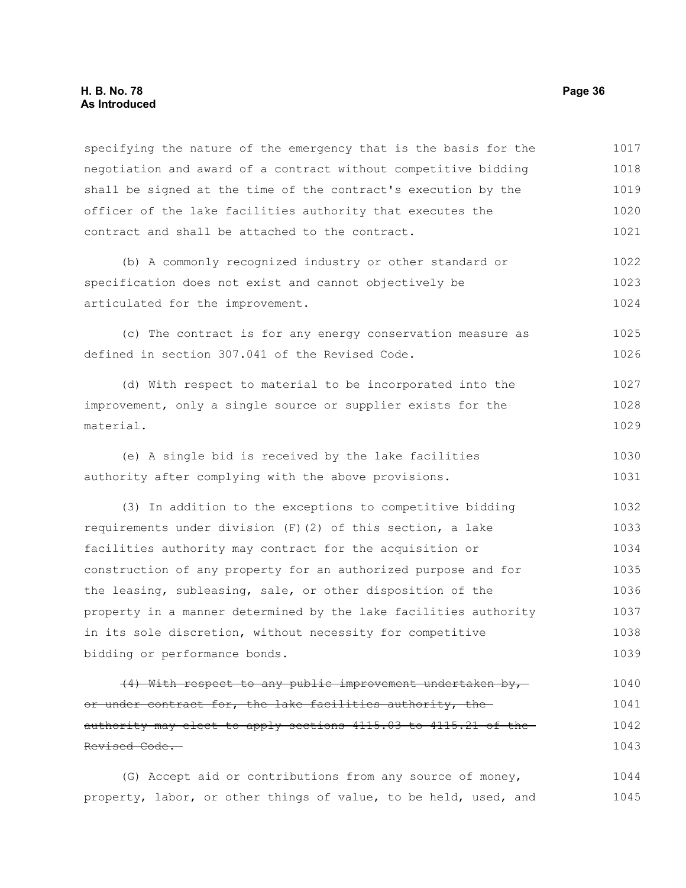#### **H. B. No. 78 Page 36 As Introduced**

specifying the nature of the emergency that is the basis for the negotiation and award of a contract without competitive bidding shall be signed at the time of the contract's execution by the officer of the lake facilities authority that executes the contract and shall be attached to the contract. 1017 1018 1019 1020 1021

(b) A commonly recognized industry or other standard or specification does not exist and cannot objectively be articulated for the improvement. 1022 1023 1024

(c) The contract is for any energy conservation measure as defined in section 307.041 of the Revised Code. 1025 1026

(d) With respect to material to be incorporated into the improvement, only a single source or supplier exists for the material. 1027 1028 1029

(e) A single bid is received by the lake facilities authority after complying with the above provisions. 1030 1031

(3) In addition to the exceptions to competitive bidding requirements under division (F)(2) of this section, a lake facilities authority may contract for the acquisition or construction of any property for an authorized purpose and for the leasing, subleasing, sale, or other disposition of the property in a manner determined by the lake facilities authority in its sole discretion, without necessity for competitive bidding or performance bonds. 1032 1033 1034 1035 1036 1037 1038 1039

(4) With respect to any public improvement undertaken by, or under contract for, the lake facilities authority, the authority may elect to apply sections 4115.03 to 4115.21 of the Revised Code. 1040 1041 1042 1043

(G) Accept aid or contributions from any source of money, property, labor, or other things of value, to be held, used, and 1044 1045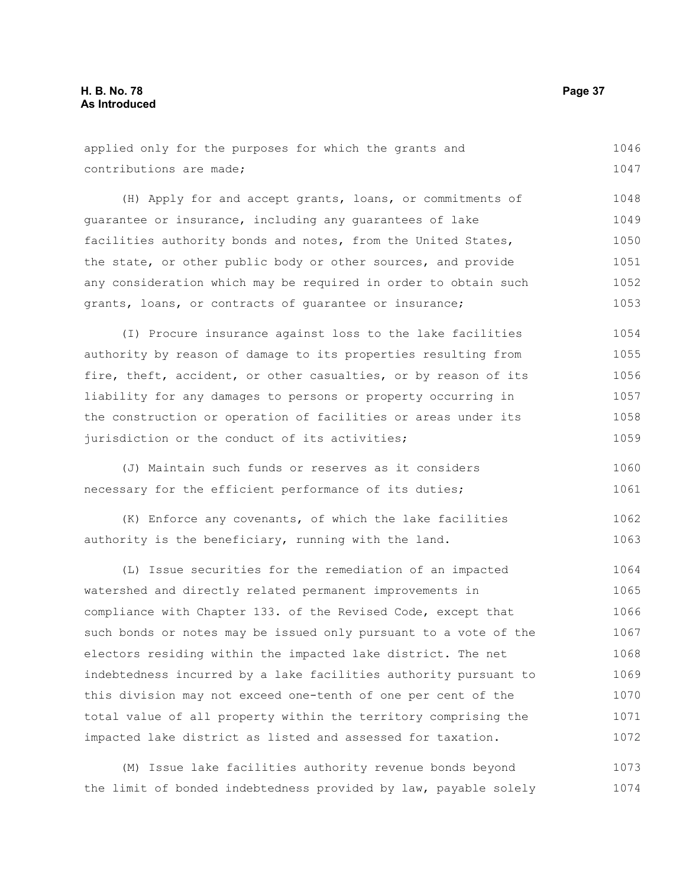applied only for the purposes for which the grants and contributions are made; 1046 1047

(H) Apply for and accept grants, loans, or commitments of guarantee or insurance, including any guarantees of lake facilities authority bonds and notes, from the United States, the state, or other public body or other sources, and provide any consideration which may be required in order to obtain such grants, loans, or contracts of guarantee or insurance; 1048 1049 1050 1051 1052 1053

(I) Procure insurance against loss to the lake facilities authority by reason of damage to its properties resulting from fire, theft, accident, or other casualties, or by reason of its liability for any damages to persons or property occurring in the construction or operation of facilities or areas under its jurisdiction or the conduct of its activities; 1054 1055 1056 1057 1058 1059

(J) Maintain such funds or reserves as it considers necessary for the efficient performance of its duties; 1060 1061

(K) Enforce any covenants, of which the lake facilities authority is the beneficiary, running with the land. 1062 1063

(L) Issue securities for the remediation of an impacted watershed and directly related permanent improvements in compliance with Chapter 133. of the Revised Code, except that such bonds or notes may be issued only pursuant to a vote of the electors residing within the impacted lake district. The net indebtedness incurred by a lake facilities authority pursuant to this division may not exceed one-tenth of one per cent of the total value of all property within the territory comprising the impacted lake district as listed and assessed for taxation. 1064 1065 1066 1067 1068 1069 1070 1071 1072

(M) Issue lake facilities authority revenue bonds beyond the limit of bonded indebtedness provided by law, payable solely 1073 1074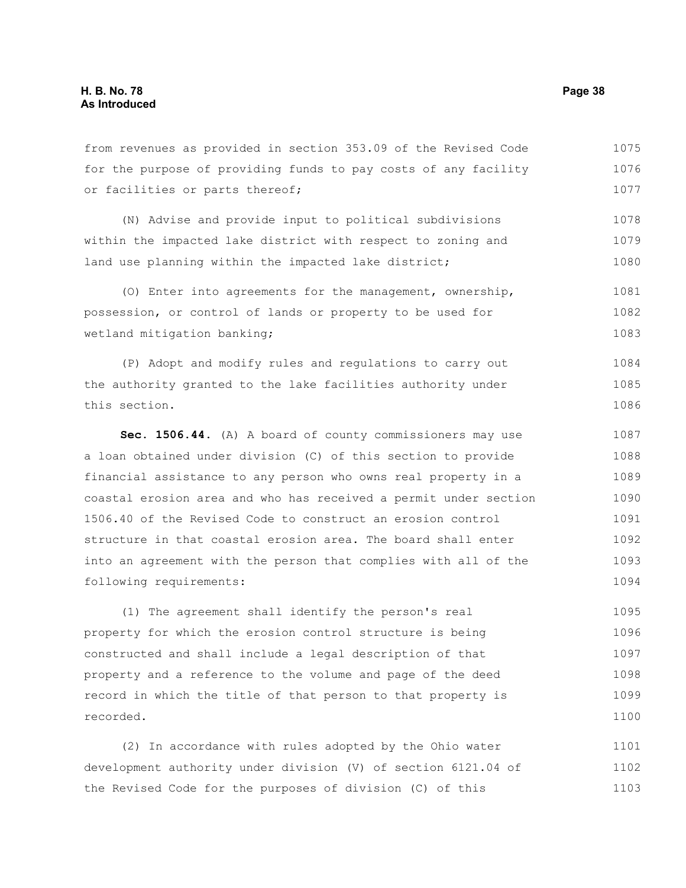from revenues as provided in section 353.09 of the Revised Code for the purpose of providing funds to pay costs of any facility or facilities or parts thereof; 1075 1076 1077

(N) Advise and provide input to political subdivisions within the impacted lake district with respect to zoning and land use planning within the impacted lake district; 1078 1079 1080

(O) Enter into agreements for the management, ownership, possession, or control of lands or property to be used for wetland mitigation banking; 1081 1082 1083

(P) Adopt and modify rules and regulations to carry out the authority granted to the lake facilities authority under this section. 1084 1085 1086

**Sec. 1506.44.** (A) A board of county commissioners may use a loan obtained under division (C) of this section to provide financial assistance to any person who owns real property in a coastal erosion area and who has received a permit under section 1506.40 of the Revised Code to construct an erosion control structure in that coastal erosion area. The board shall enter into an agreement with the person that complies with all of the following requirements: 1087 1088 1089 1090 1091 1092 1093 1094

(1) The agreement shall identify the person's real property for which the erosion control structure is being constructed and shall include a legal description of that property and a reference to the volume and page of the deed record in which the title of that person to that property is recorded. 1095 1096 1097 1098 1099 1100

(2) In accordance with rules adopted by the Ohio water development authority under division (V) of section 6121.04 of the Revised Code for the purposes of division (C) of this 1101 1102 1103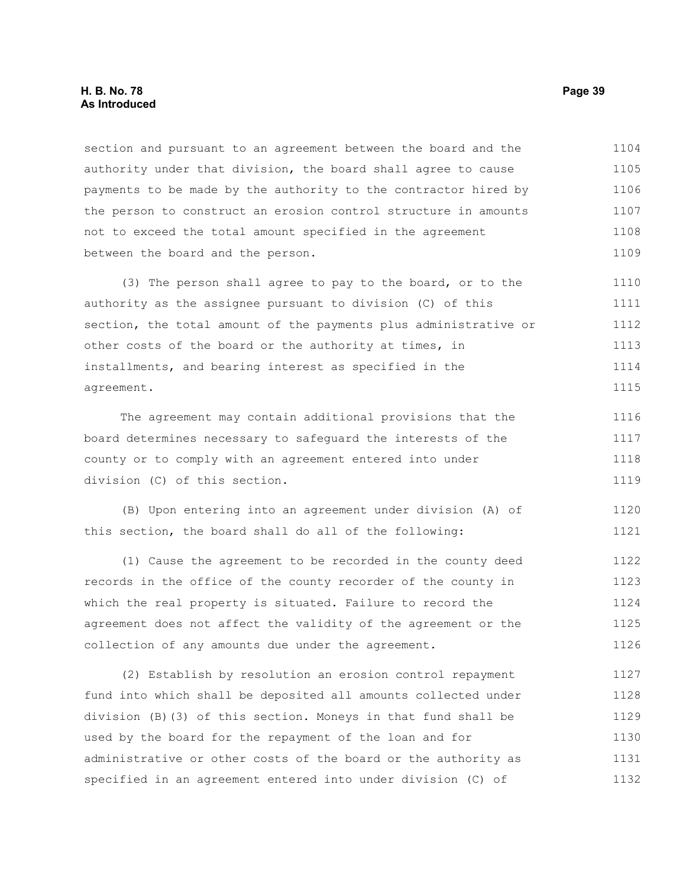#### **H. B. No. 78 Page 39 As Introduced**

section and pursuant to an agreement between the board and the authority under that division, the board shall agree to cause payments to be made by the authority to the contractor hired by the person to construct an erosion control structure in amounts not to exceed the total amount specified in the agreement between the board and the person. 1104 1105 1106 1107 1108 1109

(3) The person shall agree to pay to the board, or to the authority as the assignee pursuant to division (C) of this section, the total amount of the payments plus administrative or other costs of the board or the authority at times, in installments, and bearing interest as specified in the agreement. 1110 1111 1112 1113 1114 1115

The agreement may contain additional provisions that the board determines necessary to safeguard the interests of the county or to comply with an agreement entered into under division (C) of this section. 1116 1117 1118 1119

(B) Upon entering into an agreement under division (A) of this section, the board shall do all of the following: 1120 1121

(1) Cause the agreement to be recorded in the county deed records in the office of the county recorder of the county in which the real property is situated. Failure to record the agreement does not affect the validity of the agreement or the collection of any amounts due under the agreement. 1122 1123 1124 1125 1126

(2) Establish by resolution an erosion control repayment fund into which shall be deposited all amounts collected under division (B)(3) of this section. Moneys in that fund shall be used by the board for the repayment of the loan and for administrative or other costs of the board or the authority as specified in an agreement entered into under division (C) of 1127 1128 1129 1130 1131 1132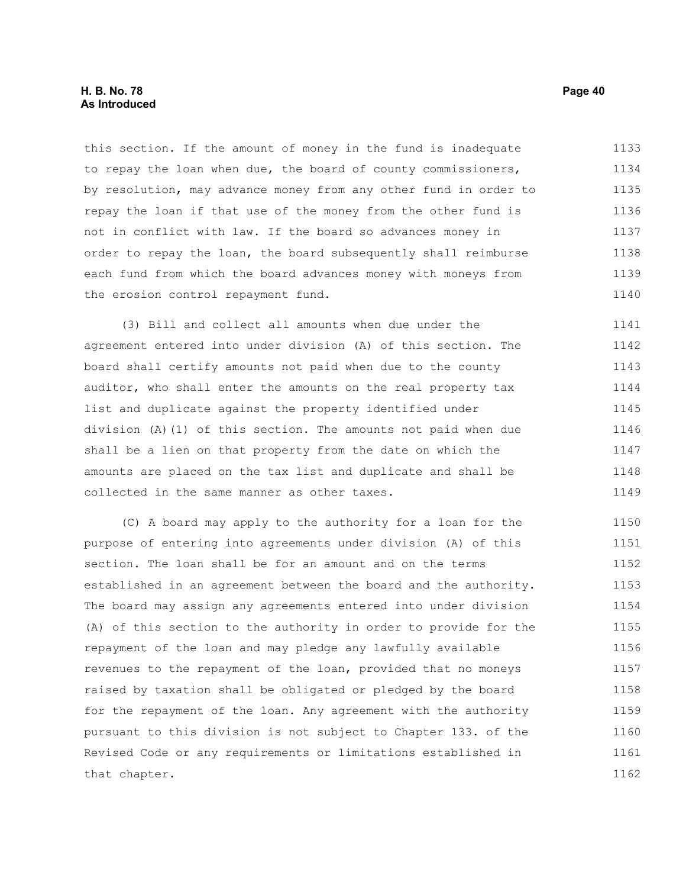this section. If the amount of money in the fund is inadequate to repay the loan when due, the board of county commissioners, by resolution, may advance money from any other fund in order to repay the loan if that use of the money from the other fund is not in conflict with law. If the board so advances money in order to repay the loan, the board subsequently shall reimburse each fund from which the board advances money with moneys from the erosion control repayment fund. 1133 1134 1135 1136 1137 1138 1139 1140

(3) Bill and collect all amounts when due under the agreement entered into under division (A) of this section. The board shall certify amounts not paid when due to the county auditor, who shall enter the amounts on the real property tax list and duplicate against the property identified under division (A)(1) of this section. The amounts not paid when due shall be a lien on that property from the date on which the amounts are placed on the tax list and duplicate and shall be collected in the same manner as other taxes. 1141 1142 1143 1144 1145 1146 1147 1148 1149

(C) A board may apply to the authority for a loan for the purpose of entering into agreements under division (A) of this section. The loan shall be for an amount and on the terms established in an agreement between the board and the authority. The board may assign any agreements entered into under division (A) of this section to the authority in order to provide for the repayment of the loan and may pledge any lawfully available revenues to the repayment of the loan, provided that no moneys raised by taxation shall be obligated or pledged by the board for the repayment of the loan. Any agreement with the authority pursuant to this division is not subject to Chapter 133. of the Revised Code or any requirements or limitations established in that chapter. 1150 1151 1152 1153 1154 1155 1156 1157 1158 1159 1160 1161 1162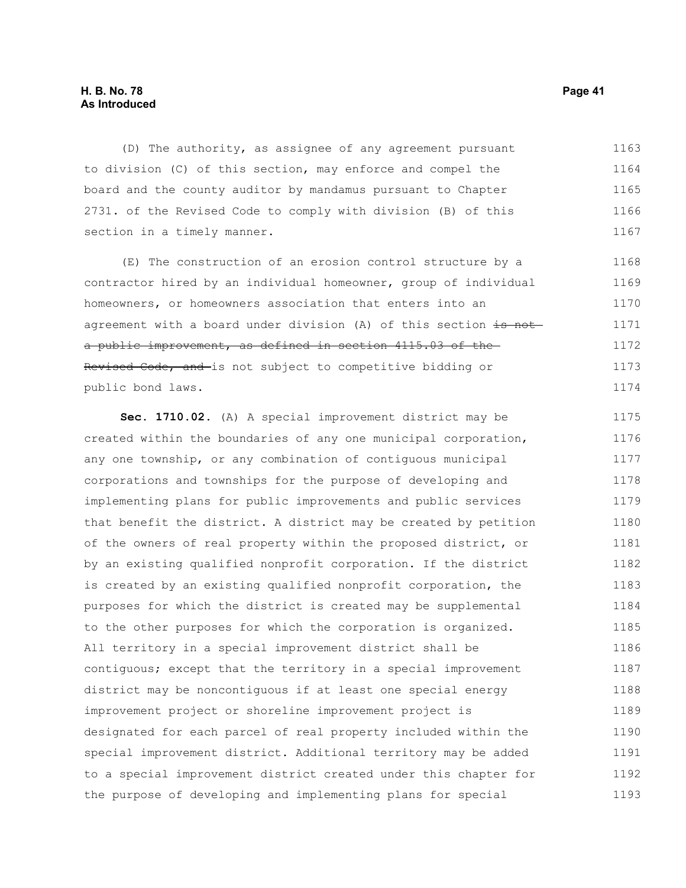#### **H. B. No. 78 Page 41 As Introduced**

(D) The authority, as assignee of any agreement pursuant to division (C) of this section, may enforce and compel the board and the county auditor by mandamus pursuant to Chapter 2731. of the Revised Code to comply with division (B) of this section in a timely manner. 1163 1164 1165 1166 1167

(E) The construction of an erosion control structure by a contractor hired by an individual homeowner, group of individual homeowners, or homeowners association that enters into an agreement with a board under division (A) of this section is not a public improvement, as defined in section 4115.03 of the Revised Code, and is not subject to competitive bidding or public bond laws. 1168 1169 1170 1171 1172 1173 1174

**Sec. 1710.02.** (A) A special improvement district may be created within the boundaries of any one municipal corporation, any one township, or any combination of contiguous municipal corporations and townships for the purpose of developing and implementing plans for public improvements and public services that benefit the district. A district may be created by petition of the owners of real property within the proposed district, or by an existing qualified nonprofit corporation. If the district is created by an existing qualified nonprofit corporation, the purposes for which the district is created may be supplemental to the other purposes for which the corporation is organized. All territory in a special improvement district shall be contiguous; except that the territory in a special improvement district may be noncontiguous if at least one special energy improvement project or shoreline improvement project is designated for each parcel of real property included within the special improvement district. Additional territory may be added to a special improvement district created under this chapter for the purpose of developing and implementing plans for special 1175 1176 1177 1178 1179 1180 1181 1182 1183 1184 1185 1186 1187 1188 1189 1190 1191 1192 1193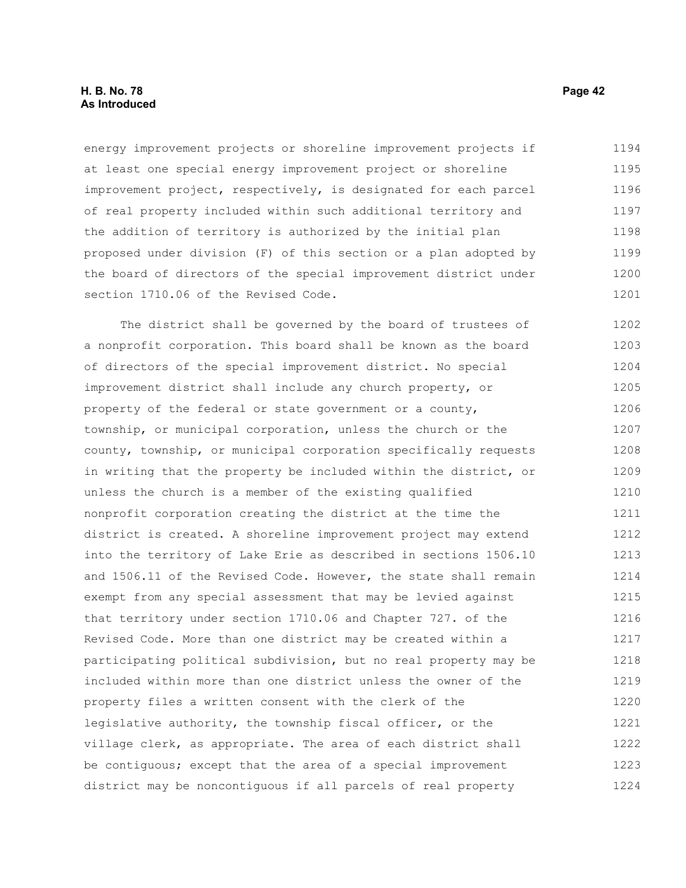#### **H. B. No. 78 Page 42 As Introduced**

energy improvement projects or shoreline improvement projects if at least one special energy improvement project or shoreline improvement project, respectively, is designated for each parcel of real property included within such additional territory and the addition of territory is authorized by the initial plan proposed under division (F) of this section or a plan adopted by the board of directors of the special improvement district under section 1710.06 of the Revised Code. 1194 1195 1196 1197 1198 1199 1200 1201

The district shall be governed by the board of trustees of a nonprofit corporation. This board shall be known as the board of directors of the special improvement district. No special improvement district shall include any church property, or property of the federal or state government or a county, township, or municipal corporation, unless the church or the county, township, or municipal corporation specifically requests in writing that the property be included within the district, or unless the church is a member of the existing qualified nonprofit corporation creating the district at the time the district is created. A shoreline improvement project may extend into the territory of Lake Erie as described in sections 1506.10 and 1506.11 of the Revised Code. However, the state shall remain exempt from any special assessment that may be levied against that territory under section 1710.06 and Chapter 727. of the Revised Code. More than one district may be created within a participating political subdivision, but no real property may be included within more than one district unless the owner of the property files a written consent with the clerk of the legislative authority, the township fiscal officer, or the village clerk, as appropriate. The area of each district shall be contiguous; except that the area of a special improvement district may be noncontiguous if all parcels of real property 1202 1203 1204 1205 1206 1207 1208 1209 1210 1211 1212 1213 1214 1215 1216 1217 1218 1219 1220 1221 1222 1223 1224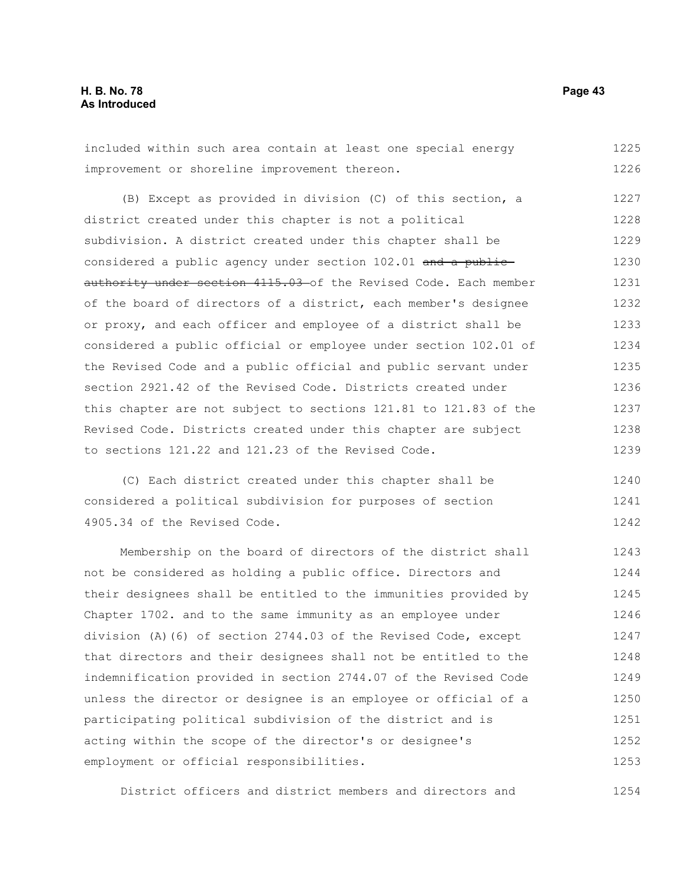included within such area contain at least one special energy improvement or shoreline improvement thereon. 1225 1226

(B) Except as provided in division (C) of this section, a district created under this chapter is not a political subdivision. A district created under this chapter shall be considered a public agency under section 102.01 and a publicauthority under section 4115.03 of the Revised Code. Each member of the board of directors of a district, each member's designee or proxy, and each officer and employee of a district shall be considered a public official or employee under section 102.01 of the Revised Code and a public official and public servant under section 2921.42 of the Revised Code. Districts created under this chapter are not subject to sections 121.81 to 121.83 of the Revised Code. Districts created under this chapter are subject to sections 121.22 and 121.23 of the Revised Code. 1227 1228 1229 1230 1231 1232 1233 1234 1235 1236 1237 1238 1239

(C) Each district created under this chapter shall be considered a political subdivision for purposes of section 4905.34 of the Revised Code. 1240 1241 1242

Membership on the board of directors of the district shall not be considered as holding a public office. Directors and their designees shall be entitled to the immunities provided by Chapter 1702. and to the same immunity as an employee under division (A)(6) of section 2744.03 of the Revised Code, except that directors and their designees shall not be entitled to the indemnification provided in section 2744.07 of the Revised Code unless the director or designee is an employee or official of a participating political subdivision of the district and is acting within the scope of the director's or designee's employment or official responsibilities. 1243 1244 1245 1246 1247 1248 1249 1250 1251 1252 1253

District officers and district members and directors and 1254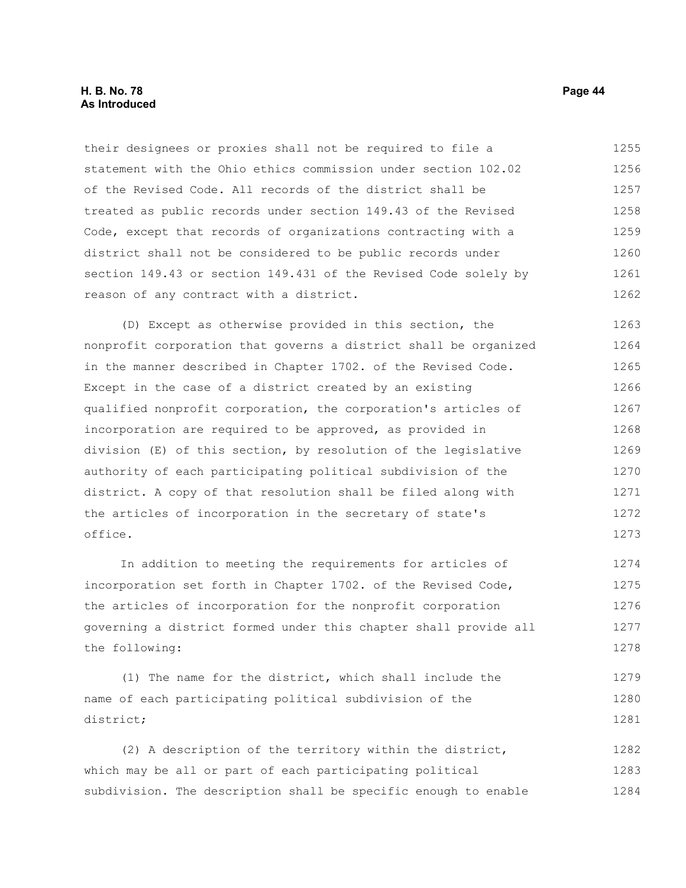#### **H. B. No. 78 Page 44 As Introduced**

their designees or proxies shall not be required to file a statement with the Ohio ethics commission under section 102.02 of the Revised Code. All records of the district shall be treated as public records under section 149.43 of the Revised Code, except that records of organizations contracting with a district shall not be considered to be public records under section 149.43 or section 149.431 of the Revised Code solely by reason of any contract with a district. 1255 1256 1257 1258 1259 1260 1261 1262

(D) Except as otherwise provided in this section, the nonprofit corporation that governs a district shall be organized in the manner described in Chapter 1702. of the Revised Code. Except in the case of a district created by an existing qualified nonprofit corporation, the corporation's articles of incorporation are required to be approved, as provided in division (E) of this section, by resolution of the legislative authority of each participating political subdivision of the district. A copy of that resolution shall be filed along with the articles of incorporation in the secretary of state's office. 1263 1264 1265 1266 1267 1268 1269 1270 1271 1272 1273

In addition to meeting the requirements for articles of incorporation set forth in Chapter 1702. of the Revised Code, the articles of incorporation for the nonprofit corporation governing a district formed under this chapter shall provide all the following: 1274 1275 1276 1277 1278

(1) The name for the district, which shall include the name of each participating political subdivision of the district; 1279 1280 1281

(2) A description of the territory within the district, which may be all or part of each participating political subdivision. The description shall be specific enough to enable 1282 1283 1284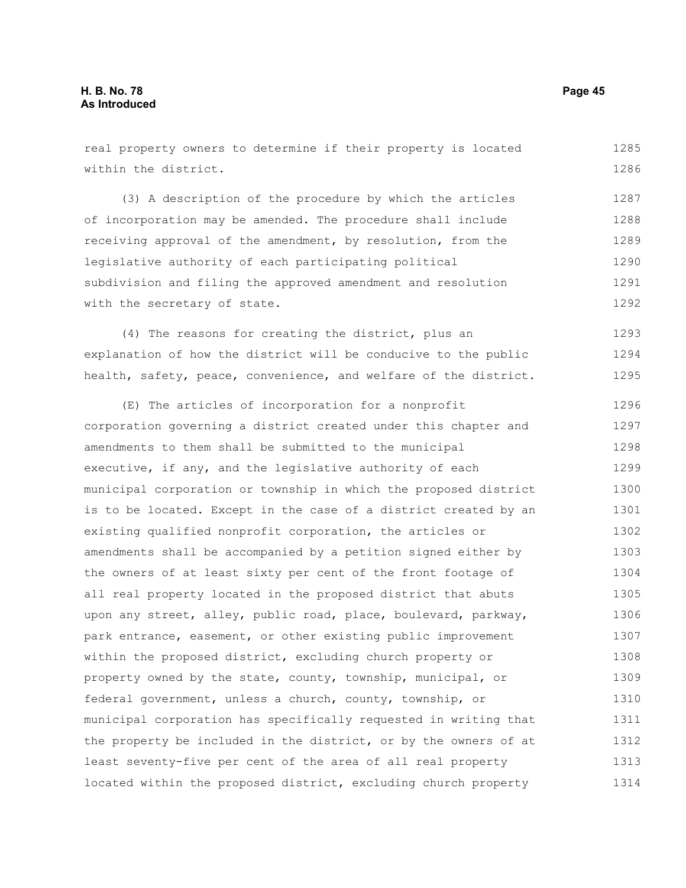within the district. (3) A description of the procedure by which the articles receiving approval of the amendment, by resolution, from the legislative authority of each participating political subdivision and filing the approved amendment and resolution with the secretary of state. (4) The reasons for creating the district, plus an explanation of how the district will be conducive to the public health, safety, peace, convenience, and welfare of the district. (E) The articles of incorporation for a nonprofit corporation governing a district created under this chapter and amendments to them shall be submitted to the municipal executive, if any, and the legislative authority of each municipal corporation or township in which the proposed district is to be located. Except in the case of a district created by an existing qualified nonprofit corporation, the articles or amendments shall be accompanied by a petition signed either by the owners of at least sixty per cent of the front footage of all real property located in the proposed district that abuts upon any street, alley, public road, place, boulevard, parkway, park entrance, easement, or other existing public improvement within the proposed district, excluding church property or property owned by the state, county, township, municipal, or federal government, unless a church, county, township, or municipal corporation has specifically requested in writing that the property be included in the district, or by the owners of at 1286 1287 1288 1290 1291 1292 1293 1294 1295 1296 1297 1298 1299 1300 1301 1302 1303 1304 1305 1306 1307 1308 1309 1310 1311 1312

least seventy-five per cent of the area of all real property

located within the proposed district, excluding church property

1289

of incorporation may be amended. The procedure shall include

real property owners to determine if their property is located

1285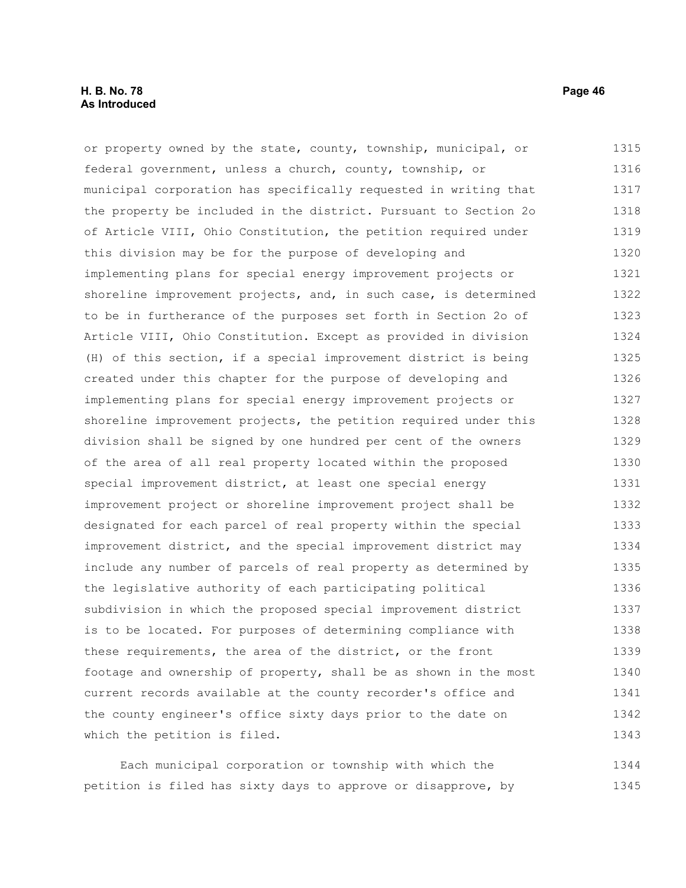#### **H. B. No. 78 Page 46 As Introduced**

or property owned by the state, county, township, municipal, or federal government, unless a church, county, township, or municipal corporation has specifically requested in writing that the property be included in the district. Pursuant to Section 2o of Article VIII, Ohio Constitution, the petition required under this division may be for the purpose of developing and implementing plans for special energy improvement projects or shoreline improvement projects, and, in such case, is determined to be in furtherance of the purposes set forth in Section 2o of Article VIII, Ohio Constitution. Except as provided in division (H) of this section, if a special improvement district is being created under this chapter for the purpose of developing and implementing plans for special energy improvement projects or shoreline improvement projects, the petition required under this division shall be signed by one hundred per cent of the owners of the area of all real property located within the proposed special improvement district, at least one special energy improvement project or shoreline improvement project shall be designated for each parcel of real property within the special improvement district, and the special improvement district may include any number of parcels of real property as determined by the legislative authority of each participating political subdivision in which the proposed special improvement district is to be located. For purposes of determining compliance with these requirements, the area of the district, or the front footage and ownership of property, shall be as shown in the most current records available at the county recorder's office and the county engineer's office sixty days prior to the date on which the petition is filed. 1315 1316 1317 1318 1319 1320 1321 1322 1323 1324 1325 1326 1327 1328 1329 1330 1331 1332 1333 1334 1335 1336 1337 1338 1339 1340 1341 1342 1343

Each municipal corporation or township with which the petition is filed has sixty days to approve or disapprove, by 1344 1345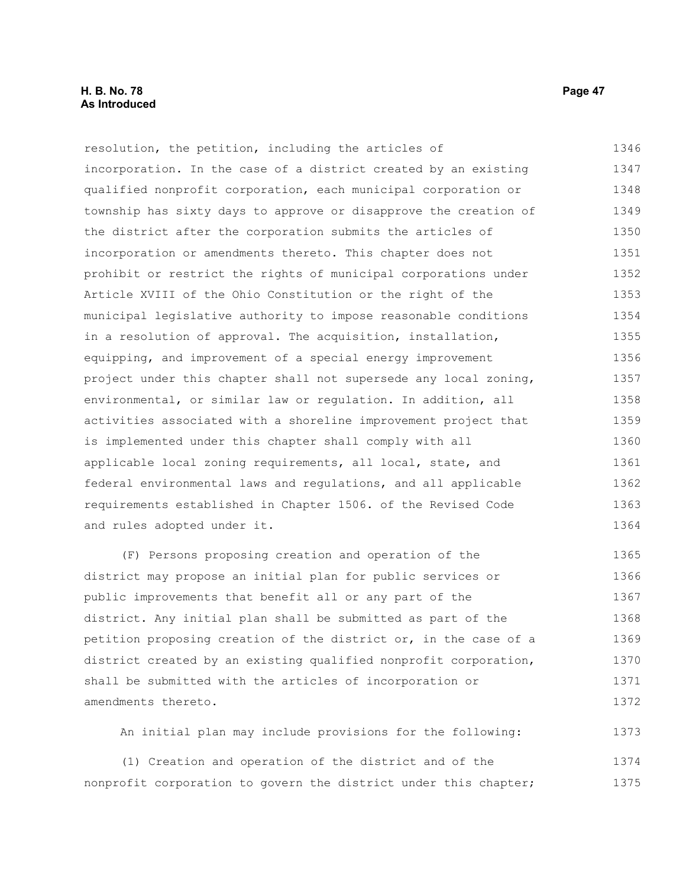#### **H. B. No. 78 Page 47 As Introduced**

resolution, the petition, including the articles of incorporation. In the case of a district created by an existing qualified nonprofit corporation, each municipal corporation or township has sixty days to approve or disapprove the creation of the district after the corporation submits the articles of incorporation or amendments thereto. This chapter does not prohibit or restrict the rights of municipal corporations under Article XVIII of the Ohio Constitution or the right of the municipal legislative authority to impose reasonable conditions in a resolution of approval. The acquisition, installation, equipping, and improvement of a special energy improvement project under this chapter shall not supersede any local zoning, environmental, or similar law or regulation. In addition, all activities associated with a shoreline improvement project that is implemented under this chapter shall comply with all applicable local zoning requirements, all local, state, and federal environmental laws and regulations, and all applicable requirements established in Chapter 1506. of the Revised Code and rules adopted under it. 1346 1347 1348 1349 1350 1351 1352 1353 1354 1355 1356 1357 1358 1359 1360 1361 1362 1363 1364

(F) Persons proposing creation and operation of the district may propose an initial plan for public services or public improvements that benefit all or any part of the district. Any initial plan shall be submitted as part of the petition proposing creation of the district or, in the case of a district created by an existing qualified nonprofit corporation, shall be submitted with the articles of incorporation or amendments thereto. 1365 1366 1367 1368 1369 1370 1371 1372

An initial plan may include provisions for the following: 1373

(1) Creation and operation of the district and of the nonprofit corporation to govern the district under this chapter; 1374 1375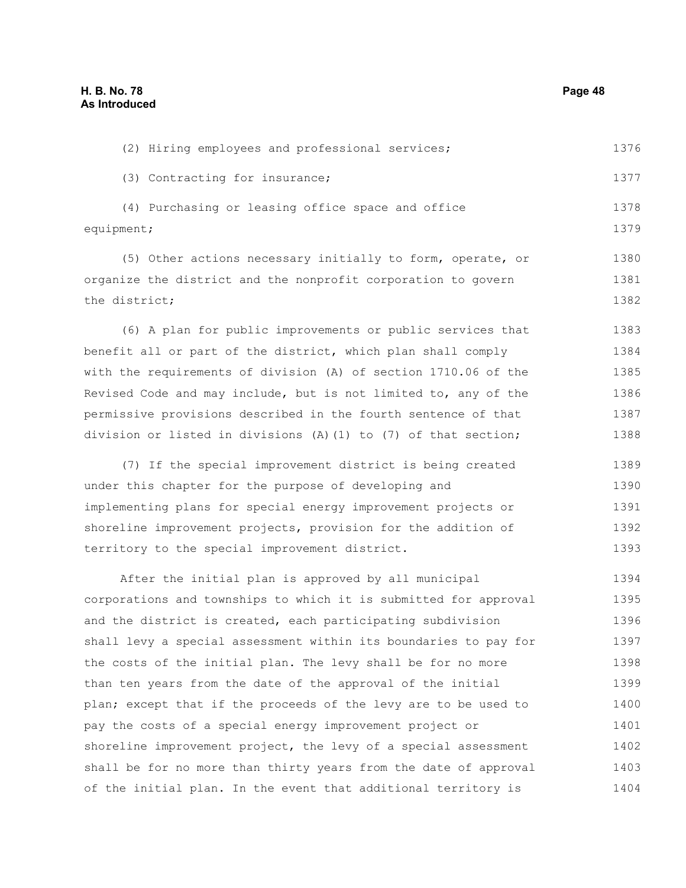| (3) Contracting for insurance;                                      | 1377 |
|---------------------------------------------------------------------|------|
| (4) Purchasing or leasing office space and office                   | 1378 |
| equipment;                                                          | 1379 |
| (5) Other actions necessary initially to form, operate, or          | 1380 |
| organize the district and the nonprofit corporation to govern       | 1381 |
| the district;                                                       | 1382 |
| (6) A plan for public improvements or public services that          | 1383 |
| benefit all or part of the district, which plan shall comply        | 1384 |
| with the requirements of division (A) of section 1710.06 of the     | 1385 |
| Revised Code and may include, but is not limited to, any of the     | 1386 |
| permissive provisions described in the fourth sentence of that      | 1387 |
| division or listed in divisions $(A) (1)$ to $(7)$ of that section; | 1388 |
| (7) If the special improvement district is being created            | 1389 |
| under this chapter for the purpose of developing and                | 1390 |
| implementing plans for special energy improvement projects or       | 1391 |
| shoreline improvement projects, provision for the addition of       | 1392 |
| territory to the special improvement district.                      | 1393 |
| After the initial plan is approved by all municipal                 | 1394 |
| corporations and townships to which it is submitted for approval    | 1395 |
| and the district is created, each participating subdivision         | 1396 |
| shall levy a special assessment within its boundaries to pay for    | 1397 |
| the costs of the initial plan. The levy shall be for no more        | 1398 |
| than ten years from the date of the approval of the initial         | 1399 |
| plan; except that if the proceeds of the levy are to be used to     | 1400 |
| pay the costs of a special energy improvement project or            | 1401 |
| shoreline improvement project, the levy of a special assessment     | 1402 |
| shall be for no more than thirty years from the date of approval    | 1403 |
| of the initial plan. In the event that additional territory is      | 1404 |

(2) Hiring employees and professional services;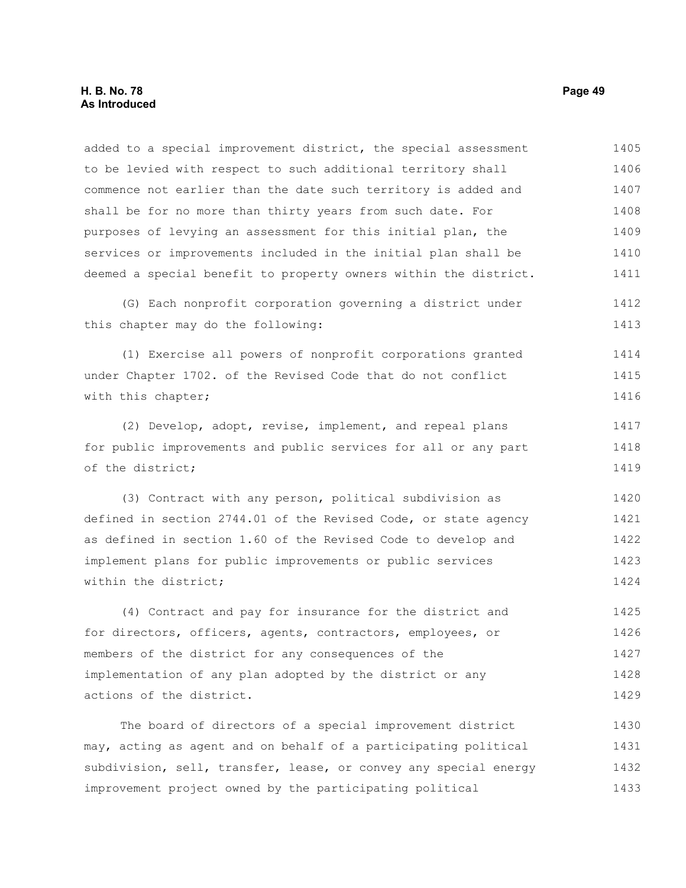added to a special improvement district, the special assessment to be levied with respect to such additional territory shall commence not earlier than the date such territory is added and shall be for no more than thirty years from such date. For purposes of levying an assessment for this initial plan, the services or improvements included in the initial plan shall be deemed a special benefit to property owners within the district. 1405 1406 1407 1408 1409 1410 1411

(G) Each nonprofit corporation governing a district under this chapter may do the following: 1412 1413

(1) Exercise all powers of nonprofit corporations granted under Chapter 1702. of the Revised Code that do not conflict with this chapter; 1414 1415 1416

(2) Develop, adopt, revise, implement, and repeal plans for public improvements and public services for all or any part of the district; 1417 1418 1419

(3) Contract with any person, political subdivision as defined in section 2744.01 of the Revised Code, or state agency as defined in section 1.60 of the Revised Code to develop and implement plans for public improvements or public services within the district; 1420 1421 1422 1423 1424

(4) Contract and pay for insurance for the district and for directors, officers, agents, contractors, employees, or members of the district for any consequences of the implementation of any plan adopted by the district or any actions of the district. 1425 1426 1427 1428 1429

The board of directors of a special improvement district may, acting as agent and on behalf of a participating political subdivision, sell, transfer, lease, or convey any special energy improvement project owned by the participating political 1430 1431 1432 1433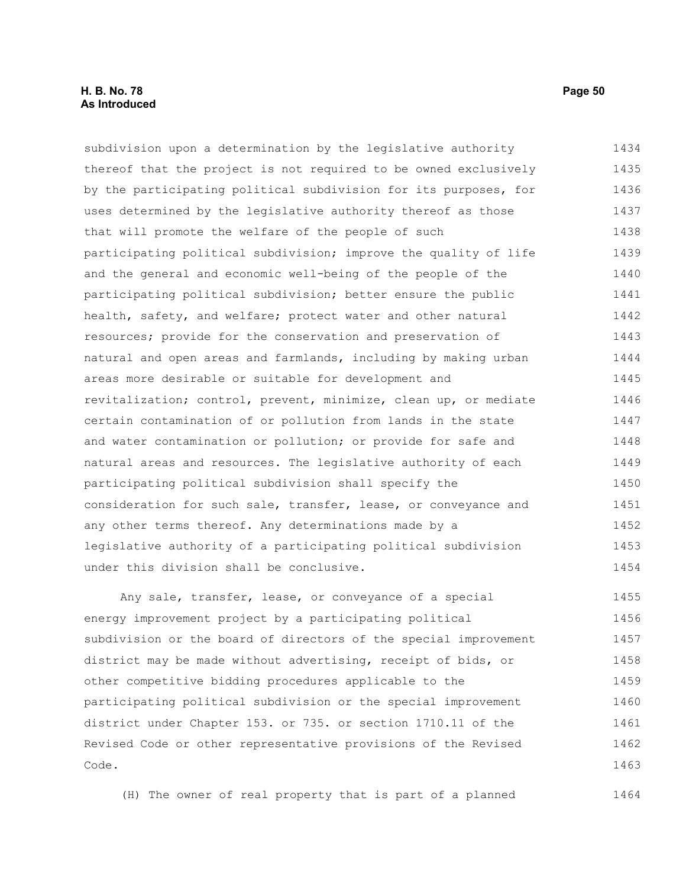#### **H. B. No. 78 Page 50 As Introduced**

subdivision upon a determination by the legislative authority thereof that the project is not required to be owned exclusively by the participating political subdivision for its purposes, for uses determined by the legislative authority thereof as those that will promote the welfare of the people of such participating political subdivision; improve the quality of life and the general and economic well-being of the people of the participating political subdivision; better ensure the public health, safety, and welfare; protect water and other natural resources; provide for the conservation and preservation of natural and open areas and farmlands, including by making urban areas more desirable or suitable for development and revitalization; control, prevent, minimize, clean up, or mediate certain contamination of or pollution from lands in the state and water contamination or pollution; or provide for safe and natural areas and resources. The legislative authority of each participating political subdivision shall specify the consideration for such sale, transfer, lease, or conveyance and any other terms thereof. Any determinations made by a legislative authority of a participating political subdivision under this division shall be conclusive. Any sale, transfer, lease, or conveyance of a special 1434 1435 1436 1437 1438 1439 1440 1441 1442 1443 1444 1445 1446 1447 1448 1449 1450 1451 1452 1453 1454 1455

energy improvement project by a participating political subdivision or the board of directors of the special improvement district may be made without advertising, receipt of bids, or other competitive bidding procedures applicable to the participating political subdivision or the special improvement district under Chapter 153. or 735. or section 1710.11 of the Revised Code or other representative provisions of the Revised Code. 1456 1457 1458 1459 1460 1461 1462 1463

(H) The owner of real property that is part of a planned 1464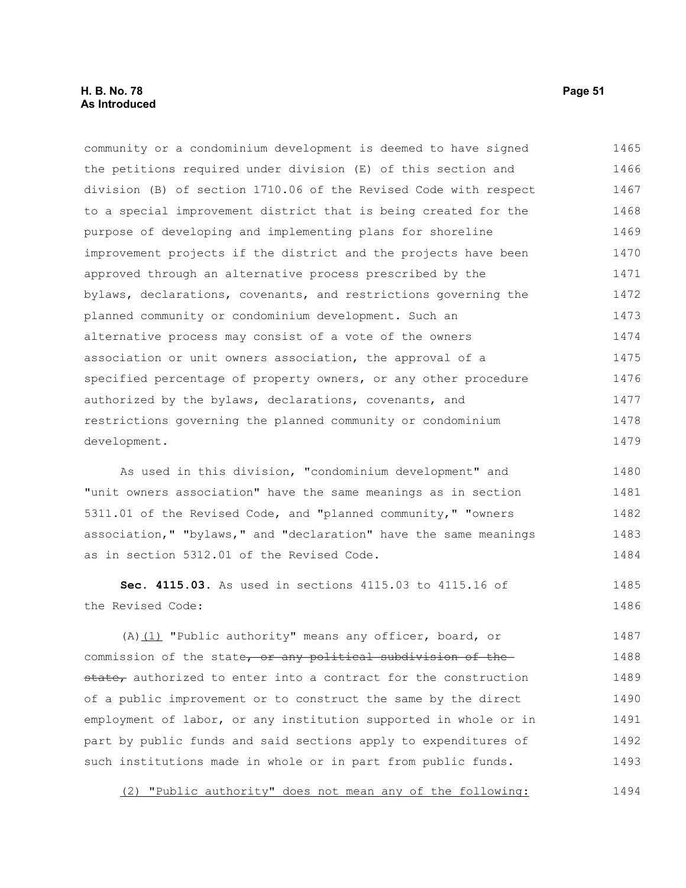#### **H. B. No. 78 Page 51 As Introduced**

community or a condominium development is deemed to have signed the petitions required under division (E) of this section and division (B) of section 1710.06 of the Revised Code with respect to a special improvement district that is being created for the purpose of developing and implementing plans for shoreline improvement projects if the district and the projects have been approved through an alternative process prescribed by the bylaws, declarations, covenants, and restrictions governing the planned community or condominium development. Such an alternative process may consist of a vote of the owners association or unit owners association, the approval of a specified percentage of property owners, or any other procedure authorized by the bylaws, declarations, covenants, and restrictions governing the planned community or condominium development. 1465 1466 1467 1468 1469 1470 1471 1472 1473 1474 1475 1476 1477 1478 1479

As used in this division, "condominium development" and "unit owners association" have the same meanings as in section 5311.01 of the Revised Code, and "planned community," "owners association," "bylaws," and "declaration" have the same meanings as in section 5312.01 of the Revised Code. 1480 1481 1482 1483 1484

**Sec. 4115.03.** As used in sections 4115.03 to 4115.16 of the Revised Code: 1485 1486

(A)(1) "Public authority" means any officer, board, or commission of the state, or any political subdivision of the state, authorized to enter into a contract for the construction of a public improvement or to construct the same by the direct employment of labor, or any institution supported in whole or in part by public funds and said sections apply to expenditures of such institutions made in whole or in part from public funds. 1487 1488 1489 1490 1491 1492 1493

(2) "Public authority" does not mean any of the following: 1494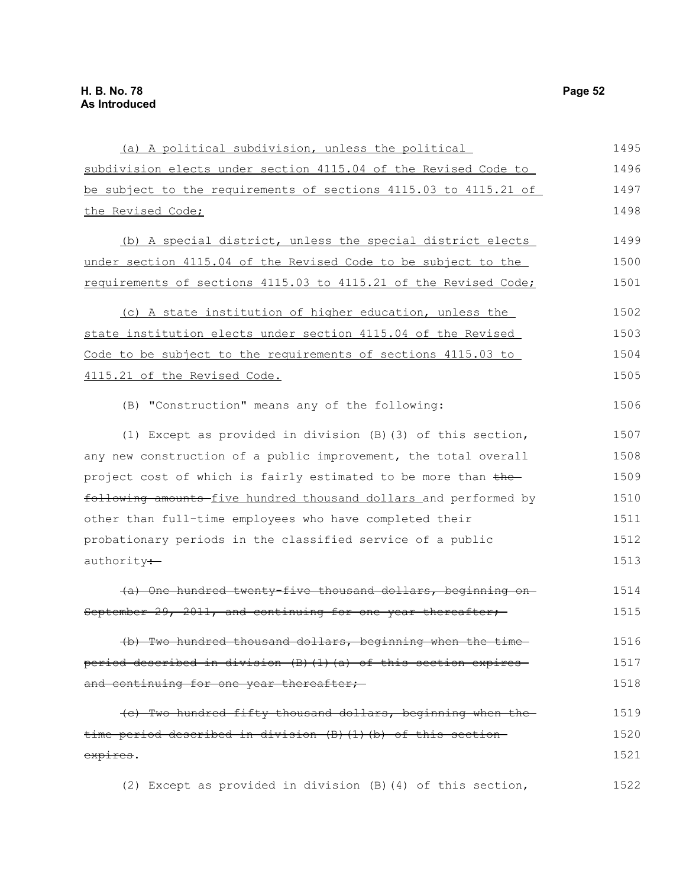| (a) A political subdivision, unless the political                | 1495 |
|------------------------------------------------------------------|------|
| subdivision elects under section 4115.04 of the Revised Code to  | 1496 |
| be subject to the requirements of sections 4115.03 to 4115.21 of | 1497 |
| the Revised Code;                                                | 1498 |
| (b) A special district, unless the special district elects       | 1499 |
| under section 4115.04 of the Revised Code to be subject to the   | 1500 |
| requirements of sections 4115.03 to 4115.21 of the Revised Code; | 1501 |
| (c) A state institution of higher education, unless the          | 1502 |
| state institution elects under section 4115.04 of the Revised    | 1503 |
| Code to be subject to the requirements of sections 4115.03 to    | 1504 |
| 4115.21 of the Revised Code.                                     | 1505 |
| (B) "Construction" means any of the following:                   | 1506 |
| (1) Except as provided in division $(B)$ (3) of this section,    | 1507 |
| any new construction of a public improvement, the total overall  | 1508 |
| project cost of which is fairly estimated to be more than the-   | 1509 |
| following amounts five hundred thousand dollars and performed by | 1510 |
| other than full-time employees who have completed their          | 1511 |
| probationary periods in the classified service of a public       | 1512 |
| authority :-                                                     | 1513 |
| (a) One hundred twenty-five thousand dollars, beginning on-      | 1514 |
| September 29, 2011, and continuing for one year thereafter;      | 1515 |
| (b) Two hundred thousand dollars, beginning when the time        | 1516 |
| period described in division (B)(1)(a) of this section expires   | 1517 |
| and continuing for one year thereafter;                          | 1518 |
| (c) Two hundred fifty thousand dollars, beginning when the       | 1519 |
| time period described in division (B) (1) (b) of this section-   | 1520 |
| expires.                                                         | 1521 |
| (2) Except as provided in division (B) (4) of this section,      | 1522 |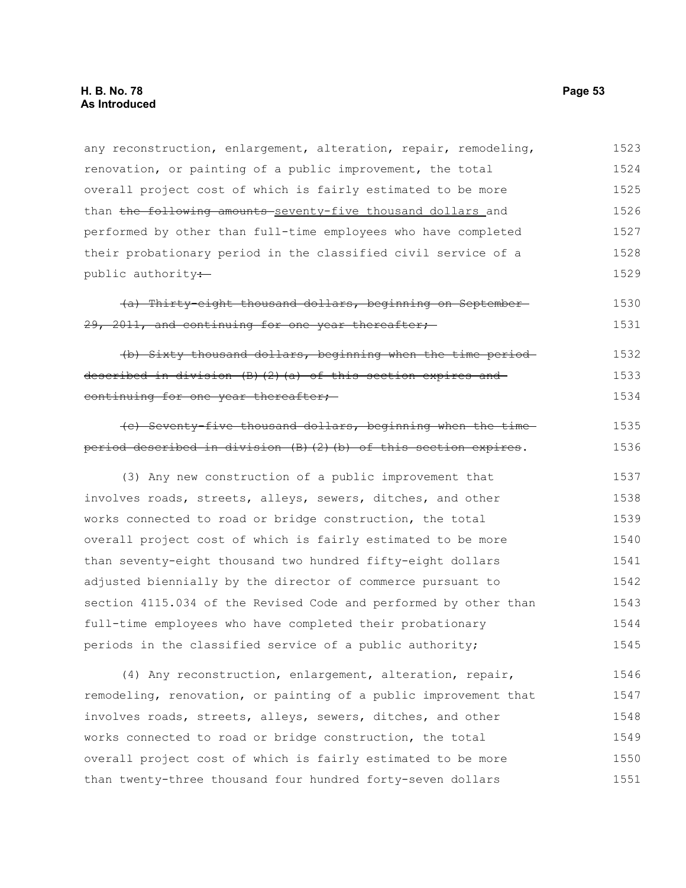| any reconstruction, enlargement, alteration, repair, remodeling,  | 1523 |
|-------------------------------------------------------------------|------|
| renovation, or painting of a public improvement, the total        | 1524 |
| overall project cost of which is fairly estimated to be more      | 1525 |
| than the following amounts seventy-five thousand dollars and      | 1526 |
| performed by other than full-time employees who have completed    | 1527 |
| their probationary period in the classified civil service of a    | 1528 |
| public authority:                                                 | 1529 |
| (a) Thirty eight thousand dollars, beginning on September-        | 1530 |
| 29, 2011, and continuing for one year thereafter;                 | 1531 |
| (b) Sixty thousand dollars, beginning when the time period-       | 1532 |
| described in division (B) (2) (a) of this section expires and     | 1533 |
| continuing for one year thereafter;                               | 1534 |
| (c) Seventy-five thousand dollars, beginning when the time-       | 1535 |
| period described in division (B) (2) (b) of this section expires. | 1536 |
| (3) Any new construction of a public improvement that             | 1537 |
| involves roads, streets, alleys, sewers, ditches, and other       | 1538 |
| works connected to road or bridge construction, the total         | 1539 |
| overall project cost of which is fairly estimated to be more      | 1540 |
| than seventy-eight thousand two hundred fifty-eight dollars       | 1541 |
| adjusted biennially by the director of commerce pursuant to       | 1542 |
| section 4115.034 of the Revised Code and performed by other than  | 1543 |
| full-time employees who have completed their probationary         | 1544 |
| periods in the classified service of a public authority;          | 1545 |
| (4) Any reconstruction, enlargement, alteration, repair,          | 1546 |
| remodeling, renovation, or painting of a public improvement that  | 1547 |
| involves roads, streets, alleys, sewers, ditches, and other       | 1548 |
| works connected to road or bridge construction, the total         | 1549 |
| overall project cost of which is fairly estimated to be more      | 1550 |
| than twenty-three thousand four hundred forty-seven dollars       | 1551 |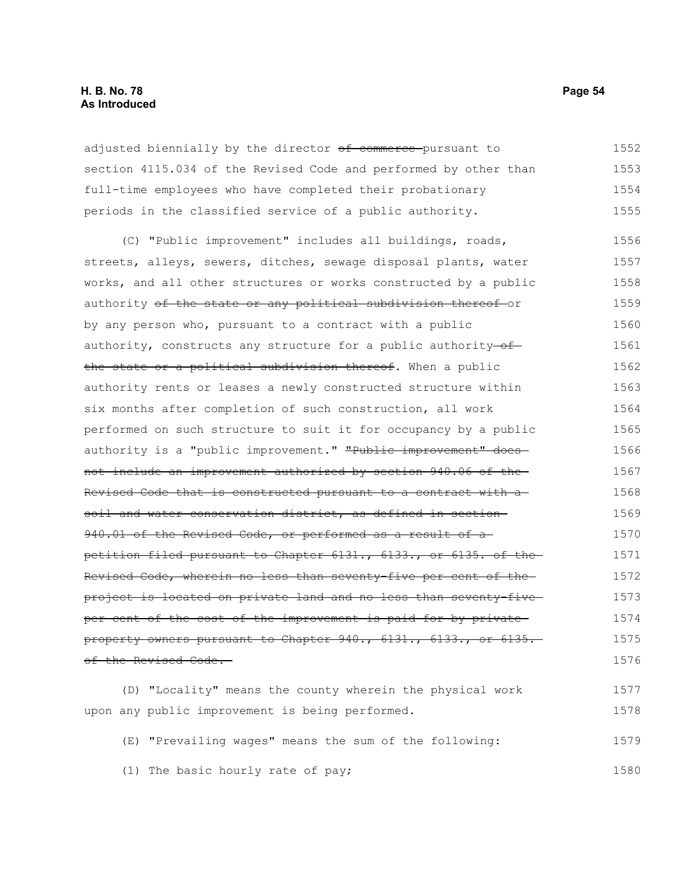#### **H. B. No. 78 Page 54 As Introduced**

adjusted biennially by the director of commerce pursuant to section 4115.034 of the Revised Code and performed by other than full-time employees who have completed their probationary periods in the classified service of a public authority. 1552 1553 1554 1555

(C) "Public improvement" includes all buildings, roads, streets, alleys, sewers, ditches, sewage disposal plants, water works, and all other structures or works constructed by a public authority of the state or any political subdivision thereof-or by any person who, pursuant to a contract with a public authority, constructs any structure for a public authority- $of$ the state or a political subdivision thereof. When a public authority rents or leases a newly constructed structure within six months after completion of such construction, all work performed on such structure to suit it for occupancy by a public authority is a "public improvement." "Public improvement" does not include an improvement authorized by section 940.06 of the Revised Code that is constructed pursuant to a contract with a soil and water conservation district, as defined in section 940.01 of the Revised Code, or performed as a result of apetition filed pursuant to Chapter 6131., 6133., or 6135. of the Revised Code, wherein no less than seventy-five per cent of the project is located on private land and no less than seventy-five per cent of the cost of the improvement is paid for by private property owners pursuant to Chapter 940., 6131., 6133., or 6135. of the Revised Code. 1556 1557 1558 1559 1560 1561 1562 1563 1564 1565 1566 1567 1568 1569 1570 1571 1572 1573 1574 1575 1576

(D) "Locality" means the county wherein the physical work upon any public improvement is being performed. 1577 1578

(E) "Prevailing wages" means the sum of the following: 1579

(1) The basic hourly rate of pay;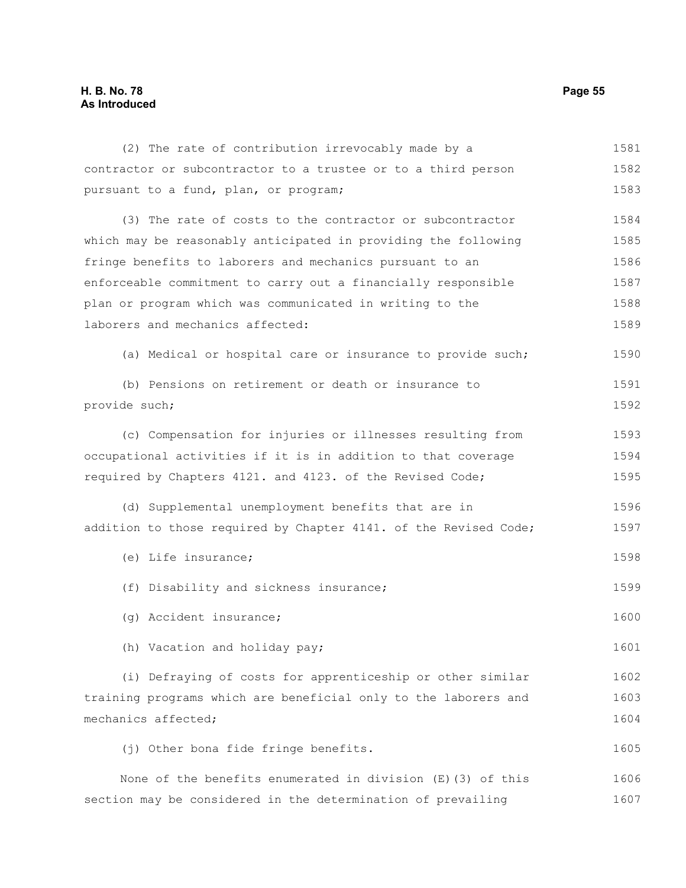## **H. B. No. 78 Page 55 As Introduced**

| (2) The rate of contribution irrevocably made by a               | 1581 |
|------------------------------------------------------------------|------|
| contractor or subcontractor to a trustee or to a third person    | 1582 |
| pursuant to a fund, plan, or program;                            | 1583 |
| (3) The rate of costs to the contractor or subcontractor         | 1584 |
| which may be reasonably anticipated in providing the following   | 1585 |
| fringe benefits to laborers and mechanics pursuant to an         | 1586 |
| enforceable commitment to carry out a financially responsible    | 1587 |
| plan or program which was communicated in writing to the         | 1588 |
| laborers and mechanics affected:                                 |      |
| (a) Medical or hospital care or insurance to provide such;       | 1590 |
| (b) Pensions on retirement or death or insurance to              | 1591 |
| provide such;                                                    |      |
| (c) Compensation for injuries or illnesses resulting from        | 1593 |
| occupational activities if it is in addition to that coverage    | 1594 |
| required by Chapters 4121. and 4123. of the Revised Code;        | 1595 |
| (d) Supplemental unemployment benefits that are in               | 1596 |
| addition to those required by Chapter 4141. of the Revised Code; | 1597 |
| (e) Life insurance;                                              | 1598 |
| (f) Disability and sickness insurance;                           | 1599 |
| (g) Accident insurance;                                          | 1600 |
| (h) Vacation and holiday pay;                                    | 1601 |
| (i) Defraying of costs for apprenticeship or other similar       | 1602 |
| training programs which are beneficial only to the laborers and  | 1603 |
| mechanics affected;                                              | 1604 |
| (j) Other bona fide fringe benefits.                             | 1605 |
| None of the benefits enumerated in division $(E)$ (3) of this    | 1606 |
| section may be considered in the determination of prevailing     | 1607 |
|                                                                  |      |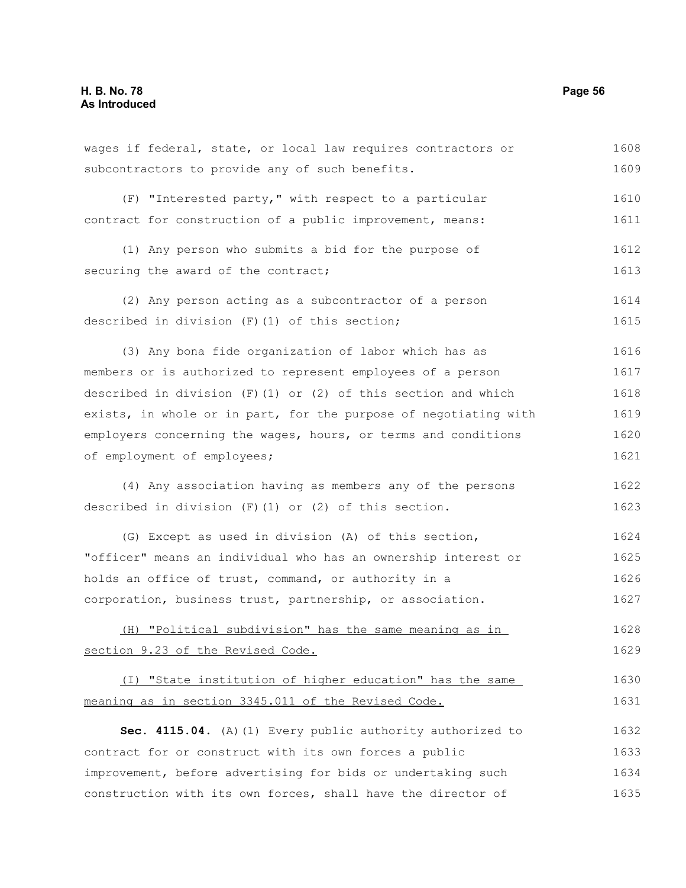| wages if federal, state, or local law requires contractors or    | 1608 |
|------------------------------------------------------------------|------|
| subcontractors to provide any of such benefits.                  | 1609 |
| (F) "Interested party," with respect to a particular             | 1610 |
| contract for construction of a public improvement, means:        | 1611 |
| (1) Any person who submits a bid for the purpose of              | 1612 |
| securing the award of the contract;                              | 1613 |
| (2) Any person acting as a subcontractor of a person             | 1614 |
| described in division (F) (1) of this section;                   | 1615 |
| (3) Any bona fide organization of labor which has as             | 1616 |
| members or is authorized to represent employees of a person      | 1617 |
| described in division $(F)$ (1) or (2) of this section and which | 1618 |
| exists, in whole or in part, for the purpose of negotiating with | 1619 |
| employers concerning the wages, hours, or terms and conditions   | 1620 |
| of employment of employees;                                      | 1621 |
| (4) Any association having as members any of the persons         | 1622 |
| described in division $(F)$ (1) or (2) of this section.          | 1623 |
| (G) Except as used in division (A) of this section,              | 1624 |
| "officer" means an individual who has an ownership interest or   | 1625 |
| holds an office of trust, command, or authority in a             | 1626 |
| corporation, business trust, partnership, or association.        | 1627 |
| (H) "Political subdivision" has the same meaning as in           | 1628 |
| section 9.23 of the Revised Code.                                | 1629 |
| (I) "State institution of higher education" has the same         | 1630 |
| meaning as in section 3345.011 of the Revised Code.              | 1631 |
| Sec. 4115.04. (A) (1) Every public authority authorized to       | 1632 |
| contract for or construct with its own forces a public           | 1633 |
| improvement, before advertising for bids or undertaking such     | 1634 |
| construction with its own forces, shall have the director of     | 1635 |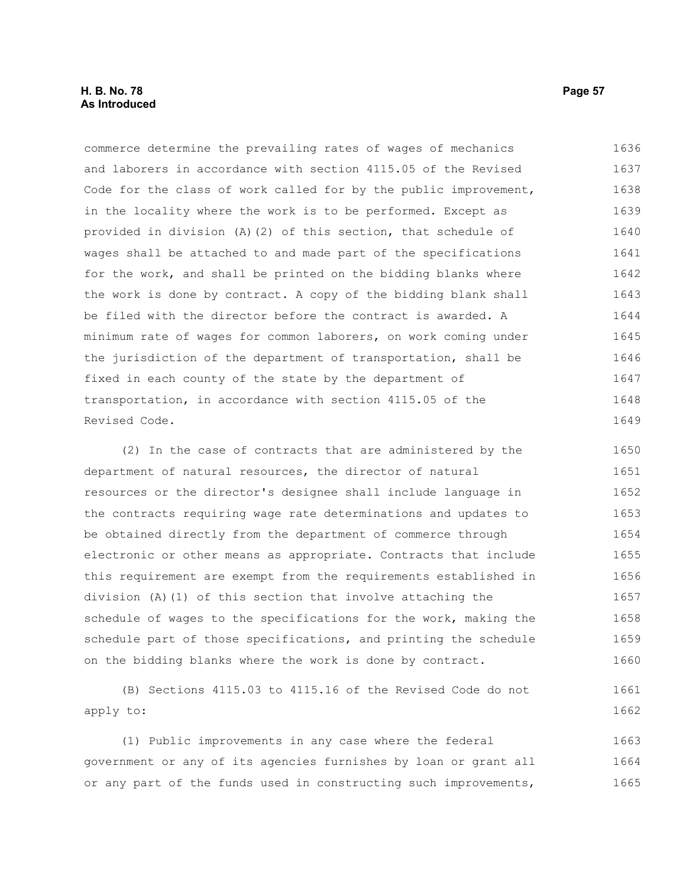#### **H. B. No. 78 Page 57 As Introduced**

commerce determine the prevailing rates of wages of mechanics and laborers in accordance with section 4115.05 of the Revised Code for the class of work called for by the public improvement, in the locality where the work is to be performed. Except as provided in division (A)(2) of this section, that schedule of wages shall be attached to and made part of the specifications for the work, and shall be printed on the bidding blanks where the work is done by contract. A copy of the bidding blank shall be filed with the director before the contract is awarded. A minimum rate of wages for common laborers, on work coming under the jurisdiction of the department of transportation, shall be fixed in each county of the state by the department of transportation, in accordance with section 4115.05 of the Revised Code. 1636 1637 1638 1639 1640 1641 1642 1643 1644 1645 1646 1647 1648 1649

(2) In the case of contracts that are administered by the department of natural resources, the director of natural resources or the director's designee shall include language in the contracts requiring wage rate determinations and updates to be obtained directly from the department of commerce through electronic or other means as appropriate. Contracts that include this requirement are exempt from the requirements established in division (A)(1) of this section that involve attaching the schedule of wages to the specifications for the work, making the schedule part of those specifications, and printing the schedule on the bidding blanks where the work is done by contract. 1650 1651 1652 1653 1654 1655 1656 1657 1658 1659 1660

(B) Sections 4115.03 to 4115.16 of the Revised Code do not apply to: 1661 1662

(1) Public improvements in any case where the federal government or any of its agencies furnishes by loan or grant all or any part of the funds used in constructing such improvements, 1663 1664 1665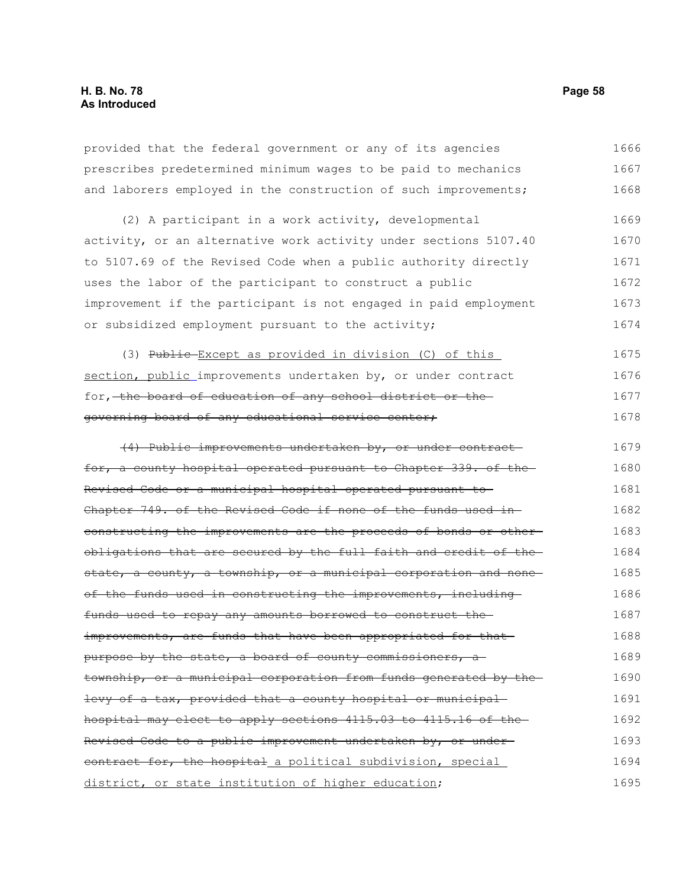provided that the federal government or any of its agencies prescribes predetermined minimum wages to be paid to mechanics and laborers employed in the construction of such improvements; 1666 1667 1668

(2) A participant in a work activity, developmental activity, or an alternative work activity under sections 5107.40 to 5107.69 of the Revised Code when a public authority directly uses the labor of the participant to construct a public improvement if the participant is not engaged in paid employment or subsidized employment pursuant to the activity; 1669 1670 1671 1672 1673 1674

(3) Public Except as provided in division (C) of this section, public improvements undertaken by, or under contract for, the board of education of any school district or the governing board of any educational service center; 1675 1676 1677 1678

(4) Public improvements undertaken by, or under contract for, a county hospital operated pursuant to Chapter 339. of the Revised Code or a municipal hospital operated pursuant to Chapter 749. of the Revised Code if none of the funds used in constructing the improvements are the proceeds of bonds or other obligations that are secured by the full faith and credit of the state, a county, a township, or a municipal corporation and noneof the funds used in constructing the improvements, including funds used to repay any amounts borrowed to construct the improvements, are funds that have been appropriated for that purpose by the state, a board of county commissioners, a township, or a municipal corporation from funds generated by the levy of a tax, provided that a county hospital or municipal hospital may elect to apply sections 4115.03 to 4115.16 of the Revised Code to a public improvement undertaken by, or under contract for, the hospital a political subdivision, special district, or state institution of higher education; 1679 1680 1681 1682 1683 1684 1685 1686 1687 1688 1689 1690 1691 1692 1693 1694 1695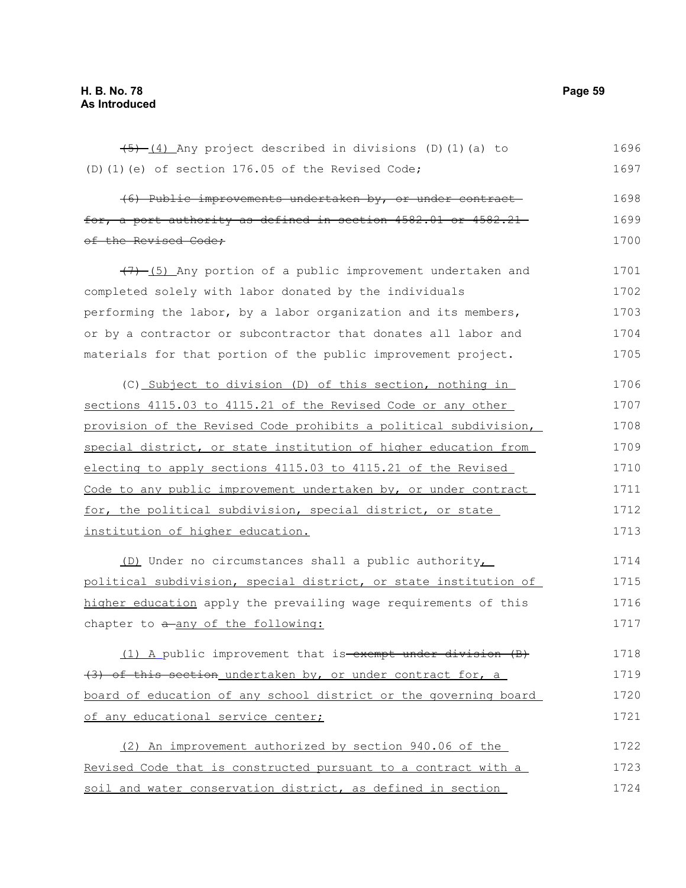$(5)$   $(4)$  Any project described in divisions (D)(1)(a) to (D)(1)(e) of section 176.05 of the Revised Code; (6) Public improvements undertaken by, or under contract for, a port authority as defined in section 4582.01 or 4582.21 of the Revised Code;  $(7)$  (5) Any portion of a public improvement undertaken and completed solely with labor donated by the individuals performing the labor, by a labor organization and its members, or by a contractor or subcontractor that donates all labor and materials for that portion of the public improvement project. (C) Subject to division (D) of this section, nothing in sections 4115.03 to 4115.21 of the Revised Code or any other provision of the Revised Code prohibits a political subdivision, special district, or state institution of higher education from electing to apply sections 4115.03 to 4115.21 of the Revised Code to any public improvement undertaken by, or under contract for, the political subdivision, special district, or state institution of higher education. (D) Under no circumstances shall a public authority, political subdivision, special district, or state institution of higher education apply the prevailing wage requirements of this chapter to  $a$ -any of the following: (1) A public improvement that is exempt under division (B) (3) of this section undertaken by, or under contract for, a board of education of any school district or the governing board of any educational service center; (2) An improvement authorized by section 940.06 of the Revised Code that is constructed pursuant to a contract with a soil and water conservation district, as defined in section 1696 1697 1698 1699 1700 1701 1702 1703 1704 1705 1706 1707 1708 1709 1710 1711 1712 1713 1714 1715 1716 1717 1718 1719 1720 1721 1722 1723 1724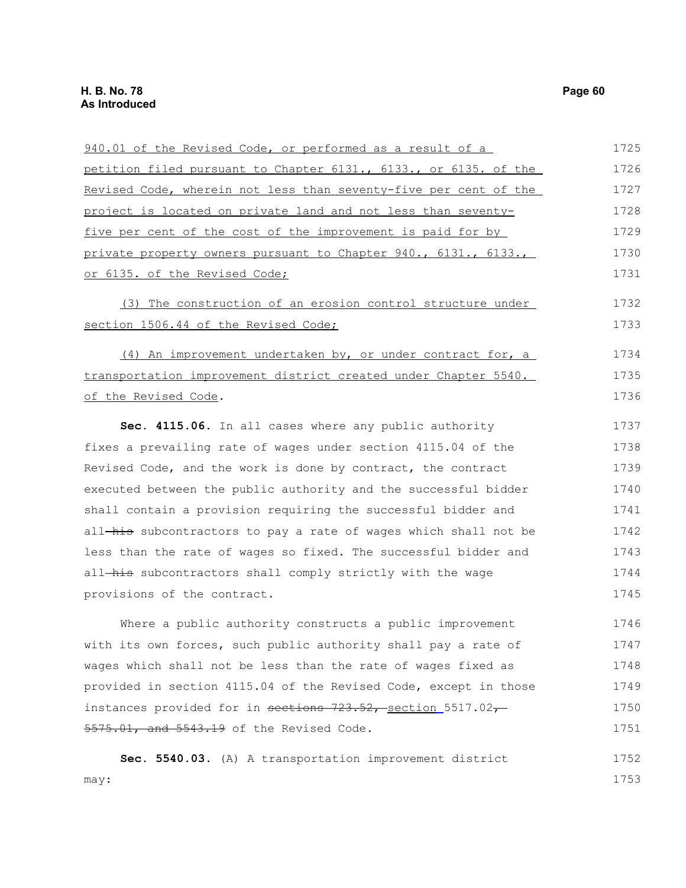| 940.01 of the Revised Code, or performed as a result of a        | 1725 |
|------------------------------------------------------------------|------|
| petition filed pursuant to Chapter 6131., 6133., or 6135. of the | 1726 |
| Revised Code, wherein not less than seventy-five per cent of the | 1727 |
| project is located on private land and not less than seventy-    | 1728 |
| five per cent of the cost of the improvement is paid for by      | 1729 |
| private property owners pursuant to Chapter 940., 6131., 6133.,  | 1730 |
| or 6135. of the Revised Code;                                    | 1731 |
| (3) The construction of an erosion control structure under       | 1732 |
| section 1506.44 of the Revised Code;                             | 1733 |
| (4) An improvement undertaken by, or under contract for, a       | 1734 |
| transportation improvement district created under Chapter 5540.  | 1735 |
| of the Revised Code.                                             | 1736 |
| Sec. 4115.06. In all cases where any public authority            | 1737 |
| fixes a prevailing rate of wages under section 4115.04 of the    | 1738 |
| Revised Code, and the work is done by contract, the contract     | 1739 |
| executed between the public authority and the successful bidder  | 1740 |
| shall contain a provision requiring the successful bidder and    | 1741 |
| all-his subcontractors to pay a rate of wages which shall not be | 1742 |
| less than the rate of wages so fixed. The successful bidder and  | 1743 |
| all-his subcontractors shall comply strictly with the wage       | 1744 |
| provisions of the contract.                                      | 1745 |
| Where a public authority constructs a public improvement         | 1746 |
| with its own forces, such public authority shall pay a rate of   | 1747 |
| wages which shall not be less than the rate of wages fixed as    | 1748 |
| provided in section 4115.04 of the Revised Code, except in those | 1749 |
| instances provided for in sections 723.52, section 5517.02,      | 1750 |
| 5575.01, and 5543.19 of the Revised Code.                        | 1751 |
| Sec. 5540.03. (A) A transportation improvement district          | 1752 |
| may:                                                             | 1753 |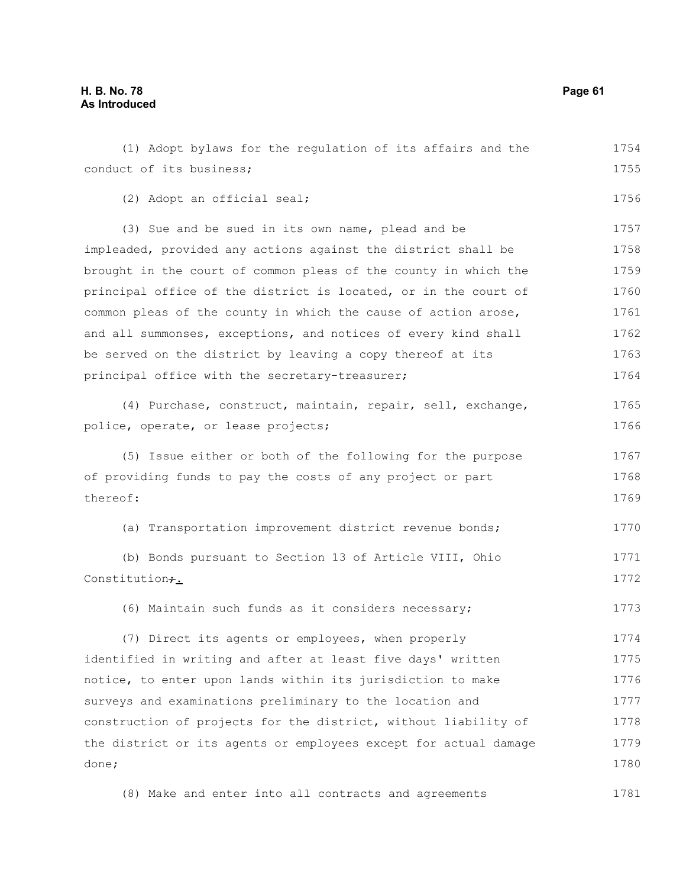### **H. B. No. 78 Page 61 As Introduced**

| (1) Adopt bylaws for the regulation of its affairs and the       | 1754 |
|------------------------------------------------------------------|------|
| conduct of its business;                                         | 1755 |
| (2) Adopt an official seal;                                      | 1756 |
| (3) Sue and be sued in its own name, plead and be                | 1757 |
| impleaded, provided any actions against the district shall be    | 1758 |
| brought in the court of common pleas of the county in which the  | 1759 |
| principal office of the district is located, or in the court of  | 1760 |
| common pleas of the county in which the cause of action arose,   | 1761 |
| and all summonses, exceptions, and notices of every kind shall   | 1762 |
| be served on the district by leaving a copy thereof at its       | 1763 |
| principal office with the secretary-treasurer;                   | 1764 |
| (4) Purchase, construct, maintain, repair, sell, exchange,       | 1765 |
| police, operate, or lease projects;                              | 1766 |
| (5) Issue either or both of the following for the purpose        | 1767 |
| of providing funds to pay the costs of any project or part       |      |
| thereof:                                                         | 1769 |
| (a) Transportation improvement district revenue bonds;           | 1770 |
| (b) Bonds pursuant to Section 13 of Article VIII, Ohio           | 1771 |
| Constitution+.                                                   | 1772 |
| (6) Maintain such funds as it considers necessary;               | 1773 |
| (7) Direct its agents or employees, when properly                | 1774 |
| identified in writing and after at least five days' written      | 1775 |
| notice, to enter upon lands within its jurisdiction to make      | 1776 |
| surveys and examinations preliminary to the location and         | 1777 |
| construction of projects for the district, without liability of  | 1778 |
| the district or its agents or employees except for actual damage | 1779 |
| done;                                                            | 1780 |
| (8) Make and enter into all contracts and agreements             | 1781 |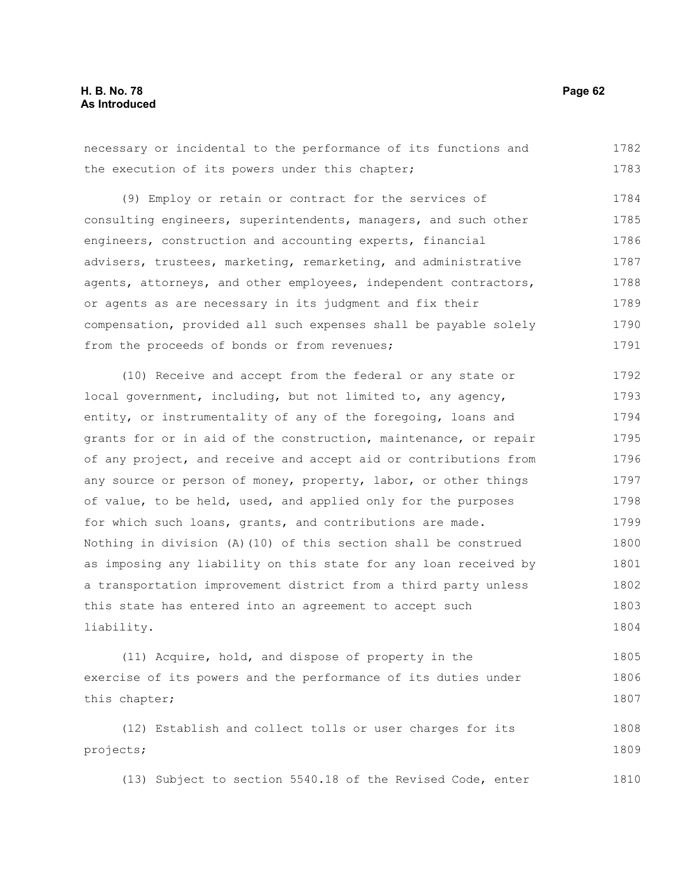necessary or incidental to the performance of its functions and the execution of its powers under this chapter; 1782 1783

(9) Employ or retain or contract for the services of consulting engineers, superintendents, managers, and such other engineers, construction and accounting experts, financial advisers, trustees, marketing, remarketing, and administrative agents, attorneys, and other employees, independent contractors, or agents as are necessary in its judgment and fix their compensation, provided all such expenses shall be payable solely from the proceeds of bonds or from revenues; 1784 1785 1786 1787 1788 1789 1790 1791

(10) Receive and accept from the federal or any state or local government, including, but not limited to, any agency, entity, or instrumentality of any of the foregoing, loans and grants for or in aid of the construction, maintenance, or repair of any project, and receive and accept aid or contributions from any source or person of money, property, labor, or other things of value, to be held, used, and applied only for the purposes for which such loans, grants, and contributions are made. Nothing in division (A)(10) of this section shall be construed as imposing any liability on this state for any loan received by a transportation improvement district from a third party unless this state has entered into an agreement to accept such liability. 1792 1793 1794 1795 1796 1797 1798 1799 1800 1801 1802 1803 1804

(11) Acquire, hold, and dispose of property in the exercise of its powers and the performance of its duties under this chapter; 1805 1806 1807

(12) Establish and collect tolls or user charges for its projects; 1808 1809

(13) Subject to section 5540.18 of the Revised Code, enter 1810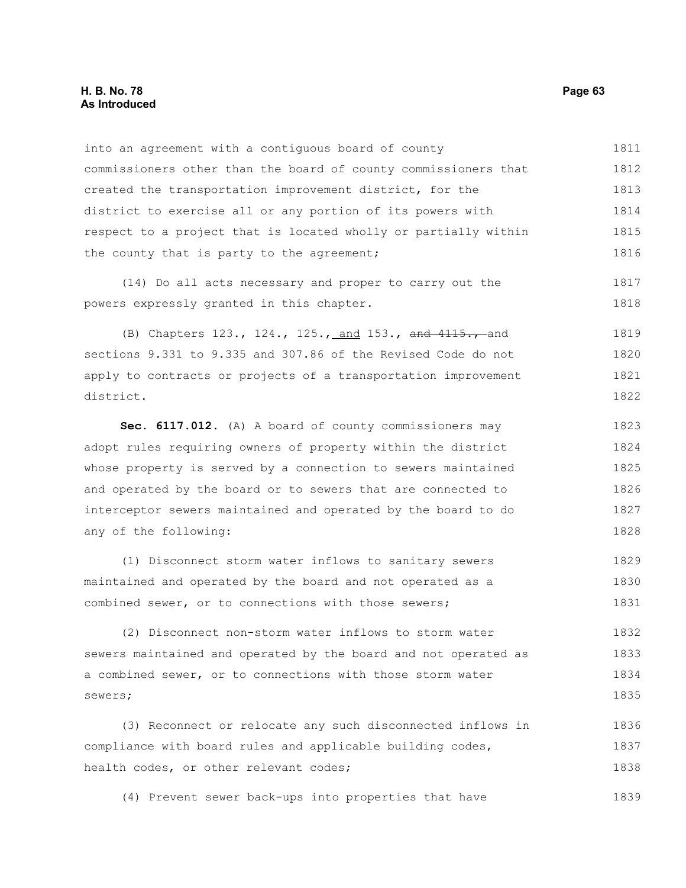#### **H. B. No. 78 Page 63 As Introduced**

sewers;

into an agreement with a contiguous board of county commissioners other than the board of county commissioners that created the transportation improvement district, for the district to exercise all or any portion of its powers with respect to a project that is located wholly or partially within the county that is party to the agreement; (14) Do all acts necessary and proper to carry out the powers expressly granted in this chapter. (B) Chapters 123., 124., 125., and 153., and 4115., and sections 9.331 to 9.335 and 307.86 of the Revised Code do not apply to contracts or projects of a transportation improvement district. **Sec. 6117.012.** (A) A board of county commissioners may adopt rules requiring owners of property within the district whose property is served by a connection to sewers maintained and operated by the board or to sewers that are connected to interceptor sewers maintained and operated by the board to do any of the following: (1) Disconnect storm water inflows to sanitary sewers maintained and operated by the board and not operated as a combined sewer, or to connections with those sewers; (2) Disconnect non-storm water inflows to storm water sewers maintained and operated by the board and not operated as a combined sewer, or to connections with those storm water 1811 1812 1813 1814 1815 1816 1817 1818 1819 1820 1821 1822 1823 1824 1825 1826 1827 1828 1829 1830 1831 1832 1833 1834

(3) Reconnect or relocate any such disconnected inflows in compliance with board rules and applicable building codes, health codes, or other relevant codes; 1836 1837 1838

(4) Prevent sewer back-ups into properties that have 1839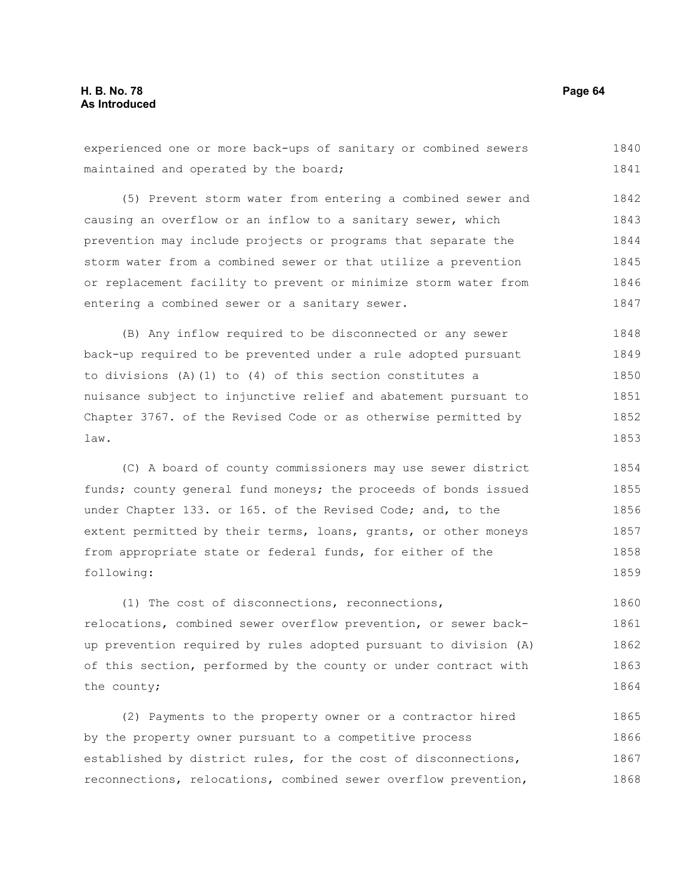experienced one or more back-ups of sanitary or combined sewers maintained and operated by the board; (5) Prevent storm water from entering a combined sewer and causing an overflow or an inflow to a sanitary sewer, which prevention may include projects or programs that separate the 1840 1841 1842 1843 1844

storm water from a combined sewer or that utilize a prevention or replacement facility to prevent or minimize storm water from entering a combined sewer or a sanitary sewer. 1845 1846 1847

(B) Any inflow required to be disconnected or any sewer back-up required to be prevented under a rule adopted pursuant to divisions (A)(1) to (4) of this section constitutes a nuisance subject to injunctive relief and abatement pursuant to Chapter 3767. of the Revised Code or as otherwise permitted by law. 1848 1849 1850 1851 1852 1853

(C) A board of county commissioners may use sewer district funds; county general fund moneys; the proceeds of bonds issued under Chapter 133. or 165. of the Revised Code; and, to the extent permitted by their terms, loans, grants, or other moneys from appropriate state or federal funds, for either of the following: 1854 1855 1856 1857 1858 1859

(1) The cost of disconnections, reconnections, relocations, combined sewer overflow prevention, or sewer backup prevention required by rules adopted pursuant to division (A) of this section, performed by the county or under contract with the county; 1860 1861 1862 1863 1864

(2) Payments to the property owner or a contractor hired by the property owner pursuant to a competitive process established by district rules, for the cost of disconnections, reconnections, relocations, combined sewer overflow prevention, 1865 1866 1867 1868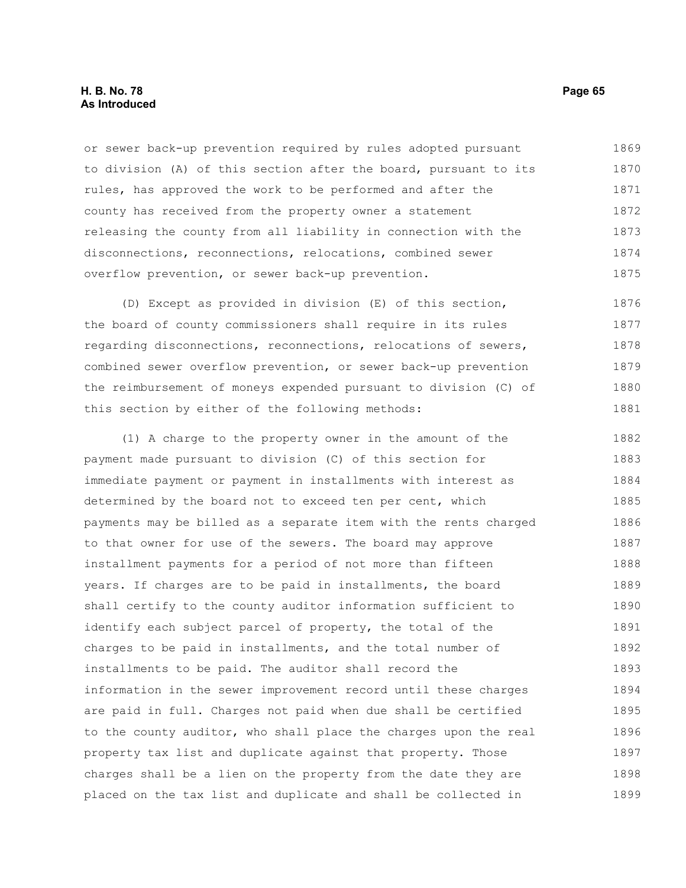#### **H. B. No. 78 Page 65 As Introduced**

or sewer back-up prevention required by rules adopted pursuant to division (A) of this section after the board, pursuant to its rules, has approved the work to be performed and after the county has received from the property owner a statement releasing the county from all liability in connection with the disconnections, reconnections, relocations, combined sewer overflow prevention, or sewer back-up prevention. 1869 1870 1871 1872 1873 1874 1875

(D) Except as provided in division (E) of this section, the board of county commissioners shall require in its rules regarding disconnections, reconnections, relocations of sewers, combined sewer overflow prevention, or sewer back-up prevention the reimbursement of moneys expended pursuant to division (C) of this section by either of the following methods: 1876 1877 1878 1879 1880 1881

(1) A charge to the property owner in the amount of the payment made pursuant to division (C) of this section for immediate payment or payment in installments with interest as determined by the board not to exceed ten per cent, which payments may be billed as a separate item with the rents charged to that owner for use of the sewers. The board may approve installment payments for a period of not more than fifteen years. If charges are to be paid in installments, the board shall certify to the county auditor information sufficient to identify each subject parcel of property, the total of the charges to be paid in installments, and the total number of installments to be paid. The auditor shall record the information in the sewer improvement record until these charges are paid in full. Charges not paid when due shall be certified to the county auditor, who shall place the charges upon the real property tax list and duplicate against that property. Those charges shall be a lien on the property from the date they are placed on the tax list and duplicate and shall be collected in 1882 1883 1884 1885 1886 1887 1888 1889 1890 1891 1892 1893 1894 1895 1896 1897 1898 1899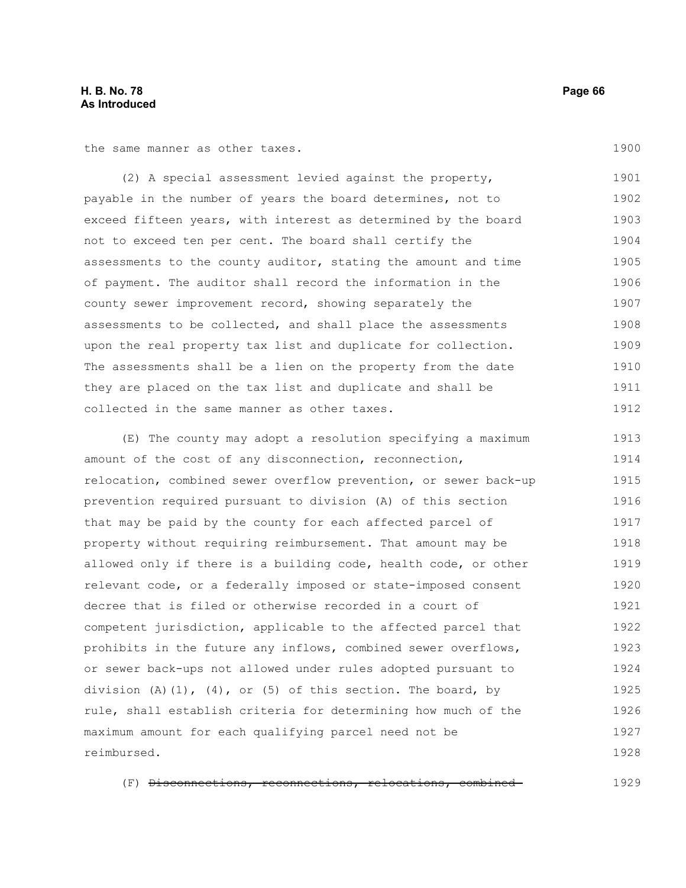#### **H. B. No. 78 Page 66 As Introduced**

the same manner as other taxes.

(2) A special assessment levied against the property, payable in the number of years the board determines, not to exceed fifteen years, with interest as determined by the board not to exceed ten per cent. The board shall certify the assessments to the county auditor, stating the amount and time of payment. The auditor shall record the information in the county sewer improvement record, showing separately the assessments to be collected, and shall place the assessments upon the real property tax list and duplicate for collection. The assessments shall be a lien on the property from the date they are placed on the tax list and duplicate and shall be collected in the same manner as other taxes. 1901 1902 1903 1904 1905 1906 1907 1908 1909 1910 1911 1912

(E) The county may adopt a resolution specifying a maximum amount of the cost of any disconnection, reconnection, relocation, combined sewer overflow prevention, or sewer back-up prevention required pursuant to division (A) of this section that may be paid by the county for each affected parcel of property without requiring reimbursement. That amount may be allowed only if there is a building code, health code, or other relevant code, or a federally imposed or state-imposed consent decree that is filed or otherwise recorded in a court of competent jurisdiction, applicable to the affected parcel that prohibits in the future any inflows, combined sewer overflows, or sewer back-ups not allowed under rules adopted pursuant to division  $(A)$   $(1)$ ,  $(4)$ , or  $(5)$  of this section. The board, by rule, shall establish criteria for determining how much of the maximum amount for each qualifying parcel need not be reimbursed. 1913 1914 1915 1916 1917 1918 1919 1920 1921 1922 1923 1924 1925 1926 1927 1928

(F) Disconnections, reconnections, relocations, combined 1929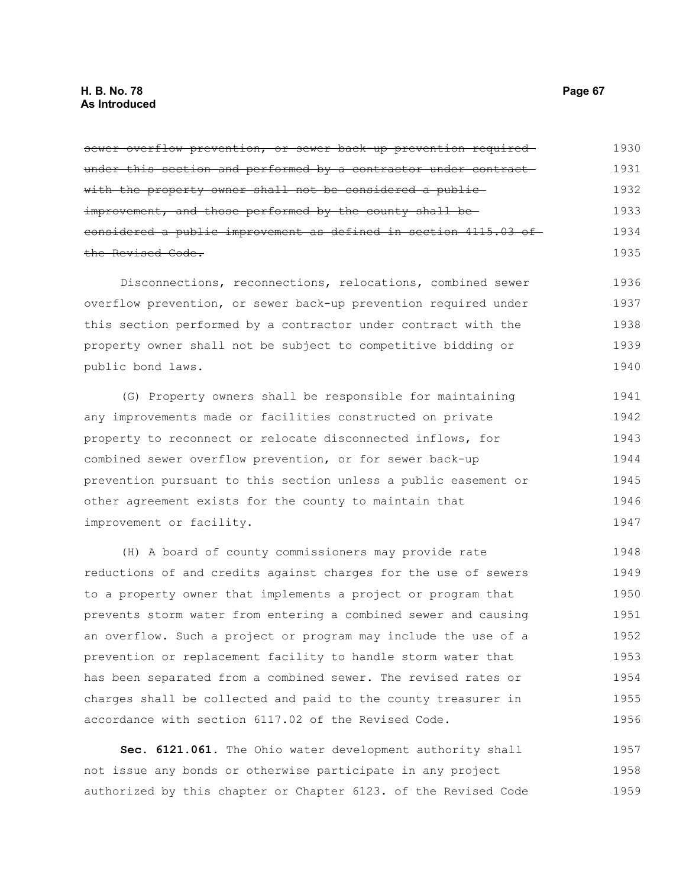sewer overflow prevention, or sewer back up prevention requiredunder this section and performed by a contractor under contractwith the property owner shall not be considered a publicimprovement, and those performed by the county shall beconsidered a public improvement as defined in section 4115.03 of the Revised Code. 1930 1931 1932 1933 1934 1935

Disconnections, reconnections, relocations, combined sewer overflow prevention, or sewer back-up prevention required under this section performed by a contractor under contract with the property owner shall not be subject to competitive bidding or public bond laws. 1936 1937 1938 1939 1940

(G) Property owners shall be responsible for maintaining any improvements made or facilities constructed on private property to reconnect or relocate disconnected inflows, for combined sewer overflow prevention, or for sewer back-up prevention pursuant to this section unless a public easement or other agreement exists for the county to maintain that improvement or facility. 1941 1942 1943 1944 1945 1946 1947

(H) A board of county commissioners may provide rate reductions of and credits against charges for the use of sewers to a property owner that implements a project or program that prevents storm water from entering a combined sewer and causing an overflow. Such a project or program may include the use of a prevention or replacement facility to handle storm water that has been separated from a combined sewer. The revised rates or charges shall be collected and paid to the county treasurer in accordance with section 6117.02 of the Revised Code. 1948 1949 1950 1951 1952 1953 1954 1955 1956

**Sec. 6121.061.** The Ohio water development authority shall not issue any bonds or otherwise participate in any project authorized by this chapter or Chapter 6123. of the Revised Code 1957 1958 1959